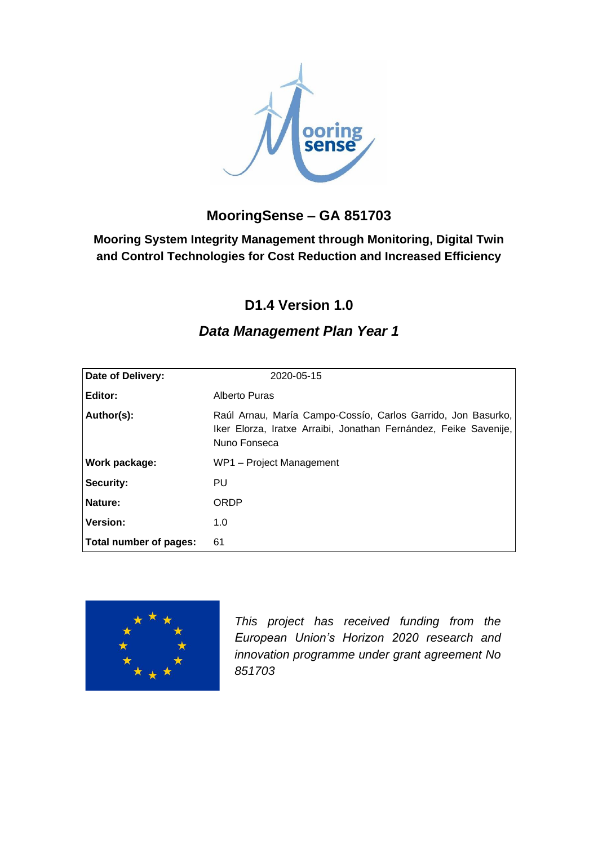

# **MooringSense – GA 851703**

**Mooring System Integrity Management through Monitoring, Digital Twin and Control Technologies for Cost Reduction and Increased Efficiency**

# **D1.4 Version 1.0**

| Date of Delivery:      | 2020-05-15                                                                                                                                       |
|------------------------|--------------------------------------------------------------------------------------------------------------------------------------------------|
| Editor:                | Alberto Puras                                                                                                                                    |
| Author(s):             | Raúl Arnau, María Campo-Cossío, Carlos Garrido, Jon Basurko,<br>Iker Elorza, Iratxe Arraibi, Jonathan Fernández, Feike Savenije,<br>Nuno Fonseca |
| Work package:          | WP1 – Project Management                                                                                                                         |
| <b>Security:</b>       | PU.                                                                                                                                              |
| Nature:                | ORDP                                                                                                                                             |
| <b>Version:</b>        | 1.0                                                                                                                                              |
| Total number of pages: | 61                                                                                                                                               |

# *Data Management Plan Year 1*



*This project has received funding from the European Union's Horizon 2020 research and innovation programme under grant agreement No 851703*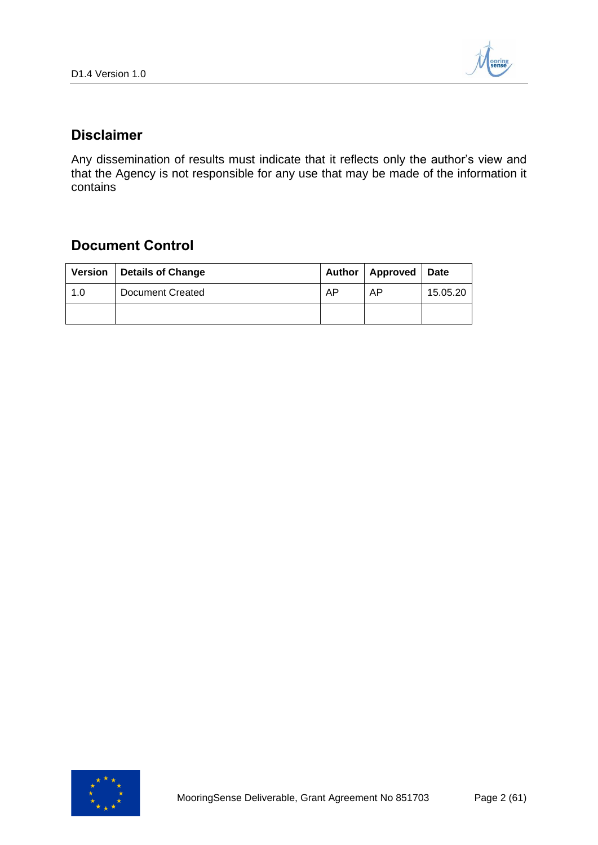

# <span id="page-1-0"></span>**Disclaimer**

Any dissemination of results must indicate that it reflects only the author's view and that the Agency is not responsible for any use that may be made of the information it contains

# <span id="page-1-1"></span>**Document Control**

|     | Version   Details of Change |    | Author   Approved | <b>Date</b> |
|-----|-----------------------------|----|-------------------|-------------|
| 1.0 | Document Created            | AP | AP                | 15.05.20    |
|     |                             |    |                   |             |

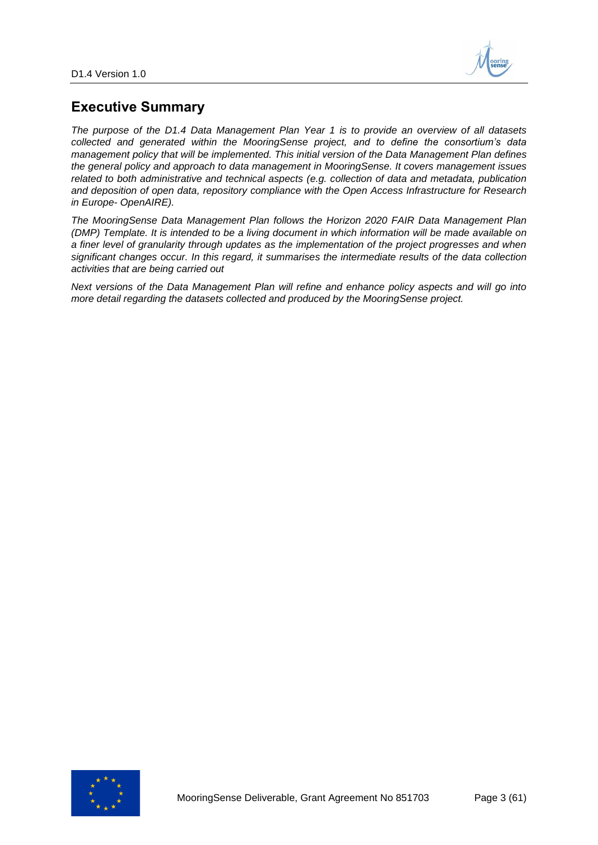

# <span id="page-2-0"></span>**Executive Summary**

*The purpose of the D1.4 Data Management Plan Year 1 is to provide an overview of all datasets collected and generated within the MooringSense project, and to define the consortium's data management policy that will be implemented. This initial version of the Data Management Plan defines the general policy and approach to data management in MooringSense. It covers management issues related to both administrative and technical aspects (e.g. collection of data and metadata, publication and deposition of open data, repository compliance with the Open Access Infrastructure for Research in Europe- OpenAIRE).*

*The MooringSense Data Management Plan follows the Horizon 2020 FAIR Data Management Plan (DMP) Template. It is intended to be a living document in which information will be made available on a finer level of granularity through updates as the implementation of the project progresses and when significant changes occur. In this regard, it summarises the intermediate results of the data collection activities that are being carried out* 

*Next versions of the Data Management Plan will refine and enhance policy aspects and will go into more detail regarding the datasets collected and produced by the MooringSense project.*

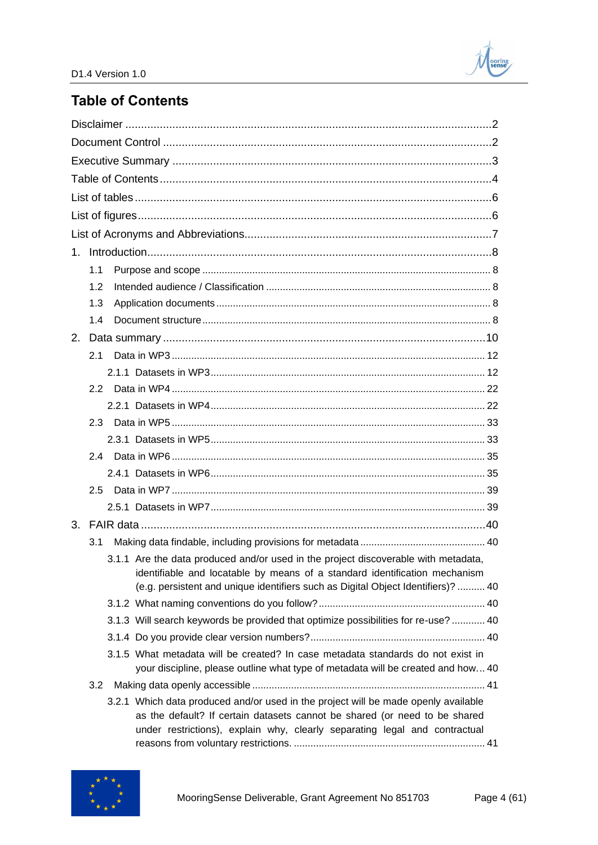

# <span id="page-3-0"></span>**Table of Contents**

|    | 1.1 |                                                                                                                                                                                                                                                      |  |
|----|-----|------------------------------------------------------------------------------------------------------------------------------------------------------------------------------------------------------------------------------------------------------|--|
|    | 1.2 |                                                                                                                                                                                                                                                      |  |
|    | 1.3 |                                                                                                                                                                                                                                                      |  |
|    | 1.4 |                                                                                                                                                                                                                                                      |  |
| 2. |     |                                                                                                                                                                                                                                                      |  |
|    | 2.1 |                                                                                                                                                                                                                                                      |  |
|    |     |                                                                                                                                                                                                                                                      |  |
|    |     |                                                                                                                                                                                                                                                      |  |
|    |     |                                                                                                                                                                                                                                                      |  |
|    |     |                                                                                                                                                                                                                                                      |  |
|    |     |                                                                                                                                                                                                                                                      |  |
|    |     |                                                                                                                                                                                                                                                      |  |
|    |     |                                                                                                                                                                                                                                                      |  |
|    |     |                                                                                                                                                                                                                                                      |  |
|    |     |                                                                                                                                                                                                                                                      |  |
|    |     |                                                                                                                                                                                                                                                      |  |
|    | 3.1 |                                                                                                                                                                                                                                                      |  |
|    |     | 3.1.1 Are the data produced and/or used in the project discoverable with metadata,<br>identifiable and locatable by means of a standard identification mechanism<br>(e.g. persistent and unique identifiers such as Digital Object Identifiers)?  40 |  |
|    |     |                                                                                                                                                                                                                                                      |  |
|    |     | 3.1.3 Will search keywords be provided that optimize possibilities for re-use?  40                                                                                                                                                                   |  |
|    |     |                                                                                                                                                                                                                                                      |  |
|    |     | 3.1.5 What metadata will be created? In case metadata standards do not exist in                                                                                                                                                                      |  |
|    |     | your discipline, please outline what type of metadata will be created and how 40                                                                                                                                                                     |  |
|    | 3.2 |                                                                                                                                                                                                                                                      |  |
|    |     | 3.2.1 Which data produced and/or used in the project will be made openly available<br>as the default? If certain datasets cannot be shared (or need to be shared<br>under restrictions), explain why, clearly separating legal and contractual       |  |

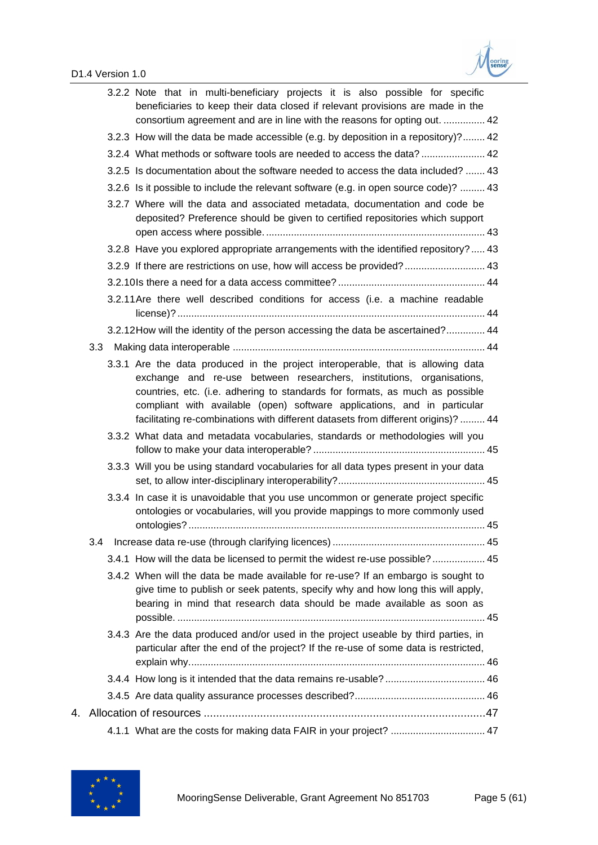

|    |                  | 3.2.2 Note that in multi-beneficiary projects it is also possible for specific<br>beneficiaries to keep their data closed if relevant provisions are made in the<br>consortium agreement and are in line with the reasons for opting out.  42                                                                                                                                                             |  |
|----|------------------|-----------------------------------------------------------------------------------------------------------------------------------------------------------------------------------------------------------------------------------------------------------------------------------------------------------------------------------------------------------------------------------------------------------|--|
|    |                  | 3.2.3 How will the data be made accessible (e.g. by deposition in a repository)? 42                                                                                                                                                                                                                                                                                                                       |  |
|    |                  | 3.2.4 What methods or software tools are needed to access the data? 42                                                                                                                                                                                                                                                                                                                                    |  |
|    |                  | 3.2.5 Is documentation about the software needed to access the data included?  43                                                                                                                                                                                                                                                                                                                         |  |
|    |                  | 3.2.6 Is it possible to include the relevant software (e.g. in open source code)?  43                                                                                                                                                                                                                                                                                                                     |  |
|    |                  | 3.2.7 Where will the data and associated metadata, documentation and code be<br>deposited? Preference should be given to certified repositories which support                                                                                                                                                                                                                                             |  |
|    |                  | 3.2.8 Have you explored appropriate arrangements with the identified repository?  43                                                                                                                                                                                                                                                                                                                      |  |
|    |                  | 3.2.9 If there are restrictions on use, how will access be provided? 43                                                                                                                                                                                                                                                                                                                                   |  |
|    |                  |                                                                                                                                                                                                                                                                                                                                                                                                           |  |
|    |                  | 3.2.11 Are there well described conditions for access (i.e. a machine readable                                                                                                                                                                                                                                                                                                                            |  |
|    |                  | 3.2.12 How will the identity of the person accessing the data be ascertained? 44                                                                                                                                                                                                                                                                                                                          |  |
|    | 3.3 <sub>2</sub> |                                                                                                                                                                                                                                                                                                                                                                                                           |  |
|    |                  | 3.3.1 Are the data produced in the project interoperable, that is allowing data<br>exchange and re-use between researchers, institutions, organisations,<br>countries, etc. (i.e. adhering to standards for formats, as much as possible<br>compliant with available (open) software applications, and in particular<br>facilitating re-combinations with different datasets from different origins)?  44 |  |
|    |                  | 3.3.2 What data and metadata vocabularies, standards or methodologies will you                                                                                                                                                                                                                                                                                                                            |  |
|    |                  | 3.3.3 Will you be using standard vocabularies for all data types present in your data                                                                                                                                                                                                                                                                                                                     |  |
|    |                  | 3.3.4 In case it is unavoidable that you use uncommon or generate project specific<br>ontologies or vocabularies, will you provide mappings to more commonly used                                                                                                                                                                                                                                         |  |
|    | 3.4              |                                                                                                                                                                                                                                                                                                                                                                                                           |  |
|    |                  | 3.4.1 How will the data be licensed to permit the widest re-use possible? 45                                                                                                                                                                                                                                                                                                                              |  |
|    |                  | 3.4.2 When will the data be made available for re-use? If an embargo is sought to<br>give time to publish or seek patents, specify why and how long this will apply,<br>bearing in mind that research data should be made available as soon as                                                                                                                                                            |  |
|    |                  | 3.4.3 Are the data produced and/or used in the project useable by third parties, in<br>particular after the end of the project? If the re-use of some data is restricted,                                                                                                                                                                                                                                 |  |
|    |                  | 3.4.4 How long is it intended that the data remains re-usable?  46                                                                                                                                                                                                                                                                                                                                        |  |
|    |                  |                                                                                                                                                                                                                                                                                                                                                                                                           |  |
| 4. |                  |                                                                                                                                                                                                                                                                                                                                                                                                           |  |
|    |                  | 4.1.1 What are the costs for making data FAIR in your project?  47                                                                                                                                                                                                                                                                                                                                        |  |

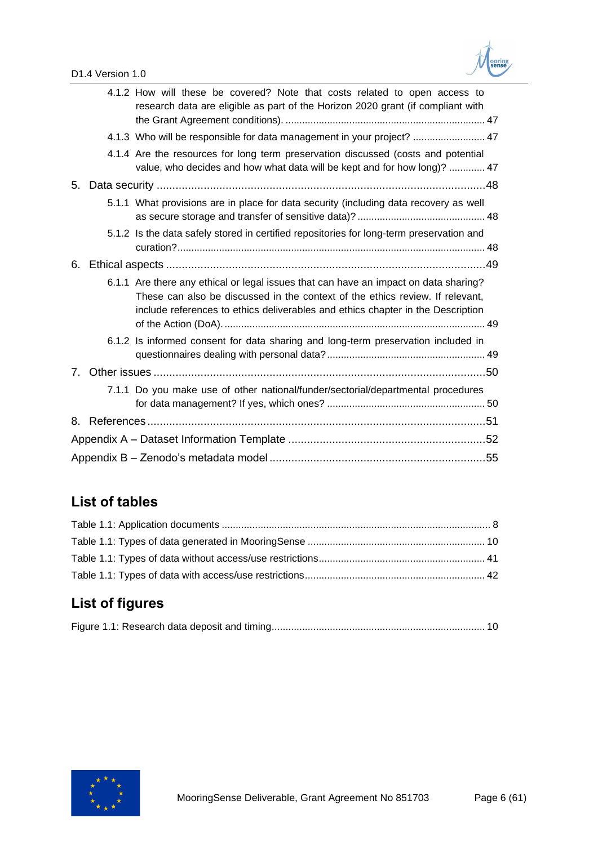

|    | 4.1.2 How will these be covered? Note that costs related to open access to<br>research data are eligible as part of the Horizon 2020 grant (if compliant with                                                                                            |  |
|----|----------------------------------------------------------------------------------------------------------------------------------------------------------------------------------------------------------------------------------------------------------|--|
|    | 4.1.3 Who will be responsible for data management in your project?  47                                                                                                                                                                                   |  |
|    | 4.1.4 Are the resources for long term preservation discussed (costs and potential<br>value, who decides and how what data will be kept and for how long)?  47                                                                                            |  |
| 5. |                                                                                                                                                                                                                                                          |  |
|    | 5.1.1 What provisions are in place for data security (including data recovery as well                                                                                                                                                                    |  |
|    | 5.1.2 Is the data safely stored in certified repositories for long-term preservation and                                                                                                                                                                 |  |
| 6. |                                                                                                                                                                                                                                                          |  |
|    |                                                                                                                                                                                                                                                          |  |
|    | 6.1.1 Are there any ethical or legal issues that can have an impact on data sharing?<br>These can also be discussed in the context of the ethics review. If relevant,<br>include references to ethics deliverables and ethics chapter in the Description |  |
|    | 6.1.2 Is informed consent for data sharing and long-term preservation included in                                                                                                                                                                        |  |
| 7. |                                                                                                                                                                                                                                                          |  |
|    | 7.1.1 Do you make use of other national/funder/sectorial/departmental procedures                                                                                                                                                                         |  |
| 8. |                                                                                                                                                                                                                                                          |  |
|    |                                                                                                                                                                                                                                                          |  |

# <span id="page-5-0"></span>**List of tables**

# <span id="page-5-1"></span>**List of figures**

|--|

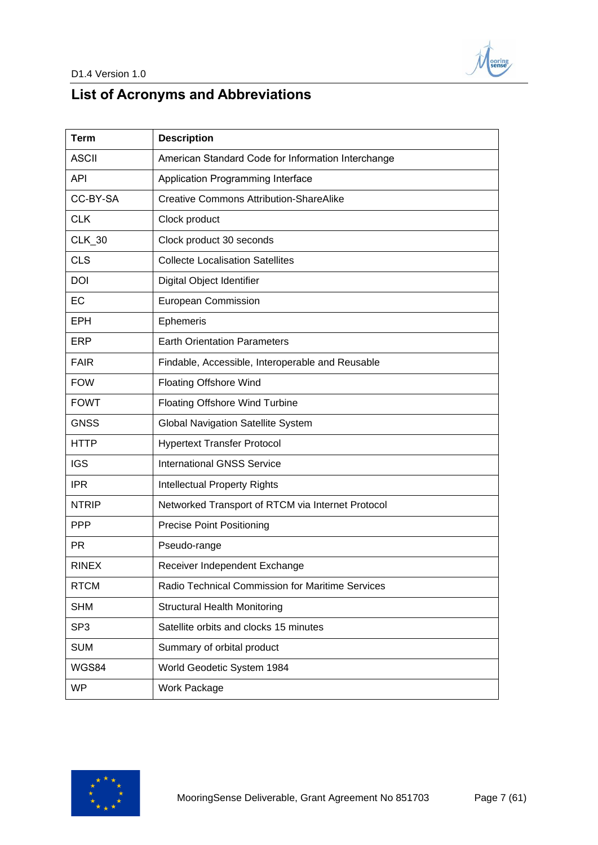ooring

# <span id="page-6-0"></span>**List of Acronyms and Abbreviations**

| <b>Term</b>     | <b>Description</b>                                 |
|-----------------|----------------------------------------------------|
| <b>ASCII</b>    | American Standard Code for Information Interchange |
| <b>API</b>      | Application Programming Interface                  |
| CC-BY-SA        | <b>Creative Commons Attribution-ShareAlike</b>     |
| <b>CLK</b>      | Clock product                                      |
| <b>CLK_30</b>   | Clock product 30 seconds                           |
| <b>CLS</b>      | <b>Collecte Localisation Satellites</b>            |
| <b>DOI</b>      | Digital Object Identifier                          |
| EC              | <b>European Commission</b>                         |
| <b>EPH</b>      | Ephemeris                                          |
| <b>ERP</b>      | <b>Earth Orientation Parameters</b>                |
| <b>FAIR</b>     | Findable, Accessible, Interoperable and Reusable   |
| <b>FOW</b>      | <b>Floating Offshore Wind</b>                      |
| <b>FOWT</b>     | <b>Floating Offshore Wind Turbine</b>              |
| <b>GNSS</b>     | Global Navigation Satellite System                 |
| HTTP            | <b>Hypertext Transfer Protocol</b>                 |
| <b>IGS</b>      | <b>International GNSS Service</b>                  |
| <b>IPR</b>      | <b>Intellectual Property Rights</b>                |
| <b>NTRIP</b>    | Networked Transport of RTCM via Internet Protocol  |
| <b>PPP</b>      | <b>Precise Point Positioning</b>                   |
| <b>PR</b>       | Pseudo-range                                       |
| <b>RINEX</b>    | Receiver Independent Exchange                      |
| <b>RTCM</b>     | Radio Technical Commission for Maritime Services   |
| <b>SHM</b>      | <b>Structural Health Monitoring</b>                |
| SP <sub>3</sub> | Satellite orbits and clocks 15 minutes             |
| <b>SUM</b>      | Summary of orbital product                         |
| WGS84           | World Geodetic System 1984                         |
| WP              | Work Package                                       |

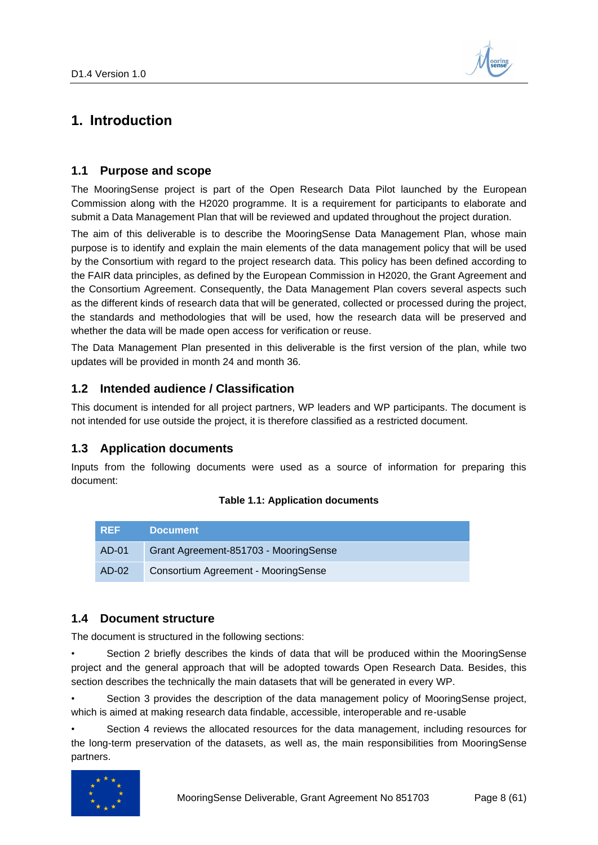

# <span id="page-7-0"></span>**1. Introduction**

## <span id="page-7-1"></span>**1.1 Purpose and scope**

The MooringSense project is part of the Open Research Data Pilot launched by the European Commission along with the H2020 programme. It is a requirement for participants to elaborate and submit a Data Management Plan that will be reviewed and updated throughout the project duration.

The aim of this deliverable is to describe the MooringSense Data Management Plan, whose main purpose is to identify and explain the main elements of the data management policy that will be used by the Consortium with regard to the project research data. This policy has been defined according to the FAIR data principles, as defined by the European Commission in H2020, the Grant Agreement and the Consortium Agreement. Consequently, the Data Management Plan covers several aspects such as the different kinds of research data that will be generated, collected or processed during the project, the standards and methodologies that will be used, how the research data will be preserved and whether the data will be made open access for verification or reuse.

The Data Management Plan presented in this deliverable is the first version of the plan, while two updates will be provided in month 24 and month 36.

## <span id="page-7-2"></span>**1.2 Intended audience / Classification**

This document is intended for all project partners, WP leaders and WP participants. The document is not intended for use outside the project, it is therefore classified as a restricted document.

## <span id="page-7-3"></span>**1.3 Application documents**

<span id="page-7-5"></span>Inputs from the following documents were used as a source of information for preparing this document:

#### **Table 1.1: Application documents**

| <b>REF</b> | <b>Document</b>                       |
|------------|---------------------------------------|
| $AD-01$    | Grant Agreement-851703 - MooringSense |
| $AD-02$    | Consortium Agreement - MooringSense   |

#### <span id="page-7-4"></span>**1.4 Document structure**

The document is structured in the following sections:

• Section 2 briefly describes the kinds of data that will be produced within the MooringSense project and the general approach that will be adopted towards Open Research Data. Besides, this section describes the technically the main datasets that will be generated in every WP.

• Section 3 provides the description of the data management policy of MooringSense project, which is aimed at making research data findable, accessible, interoperable and re-usable

• Section 4 reviews the allocated resources for the data management, including resources for the long-term preservation of the datasets, as well as, the main responsibilities from MooringSense partners.

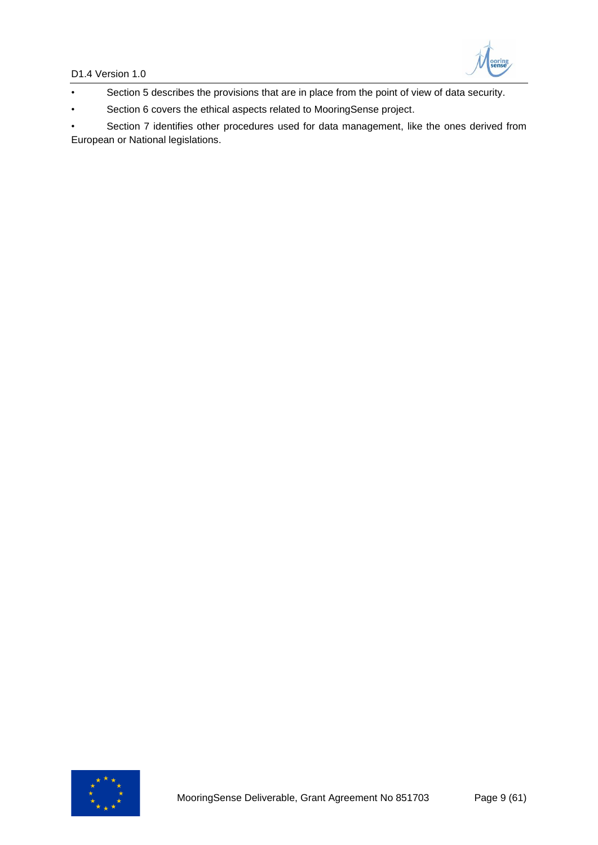

- Section 5 describes the provisions that are in place from the point of view of data security.
- Section 6 covers the ethical aspects related to MooringSense project.

Section 7 identifies other procedures used for data management, like the ones derived from European or National legislations.

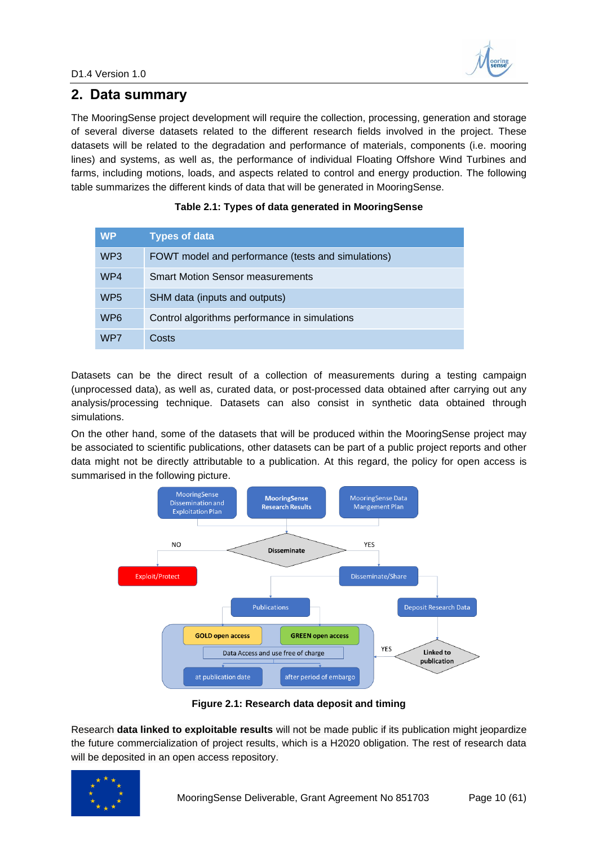

# <span id="page-9-0"></span>**2. Data summary**

The MooringSense project development will require the collection, processing, generation and storage of several diverse datasets related to the different research fields involved in the project. These datasets will be related to the degradation and performance of materials, components (i.e. mooring lines) and systems, as well as, the performance of individual Floating Offshore Wind Turbines and farms, including motions, loads, and aspects related to control and energy production. The following table summarizes the different kinds of data that will be generated in MooringSense.

<span id="page-9-1"></span>

| <b>WP</b>       | <b>Types of data</b>                               |
|-----------------|----------------------------------------------------|
| WP <sub>3</sub> | FOWT model and performance (tests and simulations) |
| WP4             | <b>Smart Motion Sensor measurements</b>            |
| WP <sub>5</sub> | SHM data (inputs and outputs)                      |
| WP <sub>6</sub> | Control algorithms performance in simulations      |
| WP7             | Costs                                              |

Datasets can be the direct result of a collection of measurements during a testing campaign (unprocessed data), as well as, curated data, or post-processed data obtained after carrying out any analysis/processing technique. Datasets can also consist in synthetic data obtained through simulations.

On the other hand, some of the datasets that will be produced within the MooringSense project may be associated to scientific publications, other datasets can be part of a public project reports and other data might not be directly attributable to a publication. At this regard, the policy for open access is summarised in the following picture.



**Figure 2.1: Research data deposit and timing**

<span id="page-9-2"></span>Research **data linked to exploitable results** will not be made public if its publication might jeopardize the future commercialization of project results, which is a H2020 obligation. The rest of research data will be deposited in an open access repository.

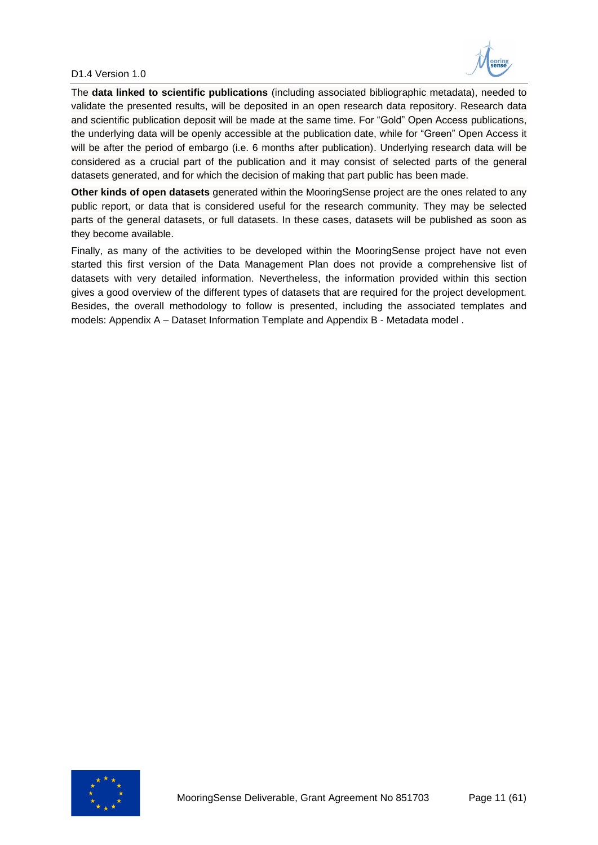

The **data linked to scientific publications** (including associated bibliographic metadata), needed to validate the presented results, will be deposited in an open research data repository. Research data and scientific publication deposit will be made at the same time. For "Gold" Open Access publications, the underlying data will be openly accessible at the publication date, while for "Green" Open Access it will be after the period of embargo (i.e. 6 months after publication). Underlying research data will be considered as a crucial part of the publication and it may consist of selected parts of the general datasets generated, and for which the decision of making that part public has been made.

**Other kinds of open datasets** generated within the MooringSense project are the ones related to any public report, or data that is considered useful for the research community. They may be selected parts of the general datasets, or full datasets. In these cases, datasets will be published as soon as they become available.

Finally, as many of the activities to be developed within the MooringSense project have not even started this first version of the Data Management Plan does not provide a comprehensive list of datasets with very detailed information. Nevertheless, the information provided within this section gives a good overview of the different types of datasets that are required for the project development. Besides, the overall methodology to follow is presented, including the associated templates and models: Appendix A – [Dataset Information Template](#page-51-0) and Appendix B - Metadata model .

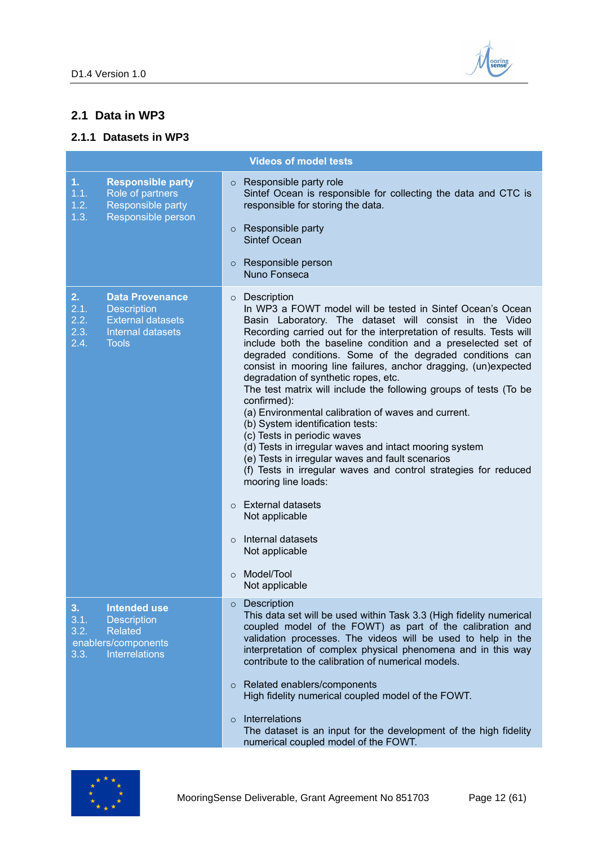

# <span id="page-11-0"></span>**2.1 Data in WP3**

## <span id="page-11-1"></span>**2.1.1 Datasets in WP3**

|                                                                                                                                                     | <b>Videos of model tests</b>                                                                                                                                                                                                                                                                                                                                                                                                                                                                                                                                                                                                                                                                                                                                                                                                                                                                                                                                                                                                                |
|-----------------------------------------------------------------------------------------------------------------------------------------------------|---------------------------------------------------------------------------------------------------------------------------------------------------------------------------------------------------------------------------------------------------------------------------------------------------------------------------------------------------------------------------------------------------------------------------------------------------------------------------------------------------------------------------------------------------------------------------------------------------------------------------------------------------------------------------------------------------------------------------------------------------------------------------------------------------------------------------------------------------------------------------------------------------------------------------------------------------------------------------------------------------------------------------------------------|
| 1.7<br><b>Responsible party</b><br>Role of partners<br>1.1.<br>1.2.<br>Responsible party<br>Responsible person<br>1.3.                              | Responsible party role<br>$\circ$<br>Sintef Ocean is responsible for collecting the data and CTC is<br>responsible for storing the data.<br>Responsible party<br>$\circ$<br><b>Sintef Ocean</b><br>Responsible person<br>$\circ$<br>Nuno Fonseca                                                                                                                                                                                                                                                                                                                                                                                                                                                                                                                                                                                                                                                                                                                                                                                            |
| 2.<br><b>Data Provenance</b><br>2.1.<br><b>Description</b><br>2.2.<br><b>External datasets</b><br>2.3.<br>Internal datasets<br>2.4.<br><b>Tools</b> | Description<br>$\circ$<br>In WP3 a FOWT model will be tested in Sintef Ocean's Ocean<br>Basin Laboratory. The dataset will consist in the Video<br>Recording carried out for the interpretation of results. Tests will<br>include both the baseline condition and a preselected set of<br>degraded conditions. Some of the degraded conditions can<br>consist in mooring line failures, anchor dragging, (un)expected<br>degradation of synthetic ropes, etc.<br>The test matrix will include the following groups of tests (To be<br>confirmed):<br>(a) Environmental calibration of waves and current.<br>(b) System identification tests:<br>(c) Tests in periodic waves<br>(d) Tests in irregular waves and intact mooring system<br>(e) Tests in irregular waves and fault scenarios<br>(f) Tests in irregular waves and control strategies for reduced<br>mooring line loads:<br><b>External datasets</b><br>$\circ$<br>Not applicable<br>Internal datasets<br>$\Omega$<br>Not applicable<br>Model/Tool<br>$\Omega$<br>Not applicable |
| <b>Intended use</b><br>3.<br>3.1.<br><b>Description</b><br>3.2.<br><b>Related</b><br>enablers/components<br>3.3.<br><b>Interrelations</b>           | <b>O</b> Description<br>This data set will be used within Task 3.3 (High fidelity numerical<br>coupled model of the FOWT) as part of the calibration and<br>validation processes. The videos will be used to help in the<br>interpretation of complex physical phenomena and in this way<br>contribute to the calibration of numerical models.<br>Related enablers/components<br>$\circ$<br>High fidelity numerical coupled model of the FOWT.<br>Interrelations<br>$\circ$<br>The dataset is an input for the development of the high fidelity<br>numerical coupled model of the FOWT.                                                                                                                                                                                                                                                                                                                                                                                                                                                     |

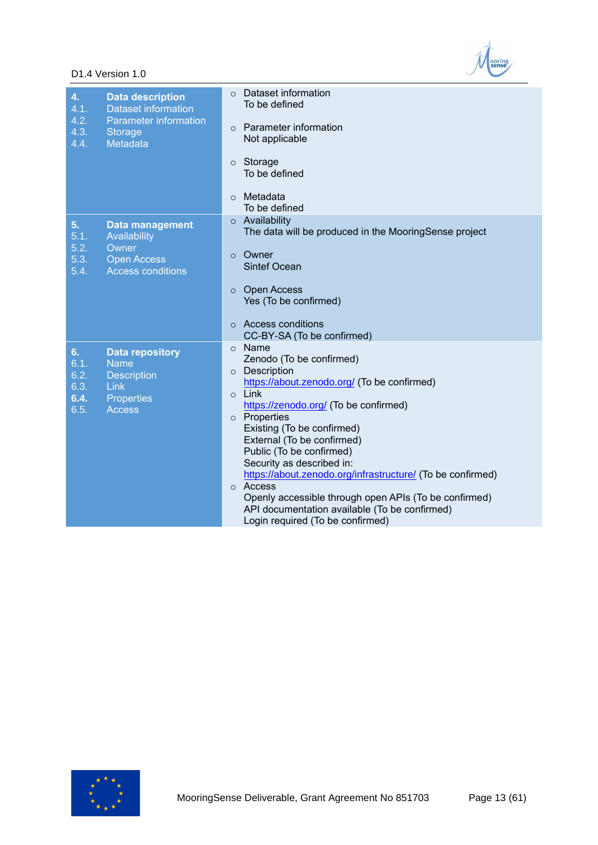| 4.<br>4.1.<br>4.2.<br>4.3.<br>4.4.         | <b>Data description</b><br><b>Dataset information</b><br><b>Parameter information</b><br><b>Storage</b><br>Metadata | Dataset information<br>$\Omega$<br>To be defined<br>Parameter information<br>$\Omega$<br>Not applicable<br>Storage<br>$\circ$<br>To be defined<br>Metadata<br>$\circ$<br>To be defined                                                                                                                                                                                                                                                                                                                                                                 |
|--------------------------------------------|---------------------------------------------------------------------------------------------------------------------|--------------------------------------------------------------------------------------------------------------------------------------------------------------------------------------------------------------------------------------------------------------------------------------------------------------------------------------------------------------------------------------------------------------------------------------------------------------------------------------------------------------------------------------------------------|
| 5.<br>5.1.<br>5.2.<br>5.3.<br>5.4.         | <b>Data management</b><br>Availability<br>Owner<br><b>Open Access</b><br><b>Access conditions</b>                   | Availability<br>$\circ$<br>The data will be produced in the MooringSense project<br>Owner<br>$\circ$<br><b>Sintef Ocean</b><br><b>Open Access</b><br>$\circ$<br>Yes (To be confirmed)<br><b>Access conditions</b><br>$\circ$<br>CC-BY-SA (To be confirmed)                                                                                                                                                                                                                                                                                             |
| 6.<br>6.1.<br>6.2.<br>6.3.<br>6.4.<br>6.5. | <b>Data repository</b><br><b>Name</b><br><b>Description</b><br>Link<br>Properties<br><b>Access</b>                  | Name<br>$\circ$<br>Zenodo (To be confirmed)<br>Description<br>$\circ$<br>https://about.zenodo.org/ (To be confirmed)<br>Link<br>$\circ$<br>https://zenodo.org/ (To be confirmed)<br>Properties<br>$\circ$<br>Existing (To be confirmed)<br>External (To be confirmed)<br>Public (To be confirmed)<br>Security as described in:<br>https://about.zenodo.org/infrastructure/ (To be confirmed)<br>o Access<br>Openly accessible through open APIs (To be confirmed)<br>API documentation available (To be confirmed)<br>Login required (To be confirmed) |

 $\mathcal{N}_{\text{sense}}$ 

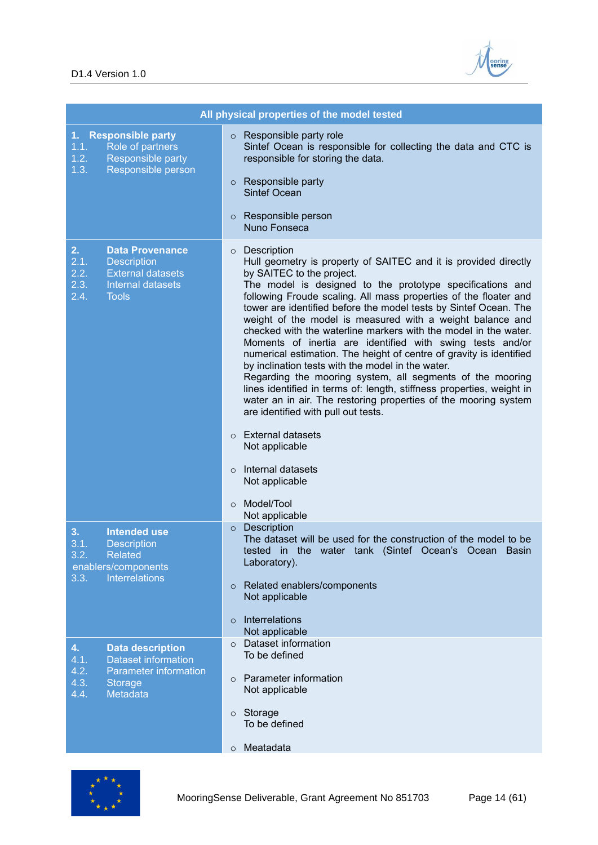

| All physical properties of the model tested                                                                                                                                    |                                                                                                                                                                                                                                                                                                                                                                                                                                                                                                                                                                                                                                                                                                                                                                                                                                                                                                                                                               |  |
|--------------------------------------------------------------------------------------------------------------------------------------------------------------------------------|---------------------------------------------------------------------------------------------------------------------------------------------------------------------------------------------------------------------------------------------------------------------------------------------------------------------------------------------------------------------------------------------------------------------------------------------------------------------------------------------------------------------------------------------------------------------------------------------------------------------------------------------------------------------------------------------------------------------------------------------------------------------------------------------------------------------------------------------------------------------------------------------------------------------------------------------------------------|--|
| <b>Responsible party</b><br>1.<br>1.1.<br>Role of partners<br>1.2.<br>Responsible party<br>1.3.<br>Responsible person                                                          | $\circ$ Responsible party role<br>Sintef Ocean is responsible for collecting the data and CTC is<br>responsible for storing the data.<br>Responsible party<br>$\circ$<br><b>Sintef Ocean</b><br>Responsible person<br>$\circ$<br>Nuno Fonseca                                                                                                                                                                                                                                                                                                                                                                                                                                                                                                                                                                                                                                                                                                                 |  |
| 2.<br><b>Data Provenance</b><br>2.1.<br><b>Description</b><br>2.2.<br><b>External datasets</b><br>2.3.<br>Internal datasets<br>2.4.<br><b>Tools</b>                            | Description<br>$\circ$<br>Hull geometry is property of SAITEC and it is provided directly<br>by SAITEC to the project.<br>The model is designed to the prototype specifications and<br>following Froude scaling. All mass properties of the floater and<br>tower are identified before the model tests by Sintef Ocean. The<br>weight of the model is measured with a weight balance and<br>checked with the waterline markers with the model in the water.<br>Moments of inertia are identified with swing tests and/or<br>numerical estimation. The height of centre of gravity is identified<br>by inclination tests with the model in the water.<br>Regarding the mooring system, all segments of the mooring<br>lines identified in terms of: length, stiffness properties, weight in<br>water an in air. The restoring properties of the mooring system<br>are identified with pull out tests.<br><b>External datasets</b><br>$\circ$<br>Not applicable |  |
|                                                                                                                                                                                | Internal datasets<br>$\Omega$<br>Not applicable<br>Model/Tool<br>$\Omega$<br>Not applicable                                                                                                                                                                                                                                                                                                                                                                                                                                                                                                                                                                                                                                                                                                                                                                                                                                                                   |  |
| 3.<br><b>Intended use</b><br>3.1.<br><b>Description</b><br>3.2.<br><b>Related</b><br>enablers/components<br>3.3.<br><b>Interrelations</b>                                      | Description<br>$\circ$<br>The dataset will be used for the construction of the model to be<br>tested in the water tank (Sintef Ocean's Ocean<br><b>Basin</b><br>Laboratory).<br>Related enablers/components<br>$\circ$<br>Not applicable<br>Interrelations<br>$\Omega$<br>Not applicable                                                                                                                                                                                                                                                                                                                                                                                                                                                                                                                                                                                                                                                                      |  |
| <b>Data description</b><br>4.<br><b>Dataset information</b><br>4.1.<br>4.2.<br><b>Parameter information</b><br>$\overline{4.3}$ .<br><b>Storage</b><br><b>Metadata</b><br>4.4. | Dataset information<br>To be defined<br>Parameter information<br>$\Omega$<br>Not applicable<br>Storage<br>$\circ$<br>To be defined<br>Meatadata<br>$\circ$                                                                                                                                                                                                                                                                                                                                                                                                                                                                                                                                                                                                                                                                                                                                                                                                    |  |

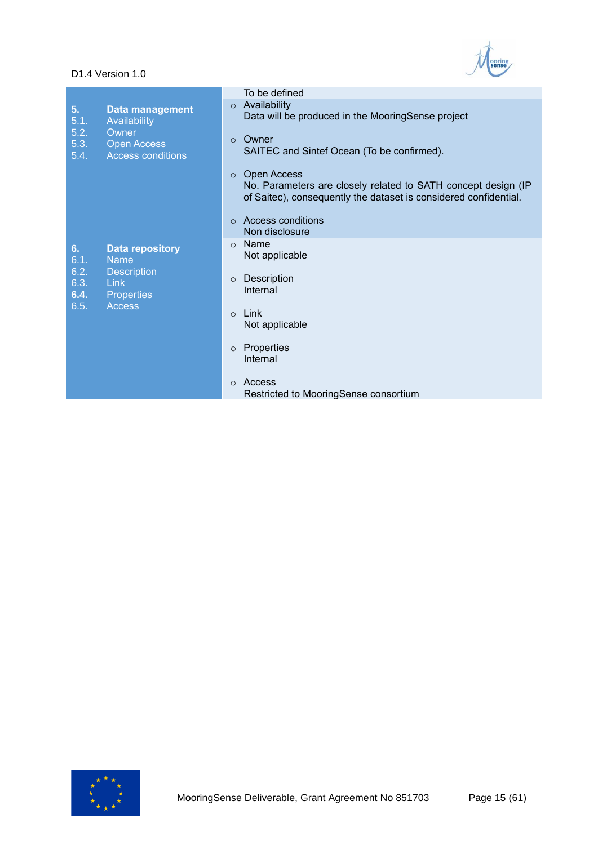ooring<br>sense

|                      |                                                        | To be defined                                                                                                                                                      |
|----------------------|--------------------------------------------------------|--------------------------------------------------------------------------------------------------------------------------------------------------------------------|
| 5.<br>5.1.<br>5.2.   | <b>Data management</b><br>Availability<br>Owner        | Availability<br>$\circ$<br>Data will be produced in the MooringSense project                                                                                       |
| 5.3.<br>5.4.         | <b>Open Access</b><br><b>Access conditions</b>         | Owner<br>$\Omega$<br>SAITEC and Sintef Ocean (To be confirmed).                                                                                                    |
|                      |                                                        | <b>Open Access</b><br>$\circ$<br>No. Parameters are closely related to SATH concept design (IP<br>of Saitec), consequently the dataset is considered confidential. |
|                      |                                                        | Access conditions<br>$\Omega$<br>Non disclosure                                                                                                                    |
| 6.<br>6.1.           | <b>Data repository</b><br><b>Name</b>                  | Name<br>$\Omega$<br>Not applicable                                                                                                                                 |
| 6.2.<br>6.3.<br>6.4. | <b>Description</b><br><b>Link</b><br><b>Properties</b> | Description<br>$\circ$<br>Internal                                                                                                                                 |
| 6.5.                 | <b>Access</b>                                          | Link<br>$\Omega$<br>Not applicable                                                                                                                                 |
|                      |                                                        | Properties<br>$\circ$<br>Internal                                                                                                                                  |
|                      |                                                        | Access<br>$\circ$<br>Restricted to MooringSense consortium                                                                                                         |

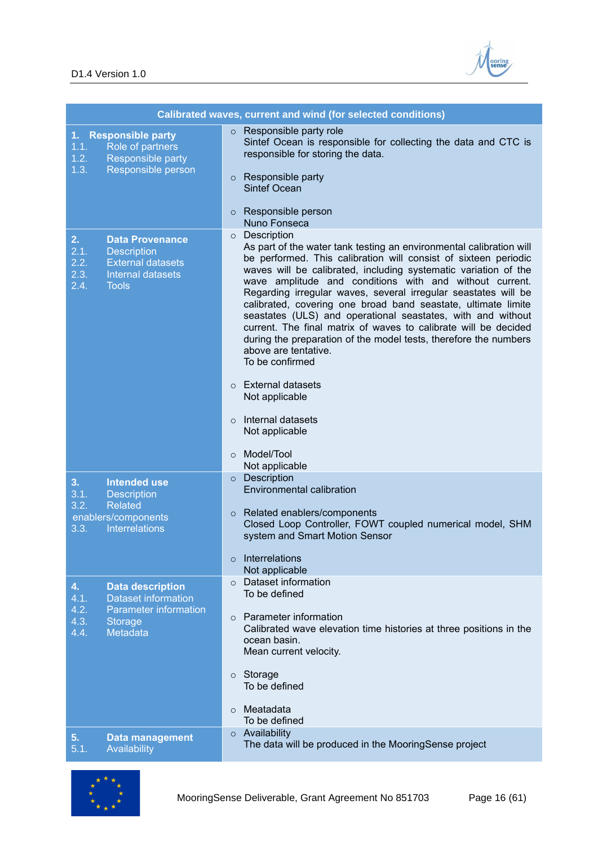

| Calibrated waves, current and wind (for selected conditions)                                                                                        |                                                                                                                                                                                                                                                                                                                                                                                                                                                                                                                                                                                                                                                                                    |  |
|-----------------------------------------------------------------------------------------------------------------------------------------------------|------------------------------------------------------------------------------------------------------------------------------------------------------------------------------------------------------------------------------------------------------------------------------------------------------------------------------------------------------------------------------------------------------------------------------------------------------------------------------------------------------------------------------------------------------------------------------------------------------------------------------------------------------------------------------------|--|
| <b>Responsible party</b><br>1.<br>Role of partners<br>1.1.<br>Responsible party<br>1.2.<br>Responsible person<br>1.3.                               | $\circ$ Responsible party role<br>Sintef Ocean is responsible for collecting the data and CTC is<br>responsible for storing the data.<br>Responsible party<br>$\circ$<br><b>Sintef Ocean</b>                                                                                                                                                                                                                                                                                                                                                                                                                                                                                       |  |
|                                                                                                                                                     | Responsible person<br>$\circ$<br>Nuno Fonseca                                                                                                                                                                                                                                                                                                                                                                                                                                                                                                                                                                                                                                      |  |
| 2.<br><b>Data Provenance</b><br>2.1.<br><b>Description</b><br><b>External datasets</b><br>2.2.<br>2.3.<br>Internal datasets<br><b>Tools</b><br>2.4. | Description<br>$\circ$<br>As part of the water tank testing an environmental calibration will<br>be performed. This calibration will consist of sixteen periodic<br>waves will be calibrated, including systematic variation of the<br>wave amplitude and conditions with and without current.<br>Regarding irregular waves, several irregular seastates will be<br>calibrated, covering one broad band seastate, ultimate limite<br>seastates (ULS) and operational seastates, with and without<br>current. The final matrix of waves to calibrate will be decided<br>during the preparation of the model tests, therefore the numbers<br>above are tentative.<br>To be confirmed |  |
|                                                                                                                                                     | <b>External datasets</b><br>$\circ$<br>Not applicable<br>Internal datasets<br>$\Omega$<br>Not applicable<br>Model/Tool<br>$\circ$<br>Not applicable                                                                                                                                                                                                                                                                                                                                                                                                                                                                                                                                |  |
| <b>Intended use</b><br>3.<br><b>Description</b><br>3.1.<br><b>Related</b><br>3.2.<br>enablers/components<br>3.3.<br><b>Interrelations</b>           | Description<br>$\circ$<br><b>Environmental calibration</b><br>Related enablers/components<br>$\circ$<br>Closed Loop Controller, FOWT coupled numerical model, SHM<br>system and Smart Motion Sensor<br>Interrelations<br>$\circ$                                                                                                                                                                                                                                                                                                                                                                                                                                                   |  |
|                                                                                                                                                     | Not applicable                                                                                                                                                                                                                                                                                                                                                                                                                                                                                                                                                                                                                                                                     |  |
| 4.<br><b>Data description</b><br><b>Dataset information</b><br>4.1.<br>Parameter information<br>4.2.<br>4.3.<br><b>Storage</b><br>Metadata<br>4.4.  | Dataset information<br>$\Omega$<br>To be defined<br>Parameter information<br>$\Omega$<br>Calibrated wave elevation time histories at three positions in the<br>ocean basin.<br>Mean current velocity.<br>Storage<br>$\circ$<br>To be defined<br>Meatadata<br>$\Omega$                                                                                                                                                                                                                                                                                                                                                                                                              |  |
|                                                                                                                                                     | To be defined<br>Availability                                                                                                                                                                                                                                                                                                                                                                                                                                                                                                                                                                                                                                                      |  |
| <b>Data management</b><br>5.<br>5.1.<br>Availability                                                                                                | $\circ$<br>The data will be produced in the MooringSense project                                                                                                                                                                                                                                                                                                                                                                                                                                                                                                                                                                                                                   |  |

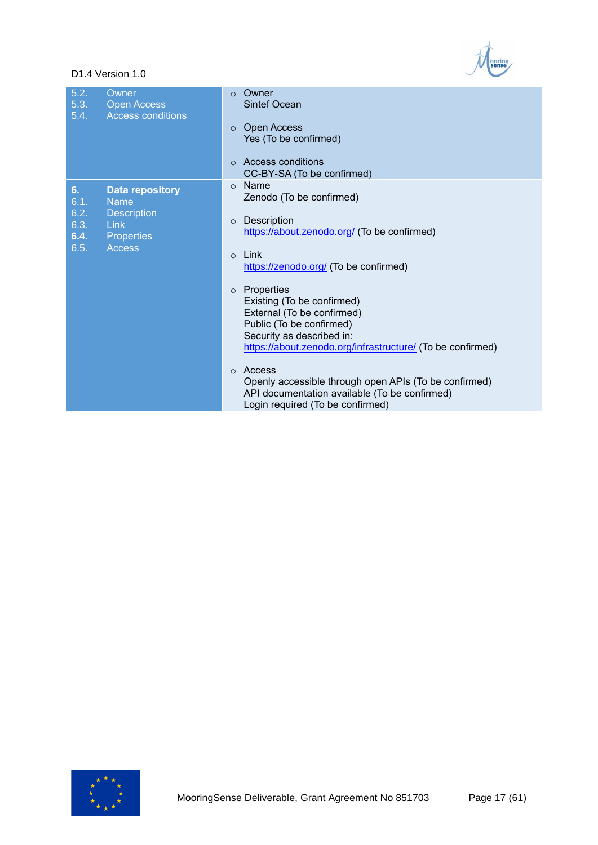| 5.2. | Owner                    | Owner<br>$\circ$                                           |
|------|--------------------------|------------------------------------------------------------|
| 5.3. | <b>Open Access</b>       | <b>Sintef Ocean</b>                                        |
| 5.4. | <b>Access conditions</b> |                                                            |
|      |                          | <b>Open Access</b><br>$\circ$                              |
|      |                          | Yes (To be confirmed)                                      |
|      |                          |                                                            |
|      |                          | Access conditions<br>$\Omega$                              |
|      |                          |                                                            |
|      |                          | CC-BY-SA (To be confirmed)                                 |
| 6.   | <b>Data repository</b>   | Name<br>$\circ$                                            |
| 6.1. | <b>Name</b>              | Zenodo (To be confirmed)                                   |
| 6.2. | <b>Description</b>       |                                                            |
| 6.3. | <b>Link</b>              | <b>Description</b><br>$\circ$                              |
| 6.4. | Properties               | https://about.zenodo.org/ (To be confirmed)                |
| 6.5. | <b>Access</b>            |                                                            |
|      |                          | Link<br>$\circ$                                            |
|      |                          | https://zenodo.org/ (To be confirmed)                      |
|      |                          |                                                            |
|      |                          | Properties<br>$\circ$                                      |
|      |                          | Existing (To be confirmed)                                 |
|      |                          | External (To be confirmed)                                 |
|      |                          | Public (To be confirmed)                                   |
|      |                          |                                                            |
|      |                          | Security as described in:                                  |
|      |                          | https://about.zenodo.org/infrastructure/ (To be confirmed) |
|      |                          |                                                            |
|      |                          | Access<br>$\circ$                                          |
|      |                          | Openly accessible through open APIs (To be confirmed)      |
|      |                          | API documentation available (To be confirmed)              |
|      |                          | Login required (To be confirmed)                           |
|      |                          |                                                            |

ooring

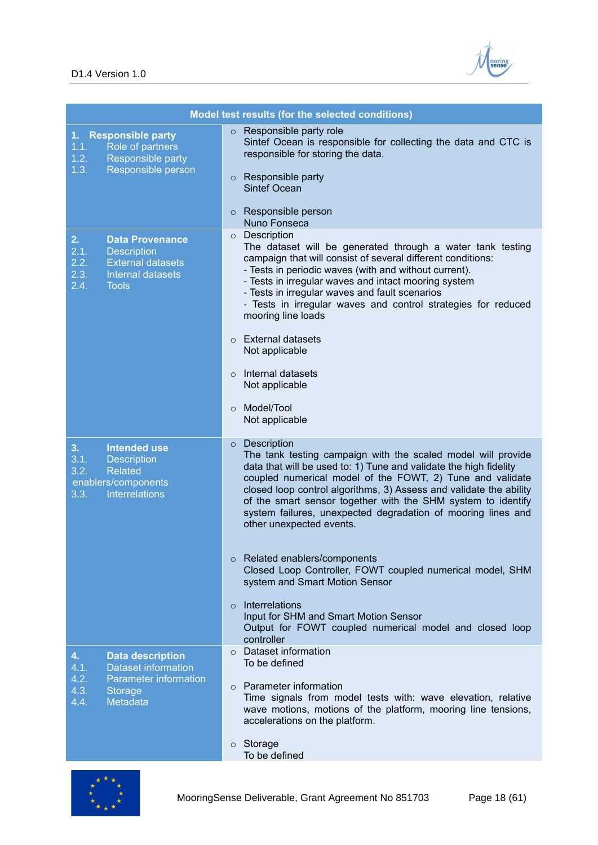

| Model test results (for the selected conditions)                                                                                   |                                                                                                                                                                                                                                                                                                                                                                                                                                                                   |  |
|------------------------------------------------------------------------------------------------------------------------------------|-------------------------------------------------------------------------------------------------------------------------------------------------------------------------------------------------------------------------------------------------------------------------------------------------------------------------------------------------------------------------------------------------------------------------------------------------------------------|--|
| <b>Responsible party</b><br>1.1<br>Role of partners<br>1.1.<br>1.2.<br>Responsible party<br>1.3.<br>Responsible person             | $\circ$ Responsible party role<br>Sintef Ocean is responsible for collecting the data and CTC is<br>responsible for storing the data.<br>Responsible party<br>$\circ$<br><b>Sintef Ocean</b><br>Responsible person<br>$\circ$<br>Nuno Fonseca                                                                                                                                                                                                                     |  |
| 2.<br><b>Data Provenance</b>                                                                                                       | Description<br>$\circ$                                                                                                                                                                                                                                                                                                                                                                                                                                            |  |
| 2.1.<br><b>Description</b><br>2.2.<br><b>External datasets</b><br>2.3.<br>Internal datasets<br>2.4.<br><b>Tools</b>                | The dataset will be generated through a water tank testing<br>campaign that will consist of several different conditions:<br>- Tests in periodic waves (with and without current).<br>- Tests in irregular waves and intact mooring system<br>- Tests in irregular waves and fault scenarios<br>- Tests in irregular waves and control strategies for reduced<br>mooring line loads                                                                               |  |
|                                                                                                                                    | <b>External datasets</b><br>$\circ$<br>Not applicable                                                                                                                                                                                                                                                                                                                                                                                                             |  |
|                                                                                                                                    | Internal datasets<br>$\Omega$<br>Not applicable                                                                                                                                                                                                                                                                                                                                                                                                                   |  |
|                                                                                                                                    | Model/Tool<br>$\Omega$<br>Not applicable                                                                                                                                                                                                                                                                                                                                                                                                                          |  |
| 3.<br><b>Intended use</b><br>3.1.<br><b>Description</b><br>3.2.<br><b>Related</b><br>enablers/components<br>3.3.<br>Interrelations | <b>Description</b><br>$\circ$<br>The tank testing campaign with the scaled model will provide<br>data that will be used to: 1) Tune and validate the high fidelity<br>coupled numerical model of the FOWT, 2) Tune and validate<br>closed loop control algorithms, 3) Assess and validate the ability<br>of the smart sensor together with the SHM system to identify<br>system failures, unexpected degradation of mooring lines and<br>other unexpected events. |  |
|                                                                                                                                    | o Related enablers/components<br>Closed Loop Controller, FOWT coupled numerical model, SHM<br>system and Smart Motion Sensor                                                                                                                                                                                                                                                                                                                                      |  |
|                                                                                                                                    | Interrelations<br>$\circ$<br>Input for SHM and Smart Motion Sensor<br>Output for FOWT coupled numerical model and closed loop<br>controller                                                                                                                                                                                                                                                                                                                       |  |
| <b>Data description</b><br>4.<br><b>Dataset information</b><br>4.1.                                                                | Dataset information<br>$\circ$<br>To be defined                                                                                                                                                                                                                                                                                                                                                                                                                   |  |
| Parameter information<br>4.2.<br>4.3.<br><b>Storage</b><br>Metadata<br>4.4.                                                        | Parameter information<br>$\circ$<br>Time signals from model tests with: wave elevation, relative<br>wave motions, motions of the platform, mooring line tensions,<br>accelerations on the platform.                                                                                                                                                                                                                                                               |  |
|                                                                                                                                    | Storage<br>$\circ$<br>To be defined                                                                                                                                                                                                                                                                                                                                                                                                                               |  |

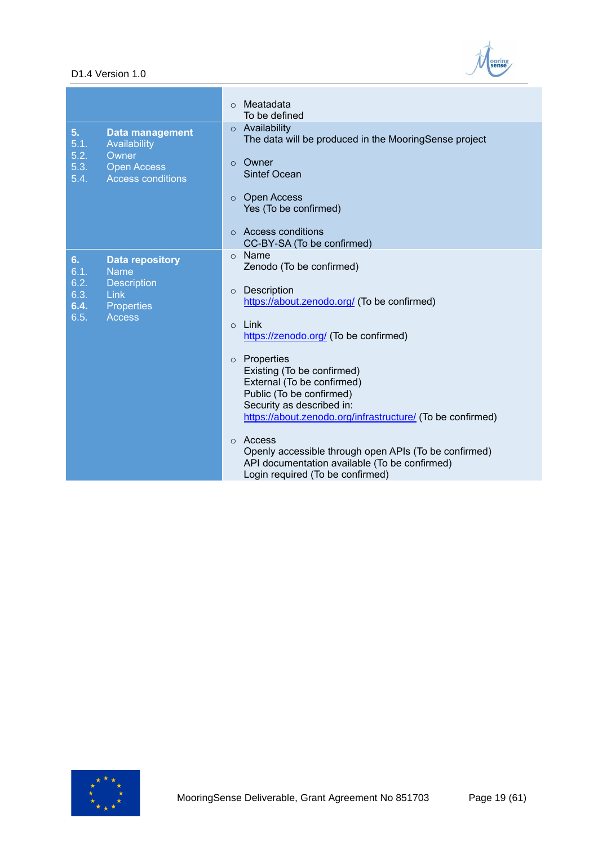

|                                            |                                                                                                           | Meatadata<br>$\bigcirc$<br>To be defined                                                                                                                                                                               |
|--------------------------------------------|-----------------------------------------------------------------------------------------------------------|------------------------------------------------------------------------------------------------------------------------------------------------------------------------------------------------------------------------|
| 5.<br>5.1.<br>5.2.<br>5.3.<br>5.4.         | <b>Data management</b><br>Availability<br>Owner<br><b>Open Access</b><br><b>Access conditions</b>         | Availability<br>$\circ$<br>The data will be produced in the MooringSense project<br>Owner<br>$\circ$<br>Sintef Ocean<br><b>Open Access</b><br>$\circ$<br>Yes (To be confirmed)<br><b>Access conditions</b><br>$\Omega$ |
|                                            |                                                                                                           | CC-BY-SA (To be confirmed)                                                                                                                                                                                             |
| 6.<br>6.1.<br>6.2.<br>6.3.<br>6.4.<br>6.5. | <b>Data repository</b><br><b>Name</b><br><b>Description</b><br><b>Link</b><br>Properties<br><b>Access</b> | Name<br>$\bigcirc$<br>Zenodo (To be confirmed)<br>Description<br>$\circ$<br>https://about.zenodo.org/ (To be confirmed)<br>Link<br>$\Omega$<br>https://zenodo.org/ (To be confirmed)                                   |
|                                            |                                                                                                           | Properties<br>$\circ$<br>Existing (To be confirmed)<br>External (To be confirmed)<br>Public (To be confirmed)<br>Security as described in:<br>https://about.zenodo.org/infrastructure/ (To be confirmed)               |
|                                            |                                                                                                           | Access<br>$\Omega$<br>Openly accessible through open APIs (To be confirmed)<br>API documentation available (To be confirmed)<br>Login required (To be confirmed)                                                       |

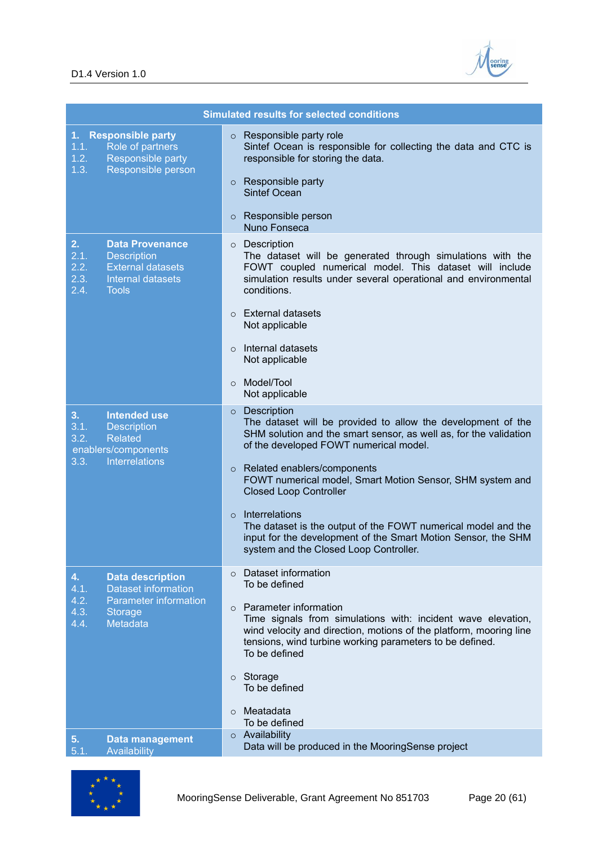

| <b>Simulated results for selected conditions</b>                                                                                                                 |                                                                                                                                                                                                                                                                                                                                                                                                                                                                                                                                                        |  |
|------------------------------------------------------------------------------------------------------------------------------------------------------------------|--------------------------------------------------------------------------------------------------------------------------------------------------------------------------------------------------------------------------------------------------------------------------------------------------------------------------------------------------------------------------------------------------------------------------------------------------------------------------------------------------------------------------------------------------------|--|
| <b>Responsible party</b><br>1.<br>1.1.<br>Role of partners<br>1.2.<br>Responsible party<br>1.3.<br>Responsible person                                            | o Responsible party role<br>Sintef Ocean is responsible for collecting the data and CTC is<br>responsible for storing the data.<br>Responsible party<br>$\circ$<br><b>Sintef Ocean</b><br>Responsible person<br>$\circ$<br>Nuno Fonseca                                                                                                                                                                                                                                                                                                                |  |
| 2.<br><b>Data Provenance</b><br>2.1.<br><b>Description</b><br>2.2.<br><b>External datasets</b><br>2.3.<br>Internal datasets<br>2.4.<br><b>Tools</b>              | <b>O</b> Description<br>The dataset will be generated through simulations with the<br>FOWT coupled numerical model. This dataset will include<br>simulation results under several operational and environmental<br>conditions.<br><b>External datasets</b><br>$\circ$<br>Not applicable<br>Internal datasets<br>$\Omega$<br>Not applicable<br>Model/Tool<br>$\circ$<br>Not applicable                                                                                                                                                                  |  |
| 3.<br><b>Intended use</b><br>3.1.<br><b>Description</b><br><b>Related</b><br>3.2.<br>enablers/components<br>Interrelations<br>3.3.                               | Description<br>$\circ$<br>The dataset will be provided to allow the development of the<br>SHM solution and the smart sensor, as well as, for the validation<br>of the developed FOWT numerical model.<br>Related enablers/components<br>$\circ$<br>FOWT numerical model, Smart Motion Sensor, SHM system and<br><b>Closed Loop Controller</b><br>Interrelations<br>$\circ$<br>The dataset is the output of the FOWT numerical model and the<br>input for the development of the Smart Motion Sensor, the SHM<br>system and the Closed Loop Controller. |  |
| <b>Data description</b><br>4.<br><b>Dataset information</b><br>$\overline{4.1}$ .<br><b>Parameter information</b><br>4.2.<br>4.3.<br>Storage<br>Metadata<br>4.4. | Dataset information<br>$\Omega$<br>To be defined<br>Parameter information<br>$\Omega$<br>Time signals from simulations with: incident wave elevation,<br>wind velocity and direction, motions of the platform, mooring line<br>tensions, wind turbine working parameters to be defined.<br>To be defined<br>Storage<br>$\circ$<br>To be defined<br>Meatadata<br>$\circ$<br>To be defined                                                                                                                                                               |  |
| 5.<br><b>Data management</b><br>Availability<br>5.1.                                                                                                             | Availability<br>$\circ$<br>Data will be produced in the MooringSense project                                                                                                                                                                                                                                                                                                                                                                                                                                                                           |  |

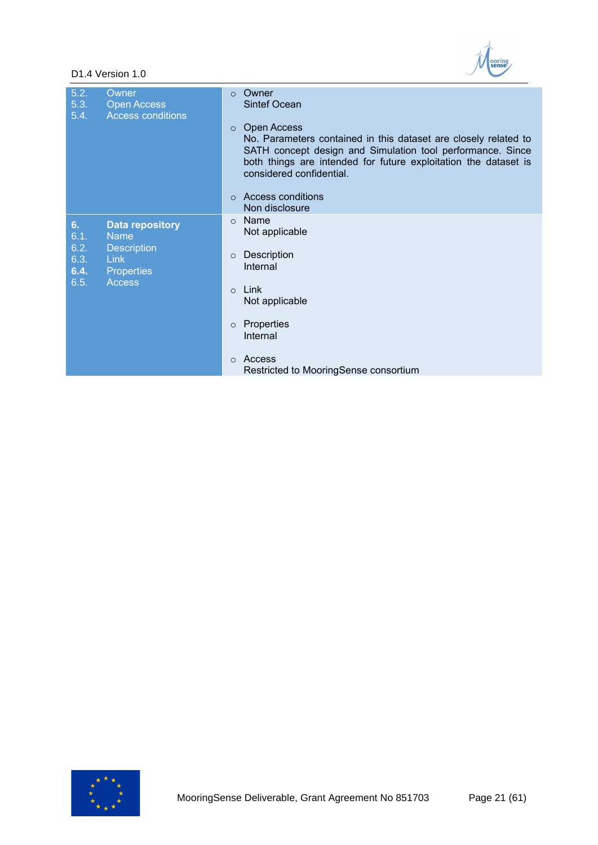| 5.2.<br>5.3.<br>5.4.                       | Owner<br><b>Open Access</b><br><b>Access conditions</b>                                                          | Owner<br>$\circ$<br><b>Sintef Ocean</b><br><b>Open Access</b><br>$\circ$<br>No. Parameters contained in this dataset are closely related to<br>SATH concept design and Simulation tool performance. Since<br>both things are intended for future exploitation the dataset is<br>considered confidential.<br>Access conditions<br>$\Omega$<br>Non disclosure |
|--------------------------------------------|------------------------------------------------------------------------------------------------------------------|-------------------------------------------------------------------------------------------------------------------------------------------------------------------------------------------------------------------------------------------------------------------------------------------------------------------------------------------------------------|
| 6.<br>6.1.<br>6.2.<br>6.3.<br>6.4.<br>6.5. | <b>Data repository</b><br><b>Name</b><br><b>Description</b><br><b>Link</b><br><b>Properties</b><br><b>Access</b> | Name<br>$\Omega$<br>Not applicable<br>Description<br>$\circ$<br>Internal<br>Link<br>$\circ$<br>Not applicable<br>Properties<br>$\circ$<br>Internal<br>Access<br>$\circ$<br>Restricted to MooringSense consortium                                                                                                                                            |

ooring<br>sense

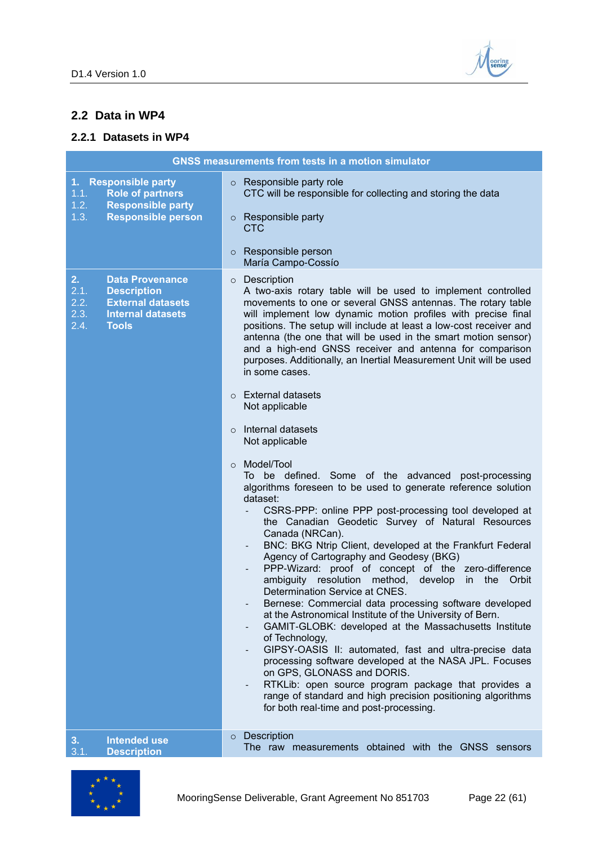

# <span id="page-21-0"></span>**2.2 Data in WP4**

## <span id="page-21-1"></span>**2.2.1 Datasets in WP4**

| <b>GNSS measurements from tests in a motion simulator</b>                                                                                                  |                                                                                                                                                                                                                                                                                                                                                                                                                                                                                                                                                                                                                                                                                                                                                                                                                                                                                                                                                                                                                                                                                                                                                                                                                                                                                                                                                                                                                                                                                                                                                                                                                                                                                                                                                          |  |
|------------------------------------------------------------------------------------------------------------------------------------------------------------|----------------------------------------------------------------------------------------------------------------------------------------------------------------------------------------------------------------------------------------------------------------------------------------------------------------------------------------------------------------------------------------------------------------------------------------------------------------------------------------------------------------------------------------------------------------------------------------------------------------------------------------------------------------------------------------------------------------------------------------------------------------------------------------------------------------------------------------------------------------------------------------------------------------------------------------------------------------------------------------------------------------------------------------------------------------------------------------------------------------------------------------------------------------------------------------------------------------------------------------------------------------------------------------------------------------------------------------------------------------------------------------------------------------------------------------------------------------------------------------------------------------------------------------------------------------------------------------------------------------------------------------------------------------------------------------------------------------------------------------------------------|--|
| <b>Responsible party</b><br>1.<br><b>Role of partners</b><br>1.1.<br><b>Responsible party</b><br>1.2.<br><b>Responsible person</b><br>1.3.                 | $\circ$ Responsible party role<br>CTC will be responsible for collecting and storing the data<br>Responsible party<br>$\circ$<br><b>CTC</b><br>Responsible person<br>$\circ$                                                                                                                                                                                                                                                                                                                                                                                                                                                                                                                                                                                                                                                                                                                                                                                                                                                                                                                                                                                                                                                                                                                                                                                                                                                                                                                                                                                                                                                                                                                                                                             |  |
| 2.<br><b>Data Provenance</b><br>2.1.<br><b>Description</b><br><b>External datasets</b><br>2.2.<br>2.3.<br><b>Internal datasets</b><br><b>Tools</b><br>2.4. | María Campo-Cossío<br>Description<br>$\circ$<br>A two-axis rotary table will be used to implement controlled<br>movements to one or several GNSS antennas. The rotary table<br>will implement low dynamic motion profiles with precise final<br>positions. The setup will include at least a low-cost receiver and<br>antenna (the one that will be used in the smart motion sensor)<br>and a high-end GNSS receiver and antenna for comparison<br>purposes. Additionally, an Inertial Measurement Unit will be used<br>in some cases.<br><b>External datasets</b><br>$\Omega$<br>Not applicable<br>Internal datasets<br>$\Omega$<br>Not applicable<br>Model/Tool<br>$\circ$<br>To be defined. Some of the advanced post-processing<br>algorithms foreseen to be used to generate reference solution<br>dataset:<br>CSRS-PPP: online PPP post-processing tool developed at<br>the Canadian Geodetic Survey of Natural Resources<br>Canada (NRCan).<br>BNC: BKG Ntrip Client, developed at the Frankfurt Federal<br>Agency of Cartography and Geodesy (BKG)<br>PPP-Wizard: proof of concept of the zero-difference<br>ambiguity resolution method, develop in the Orbit<br>Determination Service at CNES.<br>Bernese: Commercial data processing software developed<br>at the Astronomical Institute of the University of Bern.<br>GAMIT-GLOBK: developed at the Massachusetts Institute<br>of Technology,<br>GIPSY-OASIS II: automated, fast and ultra-precise data<br>$\overline{\phantom{a}}$<br>processing software developed at the NASA JPL. Focuses<br>on GPS, GLONASS and DORIS.<br>RTKLib: open source program package that provides a<br>range of standard and high precision positioning algorithms<br>for both real-time and post-processing. |  |
| 3.<br><b>Intended use</b><br>3.1.<br><b>Description</b>                                                                                                    | Description<br>$\circ$<br>The raw measurements obtained with the GNSS sensors                                                                                                                                                                                                                                                                                                                                                                                                                                                                                                                                                                                                                                                                                                                                                                                                                                                                                                                                                                                                                                                                                                                                                                                                                                                                                                                                                                                                                                                                                                                                                                                                                                                                            |  |
|                                                                                                                                                            |                                                                                                                                                                                                                                                                                                                                                                                                                                                                                                                                                                                                                                                                                                                                                                                                                                                                                                                                                                                                                                                                                                                                                                                                                                                                                                                                                                                                                                                                                                                                                                                                                                                                                                                                                          |  |

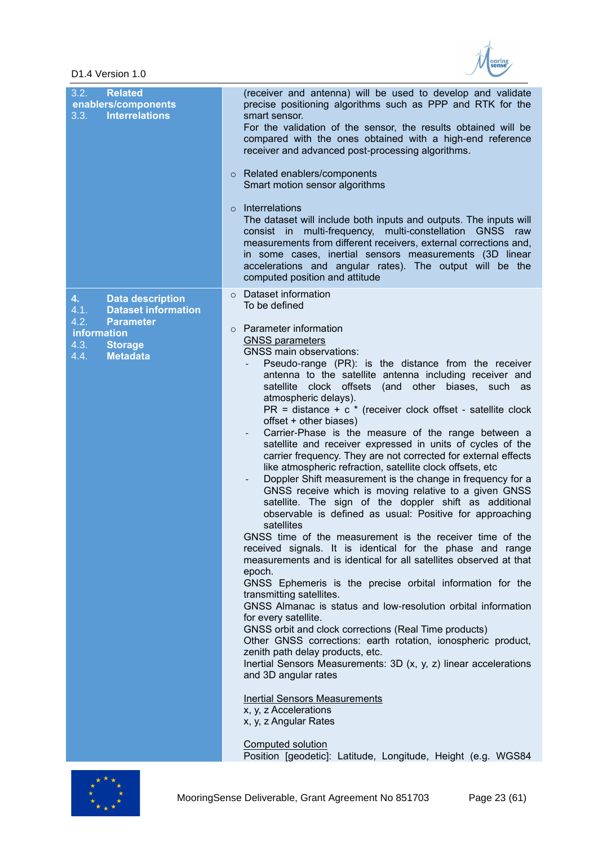$\mathcal{N}_{\text{sense}}$ 

| 3.2.<br><b>Related</b><br>enablers/components<br><b>Interrelations</b><br>3.3.                                                                                             | (receiver and antenna) will be used to develop and validate<br>precise positioning algorithms such as PPP and RTK for the<br>smart sensor.<br>For the validation of the sensor, the results obtained will be<br>compared with the ones obtained with a high-end reference<br>receiver and advanced post-processing algorithms.<br>o Related enablers/components<br>Smart motion sensor algorithms<br>Interrelations<br>$\circ$<br>The dataset will include both inputs and outputs. The inputs will<br>multi-frequency, multi-constellation GNSS raw<br>consist in<br>measurements from different receivers, external corrections and,<br>in some cases, inertial sensors measurements (3D linear<br>accelerations and angular rates). The output will be the<br>computed position and attitude                                                                                                                                                                                                                                                                                                                                                                                                                                                                                                                                                                                                                                                                                                                                                                                                                                                                                                                                                                                                       |
|----------------------------------------------------------------------------------------------------------------------------------------------------------------------------|-------------------------------------------------------------------------------------------------------------------------------------------------------------------------------------------------------------------------------------------------------------------------------------------------------------------------------------------------------------------------------------------------------------------------------------------------------------------------------------------------------------------------------------------------------------------------------------------------------------------------------------------------------------------------------------------------------------------------------------------------------------------------------------------------------------------------------------------------------------------------------------------------------------------------------------------------------------------------------------------------------------------------------------------------------------------------------------------------------------------------------------------------------------------------------------------------------------------------------------------------------------------------------------------------------------------------------------------------------------------------------------------------------------------------------------------------------------------------------------------------------------------------------------------------------------------------------------------------------------------------------------------------------------------------------------------------------------------------------------------------------------------------------------------------------|
| 4.<br><b>Data description</b><br>4.1.<br><b>Dataset information</b><br>4.2.<br><b>Parameter</b><br><b>information</b><br>4.3.<br><b>Storage</b><br><b>Metadata</b><br>4.4. | Dataset information<br>$\circ$<br>To be defined<br>Parameter information<br>$\circ$<br><b>GNSS</b> parameters<br><b>GNSS main observations:</b><br>Pseudo-range (PR): is the distance from the receiver<br>antenna to the satellite antenna including receiver and<br>satellite clock offsets (and other biases, such as<br>atmospheric delays).<br>$PR = distance + c * (receiver clock offset - satellite clock)$<br>offset + other biases)<br>Carrier-Phase is the measure of the range between a<br>satellite and receiver expressed in units of cycles of the<br>carrier frequency. They are not corrected for external effects<br>like atmospheric refraction, satellite clock offsets, etc<br>Doppler Shift measurement is the change in frequency for a<br>GNSS receive which is moving relative to a given GNSS<br>satellite. The sign of the doppler shift as additional<br>observable is defined as usual: Positive for approaching<br>satellites<br>GNSS time of the measurement is the receiver time of the<br>received signals. It is identical for the phase and range<br>measurements and is identical for all satellites observed at that<br>epoch.<br>GNSS Ephemeris is the precise orbital information for the<br>transmitting satellites.<br>GNSS Almanac is status and low-resolution orbital information<br>for every satellite.<br>GNSS orbit and clock corrections (Real Time products)<br>Other GNSS corrections: earth rotation, ionospheric product,<br>zenith path delay products, etc.<br>Inertial Sensors Measurements: 3D (x, y, z) linear accelerations<br>and 3D angular rates<br><b>Inertial Sensors Measurements</b><br>x, y, z Accelerations<br>x, y, z Angular Rates<br><b>Computed solution</b><br>Position [geodetic]: Latitude, Longitude, Height (e.g. WGS84 |

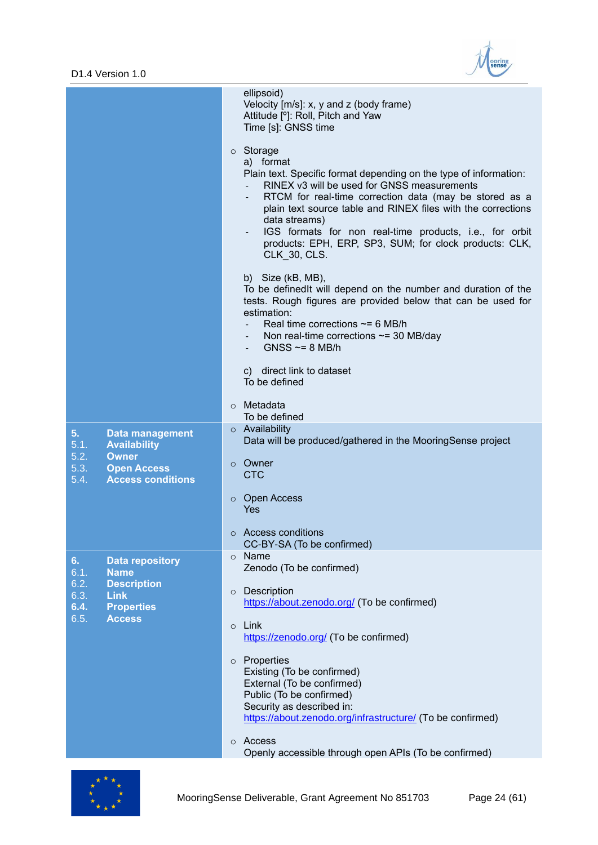

|                                                  |                                                                                                          | ellipsoid)<br>Velocity [m/s]: x, y and z (body frame)<br>Attitude [ <sup>o</sup> ]: Roll, Pitch and Yaw<br>Time [s]: GNSS time<br>Storage<br>$\circ$<br>a) format<br>Plain text. Specific format depending on the type of information:<br>RINEX v3 will be used for GNSS measurements<br>RTCM for real-time correction data (may be stored as a<br>plain text source table and RINEX files with the corrections<br>data streams)<br>IGS formats for non real-time products, i.e., for orbit<br>products: EPH, ERP, SP3, SUM; for clock products: CLK,<br>CLK 30, CLS. |
|--------------------------------------------------|----------------------------------------------------------------------------------------------------------|-----------------------------------------------------------------------------------------------------------------------------------------------------------------------------------------------------------------------------------------------------------------------------------------------------------------------------------------------------------------------------------------------------------------------------------------------------------------------------------------------------------------------------------------------------------------------|
|                                                  |                                                                                                          | b) Size (kB, MB),<br>To be definedIt will depend on the number and duration of the<br>tests. Rough figures are provided below that can be used for<br>estimation:<br>Real time corrections $\sim$ = 6 MB/h<br>Non real-time corrections $\sim$ = 30 MB/day<br>GNSS $\sim$ = 8 MB/h                                                                                                                                                                                                                                                                                    |
|                                                  |                                                                                                          | c) direct link to dataset<br>To be defined                                                                                                                                                                                                                                                                                                                                                                                                                                                                                                                            |
|                                                  |                                                                                                          | Metadata<br>$\Omega$<br>To be defined                                                                                                                                                                                                                                                                                                                                                                                                                                                                                                                                 |
| 5.<br>5.1.<br>$\overline{5.2}$ .<br>5.3.<br>5.4. | Data management<br><b>Availability</b><br><b>Owner</b><br><b>Open Access</b><br><b>Access conditions</b> | $\circ$ Availability<br>Data will be produced/gathered in the MooringSense project<br>Owner<br>$\circ$<br><b>CTC</b>                                                                                                                                                                                                                                                                                                                                                                                                                                                  |
|                                                  |                                                                                                          | <b>Open Access</b><br>$\circ$<br>Yes                                                                                                                                                                                                                                                                                                                                                                                                                                                                                                                                  |
|                                                  |                                                                                                          | Access conditions<br>$\circ$<br>CC-BY-SA (To be confirmed)                                                                                                                                                                                                                                                                                                                                                                                                                                                                                                            |
| 6.<br>6.1.<br>6.2.                               | <b>Data repository</b><br><b>Name</b><br><b>Description</b>                                              | Name<br>$\circ$<br>Zenodo (To be confirmed)                                                                                                                                                                                                                                                                                                                                                                                                                                                                                                                           |
| 6.3.<br>6.4.                                     | <b>Link</b><br><b>Properties</b>                                                                         | Description<br>$\circ$<br>https://about.zenodo.org/ (To be confirmed)                                                                                                                                                                                                                                                                                                                                                                                                                                                                                                 |
| 6.5.                                             | <b>Access</b>                                                                                            | Link<br>$\circ$<br>https://zenodo.org/ (To be confirmed)                                                                                                                                                                                                                                                                                                                                                                                                                                                                                                              |
|                                                  |                                                                                                          | Properties<br>$\circ$<br>Existing (To be confirmed)<br>External (To be confirmed)<br>Public (To be confirmed)<br>Security as described in:<br>https://about.zenodo.org/infrastructure/ (To be confirmed)                                                                                                                                                                                                                                                                                                                                                              |
|                                                  |                                                                                                          | Access<br>$\circ$<br>Openly accessible through open APIs (To be confirmed)                                                                                                                                                                                                                                                                                                                                                                                                                                                                                            |

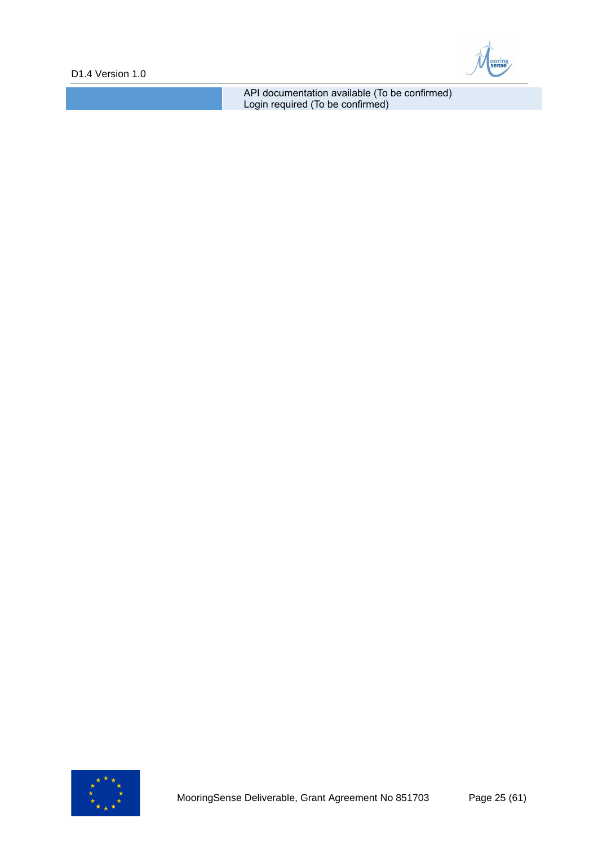ooring<br>sense

API documentation available (To be confirmed) Login required (To be confirmed)

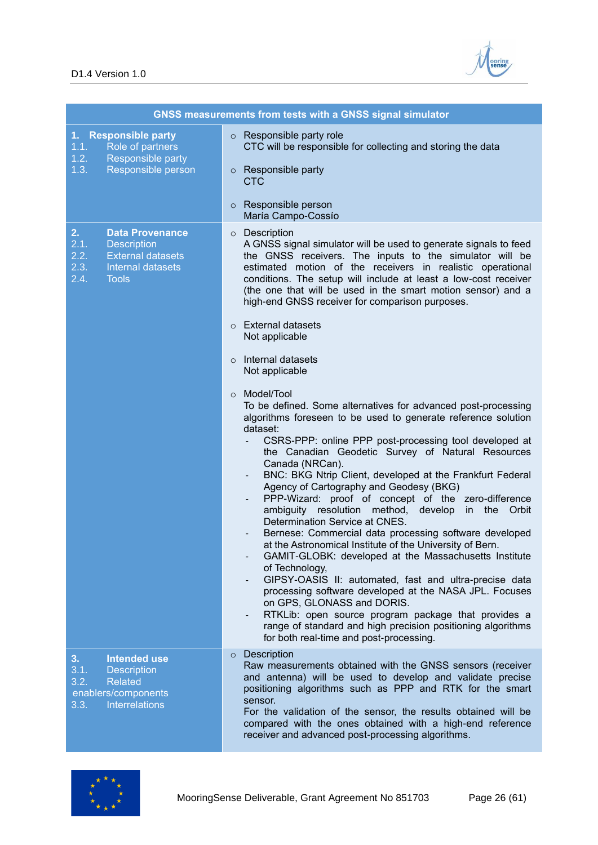

| GNSS measurements from tests with a GNSS signal simulator                                                                                           |                                                                                                                                                                                                                                                                                                                                                                                                                                                                                                                                                                                                                                                                                                                                                                                                                                                                                                                                                                                                                                                                                                                                                                                                                                                                                                                                                                                                                                                                                                                                                                                                 |  |
|-----------------------------------------------------------------------------------------------------------------------------------------------------|-------------------------------------------------------------------------------------------------------------------------------------------------------------------------------------------------------------------------------------------------------------------------------------------------------------------------------------------------------------------------------------------------------------------------------------------------------------------------------------------------------------------------------------------------------------------------------------------------------------------------------------------------------------------------------------------------------------------------------------------------------------------------------------------------------------------------------------------------------------------------------------------------------------------------------------------------------------------------------------------------------------------------------------------------------------------------------------------------------------------------------------------------------------------------------------------------------------------------------------------------------------------------------------------------------------------------------------------------------------------------------------------------------------------------------------------------------------------------------------------------------------------------------------------------------------------------------------------------|--|
| <b>Responsible party</b><br>1.<br>1.1.<br>Role of partners<br>1.2.<br>Responsible party<br>1.3.<br>Responsible person                               | o Responsible party role<br>CTC will be responsible for collecting and storing the data<br>Responsible party<br>$\circ$<br><b>CTC</b><br>Responsible person<br>$\circ$<br>María Campo-Cossío                                                                                                                                                                                                                                                                                                                                                                                                                                                                                                                                                                                                                                                                                                                                                                                                                                                                                                                                                                                                                                                                                                                                                                                                                                                                                                                                                                                                    |  |
| 2.<br><b>Data Provenance</b><br>2.1.<br><b>Description</b><br>2.2.<br><b>External datasets</b><br>2.3.<br>Internal datasets<br><b>Tools</b><br>2.4. | o Description<br>A GNSS signal simulator will be used to generate signals to feed<br>the GNSS receivers. The inputs to the simulator will be<br>estimated motion of the receivers in realistic operational<br>conditions. The setup will include at least a low-cost receiver<br>(the one that will be used in the smart motion sensor) and a<br>high-end GNSS receiver for comparison purposes.<br><b>External datasets</b><br>$\circ$<br>Not applicable<br>Internal datasets<br>$\Omega$<br>Not applicable<br>Model/Tool<br>$\circ$<br>To be defined. Some alternatives for advanced post-processing<br>algorithms foreseen to be used to generate reference solution<br>dataset:<br>CSRS-PPP: online PPP post-processing tool developed at<br>the Canadian Geodetic Survey of Natural Resources<br>Canada (NRCan).<br>BNC: BKG Ntrip Client, developed at the Frankfurt Federal<br>Agency of Cartography and Geodesy (BKG)<br>PPP-Wizard: proof of concept of the zero-difference<br>ambiguity resolution method, develop in the Orbit<br>Determination Service at CNES.<br>Bernese: Commercial data processing software developed<br>at the Astronomical Institute of the University of Bern.<br>GAMIT-GLOBK: developed at the Massachusetts Institute<br>of Technology,<br>GIPSY-OASIS II: automated, fast and ultra-precise data<br>processing software developed at the NASA JPL. Focuses<br>on GPS, GLONASS and DORIS.<br>RTKLib: open source program package that provides a<br>range of standard and high precision positioning algorithms<br>for both real-time and post-processing. |  |
| 3.<br><b>Intended use</b><br>3.1.<br><b>Description</b><br>3.2.<br><b>Related</b><br>enablers/components<br>3.3.<br><b>Interrelations</b>           | <b>O</b> Description<br>Raw measurements obtained with the GNSS sensors (receiver<br>and antenna) will be used to develop and validate precise<br>positioning algorithms such as PPP and RTK for the smart<br>sensor.<br>For the validation of the sensor, the results obtained will be<br>compared with the ones obtained with a high-end reference<br>receiver and advanced post-processing algorithms.                                                                                                                                                                                                                                                                                                                                                                                                                                                                                                                                                                                                                                                                                                                                                                                                                                                                                                                                                                                                                                                                                                                                                                                       |  |

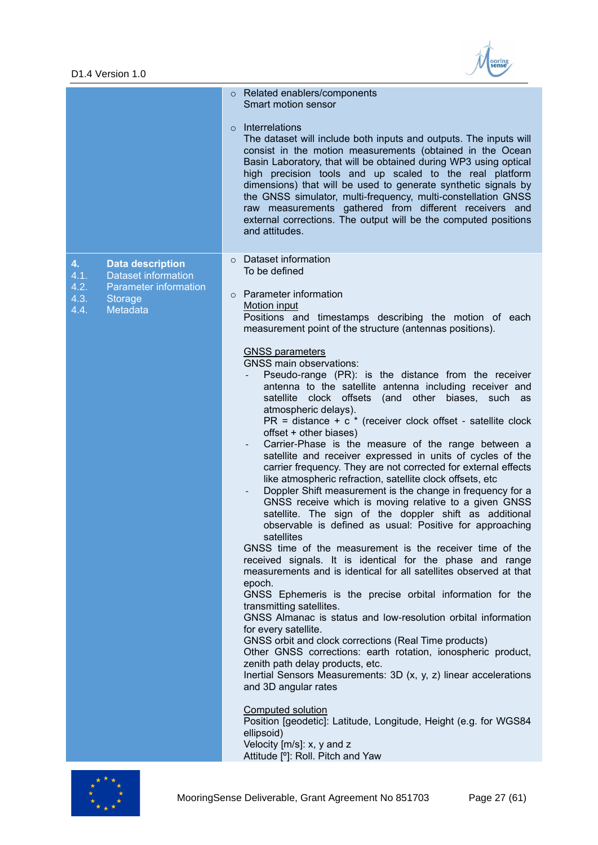

|                                                                             | ○ Related enablers/components<br>Smart motion sensor                                                                                                                                                                                                                                                                                                                                                                                                                                                                                                                                                                                                                                                                                                                                                                                                                                                                                                                                                                                                                                                                                                                                                                                                                                                                                                                                                                                                                                                                                                                                                                                                                                                                      |
|-----------------------------------------------------------------------------|---------------------------------------------------------------------------------------------------------------------------------------------------------------------------------------------------------------------------------------------------------------------------------------------------------------------------------------------------------------------------------------------------------------------------------------------------------------------------------------------------------------------------------------------------------------------------------------------------------------------------------------------------------------------------------------------------------------------------------------------------------------------------------------------------------------------------------------------------------------------------------------------------------------------------------------------------------------------------------------------------------------------------------------------------------------------------------------------------------------------------------------------------------------------------------------------------------------------------------------------------------------------------------------------------------------------------------------------------------------------------------------------------------------------------------------------------------------------------------------------------------------------------------------------------------------------------------------------------------------------------------------------------------------------------------------------------------------------------|
|                                                                             | Interrelations<br>$\Omega$<br>The dataset will include both inputs and outputs. The inputs will<br>consist in the motion measurements (obtained in the Ocean<br>Basin Laboratory, that will be obtained during WP3 using optical<br>high precision tools and up scaled to the real platform<br>dimensions) that will be used to generate synthetic signals by<br>the GNSS simulator, multi-frequency, multi-constellation GNSS<br>raw measurements gathered from different receivers and<br>external corrections. The output will be the computed positions<br>and attitudes.                                                                                                                                                                                                                                                                                                                                                                                                                                                                                                                                                                                                                                                                                                                                                                                                                                                                                                                                                                                                                                                                                                                                             |
| 4.1<br><b>Data description</b><br>4.1.<br><b>Dataset information</b>        | Dataset information<br>$\Omega$<br>To be defined                                                                                                                                                                                                                                                                                                                                                                                                                                                                                                                                                                                                                                                                                                                                                                                                                                                                                                                                                                                                                                                                                                                                                                                                                                                                                                                                                                                                                                                                                                                                                                                                                                                                          |
| Parameter information<br>4.2.<br>4.3.<br><b>Storage</b><br>4.4.<br>Metadata | Parameter information<br>$\circ$<br><b>Motion input</b><br>Positions and timestamps describing the motion of each<br>measurement point of the structure (antennas positions).                                                                                                                                                                                                                                                                                                                                                                                                                                                                                                                                                                                                                                                                                                                                                                                                                                                                                                                                                                                                                                                                                                                                                                                                                                                                                                                                                                                                                                                                                                                                             |
|                                                                             | <b>GNSS parameters</b><br><b>GNSS main observations:</b><br>Pseudo-range (PR): is the distance from the receiver<br>antenna to the satellite antenna including receiver and<br>(and other biases, such as<br>satellite clock offsets<br>atmospheric delays).<br>$PR = distance + c * (receiver clock offset - satellite clock)$<br>offset + other biases)<br>Carrier-Phase is the measure of the range between a<br>satellite and receiver expressed in units of cycles of the<br>carrier frequency. They are not corrected for external effects<br>like atmospheric refraction, satellite clock offsets, etc<br>Doppler Shift measurement is the change in frequency for a<br>GNSS receive which is moving relative to a given GNSS<br>satellite. The sign of the doppler shift as additional<br>observable is defined as usual: Positive for approaching<br>satellites<br>GNSS time of the measurement is the receiver time of the<br>received signals. It is identical for the phase and range<br>measurements and is identical for all satellites observed at that<br>epoch.<br>GNSS Ephemeris is the precise orbital information for the<br>transmitting satellites.<br>GNSS Almanac is status and low-resolution orbital information<br>for every satellite.<br>GNSS orbit and clock corrections (Real Time products)<br>Other GNSS corrections: earth rotation, ionospheric product,<br>zenith path delay products, etc.<br>Inertial Sensors Measurements: 3D (x, y, z) linear accelerations<br>and 3D angular rates<br><b>Computed solution</b><br>Position [geodetic]: Latitude, Longitude, Height (e.g. for WGS84<br>ellipsoid)<br>Velocity [m/s]: x, y and z<br>Attitude [ <sup>o</sup> ]: Roll. Pitch and Yaw |

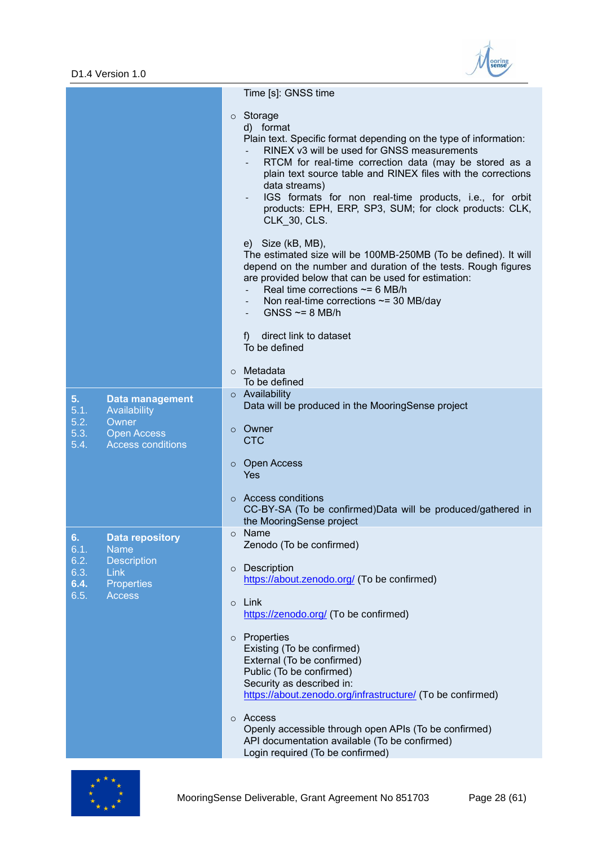

|                                                                         | Time [s]: GNSS time                                                                                                                                                                                                                                                                                                                                                                                                                 |
|-------------------------------------------------------------------------|-------------------------------------------------------------------------------------------------------------------------------------------------------------------------------------------------------------------------------------------------------------------------------------------------------------------------------------------------------------------------------------------------------------------------------------|
|                                                                         | Storage<br>$\circ$<br>d) format<br>Plain text. Specific format depending on the type of information:<br>RINEX v3 will be used for GNSS measurements<br>RTCM for real-time correction data (may be stored as a<br>plain text source table and RINEX files with the corrections<br>data streams)<br>IGS formats for non real-time products, i.e., for orbit<br>products: EPH, ERP, SP3, SUM; for clock products: CLK,<br>CLK_30, CLS. |
|                                                                         | e) Size (kB, MB),<br>The estimated size will be 100MB-250MB (To be defined). It will<br>depend on the number and duration of the tests. Rough figures<br>are provided below that can be used for estimation:<br>Real time corrections $\sim$ = 6 MB/h<br>Non real-time corrections $\sim$ = 30 MB/day<br>GNSS $\sim$ = 8 MB/h                                                                                                       |
|                                                                         | direct link to dataset<br>f<br>To be defined                                                                                                                                                                                                                                                                                                                                                                                        |
|                                                                         | Metadata<br>$\circ$<br>To be defined                                                                                                                                                                                                                                                                                                                                                                                                |
| 5.<br>Data management<br>5.1.<br>Availability<br>5.2.<br>Owner          | $\circ$ Availability<br>Data will be produced in the MooringSense project                                                                                                                                                                                                                                                                                                                                                           |
| 5.3.<br><b>Open Access</b><br><b>Access conditions</b><br>5.4.          | Owner<br>$\circ$<br><b>CTC</b>                                                                                                                                                                                                                                                                                                                                                                                                      |
|                                                                         | <b>Open Access</b><br>$\circ$<br>Yes                                                                                                                                                                                                                                                                                                                                                                                                |
|                                                                         | o Access conditions<br>CC-BY-SA (To be confirmed)Data will be produced/gathered in<br>the MooringSense project                                                                                                                                                                                                                                                                                                                      |
| <b>Data repository</b><br>6.<br>6.1.<br><b>Name</b>                     | ○ Name<br>Zenodo (To be confirmed)                                                                                                                                                                                                                                                                                                                                                                                                  |
| 6.2.<br><b>Description</b><br>6.3.<br><b>Link</b><br>6.4.<br>Properties | Description<br>$\circ$<br>https://about.zenodo.org/ (To be confirmed)                                                                                                                                                                                                                                                                                                                                                               |
| 6.5.<br><b>Access</b>                                                   | Link<br>$\circ$<br>https://zenodo.org/ (To be confirmed)                                                                                                                                                                                                                                                                                                                                                                            |
|                                                                         | Properties<br>$\circ$<br>Existing (To be confirmed)<br>External (To be confirmed)<br>Public (To be confirmed)<br>Security as described in:<br>https://about.zenodo.org/infrastructure/ (To be confirmed)                                                                                                                                                                                                                            |
|                                                                         | Access<br>$\circ$<br>Openly accessible through open APIs (To be confirmed)<br>API documentation available (To be confirmed)<br>Login required (To be confirmed)                                                                                                                                                                                                                                                                     |

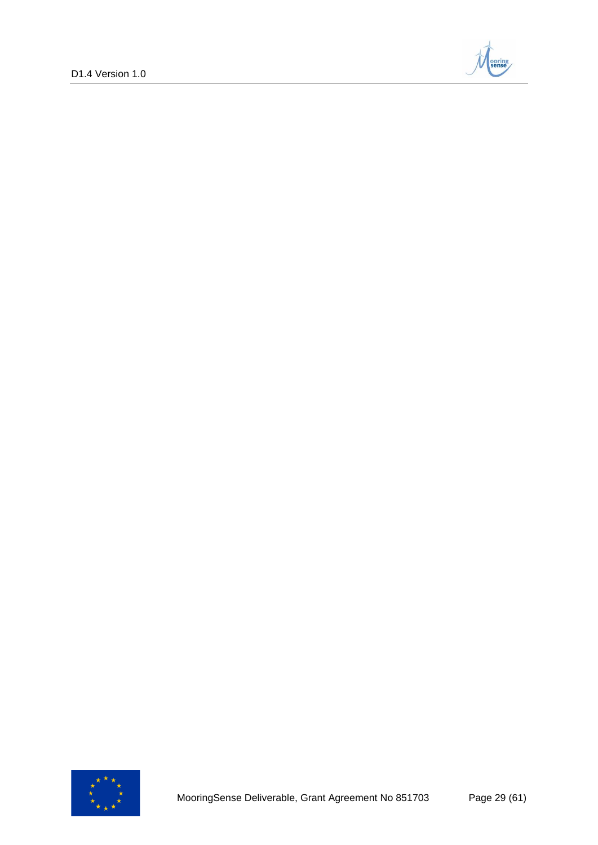

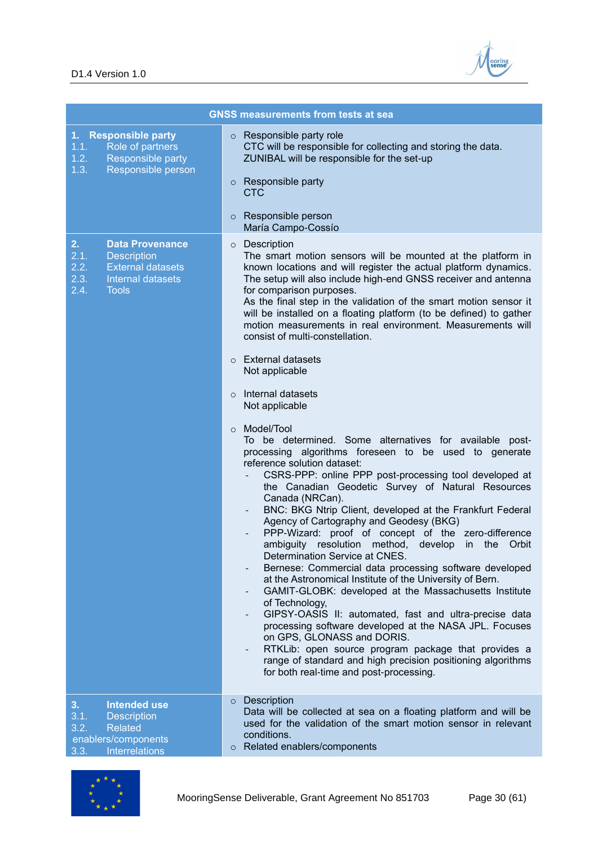

| <b>GNSS measurements from tests at sea</b>                                                                                                         |                                                                                                                                                                                                                                                                                                                                                                                                                                                                                                                                                                                                                                                                                                                                                                                                                                                                                                                                                                                                                                                                                                                                                                                                                                                                                                                                                                                                                                                                                                                                                                                                                                                                                                                |  |
|----------------------------------------------------------------------------------------------------------------------------------------------------|----------------------------------------------------------------------------------------------------------------------------------------------------------------------------------------------------------------------------------------------------------------------------------------------------------------------------------------------------------------------------------------------------------------------------------------------------------------------------------------------------------------------------------------------------------------------------------------------------------------------------------------------------------------------------------------------------------------------------------------------------------------------------------------------------------------------------------------------------------------------------------------------------------------------------------------------------------------------------------------------------------------------------------------------------------------------------------------------------------------------------------------------------------------------------------------------------------------------------------------------------------------------------------------------------------------------------------------------------------------------------------------------------------------------------------------------------------------------------------------------------------------------------------------------------------------------------------------------------------------------------------------------------------------------------------------------------------------|--|
| <b>Responsible party</b><br>1. .<br>Role of partners<br>1.1.<br>1.2.<br>Responsible party<br>1.3.<br><b>Responsible person</b>                     | o Responsible party role<br>CTC will be responsible for collecting and storing the data.<br>ZUNIBAL will be responsible for the set-up<br>Responsible party<br>$\circ$<br><b>CTC</b><br>Responsible person<br>$\circ$<br>María Campo-Cossío                                                                                                                                                                                                                                                                                                                                                                                                                                                                                                                                                                                                                                                                                                                                                                                                                                                                                                                                                                                                                                                                                                                                                                                                                                                                                                                                                                                                                                                                    |  |
| 2<br><b>Data Provenance</b><br>2.1.<br><b>Description</b><br>2.2.<br><b>External datasets</b><br>2.3.<br>Internal datasets<br><b>Tools</b><br>2.4. | <b>O</b> Description<br>The smart motion sensors will be mounted at the platform in<br>known locations and will register the actual platform dynamics.<br>The setup will also include high-end GNSS receiver and antenna<br>for comparison purposes.<br>As the final step in the validation of the smart motion sensor it<br>will be installed on a floating platform (to be defined) to gather<br>motion measurements in real environment. Measurements will<br>consist of multi-constellation.<br><b>External datasets</b><br>$\circ$<br>Not applicable<br>Internal datasets<br>$\circ$<br>Not applicable<br>Model/Tool<br>$\Omega$<br>To be determined. Some alternatives for available post-<br>processing algorithms foreseen to be used to generate<br>reference solution dataset:<br>CSRS-PPP: online PPP post-processing tool developed at<br>the Canadian Geodetic Survey of Natural Resources<br>Canada (NRCan).<br>BNC: BKG Ntrip Client, developed at the Frankfurt Federal<br>Agency of Cartography and Geodesy (BKG)<br>PPP-Wizard: proof of concept of the zero-difference<br>ambiguity resolution method, develop<br>the<br>Orbit<br>in.<br>Determination Service at CNES.<br>Bernese: Commercial data processing software developed<br>at the Astronomical Institute of the University of Bern.<br>GAMIT-GLOBK: developed at the Massachusetts Institute<br>of Technology,<br>GIPSY-OASIS II: automated, fast and ultra-precise data<br>processing software developed at the NASA JPL. Focuses<br>on GPS, GLONASS and DORIS.<br>RTKLib: open source program package that provides a<br>range of standard and high precision positioning algorithms<br>for both real-time and post-processing. |  |
| 3.<br><b>Intended use</b><br>3.1.<br><b>Description</b><br>3.2.<br><b>Related</b><br>enablers/components<br>Interrelations<br>3.3.                 | <b>Description</b><br>$\circ$<br>Data will be collected at sea on a floating platform and will be<br>used for the validation of the smart motion sensor in relevant<br>conditions.<br>Related enablers/components<br>$\circ$                                                                                                                                                                                                                                                                                                                                                                                                                                                                                                                                                                                                                                                                                                                                                                                                                                                                                                                                                                                                                                                                                                                                                                                                                                                                                                                                                                                                                                                                                   |  |

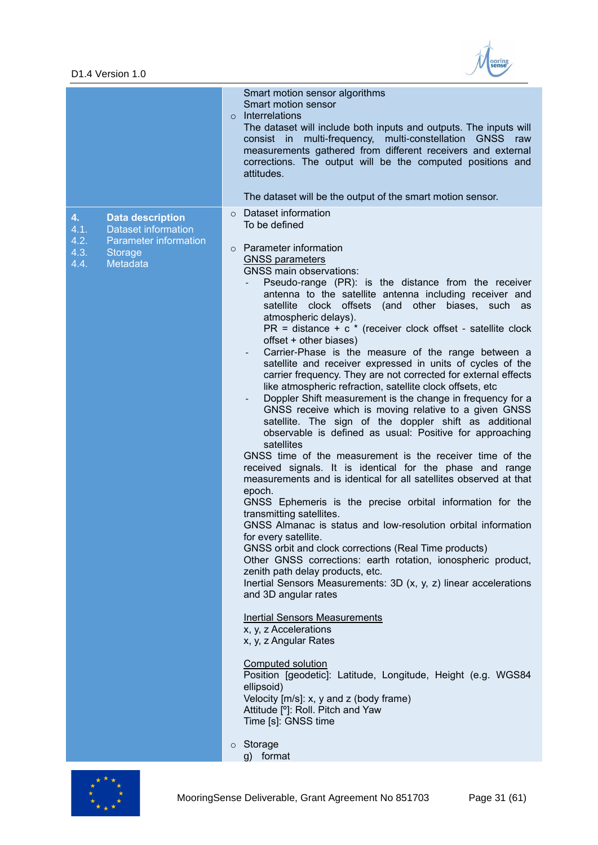

|                                                                                                                                                           | Smart motion sensor algorithms<br>Smart motion sensor<br>Interrelations<br>$\circ$<br>The dataset will include both inputs and outputs. The inputs will<br>multi-frequency, multi-constellation<br><b>GNSS</b><br>consist in<br>raw<br>measurements gathered from different receivers and external<br>corrections. The output will be the computed positions and<br>attitudes.<br>The dataset will be the output of the smart motion sensor.                                                                                                                                                                                                                                                                                                                                                                                                                                                                                                                                                                                                                                                                                                                                                                                                                                                                                                                                                                                                                                                                                                                                                                      |
|-----------------------------------------------------------------------------------------------------------------------------------------------------------|-------------------------------------------------------------------------------------------------------------------------------------------------------------------------------------------------------------------------------------------------------------------------------------------------------------------------------------------------------------------------------------------------------------------------------------------------------------------------------------------------------------------------------------------------------------------------------------------------------------------------------------------------------------------------------------------------------------------------------------------------------------------------------------------------------------------------------------------------------------------------------------------------------------------------------------------------------------------------------------------------------------------------------------------------------------------------------------------------------------------------------------------------------------------------------------------------------------------------------------------------------------------------------------------------------------------------------------------------------------------------------------------------------------------------------------------------------------------------------------------------------------------------------------------------------------------------------------------------------------------|
| 4.<br><b>Data description</b><br><b>Dataset information</b><br>4.1.<br><b>Parameter information</b><br>4.2.<br>4.3.<br><b>Storage</b><br>4.4.<br>Metadata | Dataset information<br>$\circ$<br>To be defined<br>Parameter information<br>$\circ$<br><b>GNSS parameters</b><br><b>GNSS main observations:</b><br>Pseudo-range (PR): is the distance from the receiver<br>antenna to the satellite antenna including receiver and<br>clock offsets (and other biases, such as<br>satellite<br>atmospheric delays).<br>$PR = distance + c * (receiver clock offset - satellite clock)$<br>offset + other biases)<br>Carrier-Phase is the measure of the range between a<br>satellite and receiver expressed in units of cycles of the<br>carrier frequency. They are not corrected for external effects<br>like atmospheric refraction, satellite clock offsets, etc<br>Doppler Shift measurement is the change in frequency for a<br>GNSS receive which is moving relative to a given GNSS<br>satellite. The sign of the doppler shift as additional<br>observable is defined as usual: Positive for approaching<br>satellites<br>GNSS time of the measurement is the receiver time of the<br>received signals. It is identical for the phase and range<br>measurements and is identical for all satellites observed at that<br>epoch.<br>GNSS Ephemeris is the precise orbital information for the<br>transmitting satellites.<br>GNSS Almanac is status and low-resolution orbital information<br>for every satellite<br>GNSS orbit and clock corrections (Real Time products)<br>Other GNSS corrections: earth rotation, ionospheric product,<br>zenith path delay products, etc.<br>Inertial Sensors Measurements: 3D (x, y, z) linear accelerations<br>and 3D angular rates |
|                                                                                                                                                           | <b>Inertial Sensors Measurements</b><br>x, y, z Accelerations<br>x, y, z Angular Rates<br><b>Computed solution</b><br>Position [geodetic]: Latitude, Longitude, Height (e.g. WGS84<br>ellipsoid)<br>Velocity [m/s]: x, y and z (body frame)<br>Attitude [ <sup>o</sup> ]: Roll. Pitch and Yaw<br>Time [s]: GNSS time<br>Storage<br>$\circ$<br>g) format                                                                                                                                                                                                                                                                                                                                                                                                                                                                                                                                                                                                                                                                                                                                                                                                                                                                                                                                                                                                                                                                                                                                                                                                                                                           |

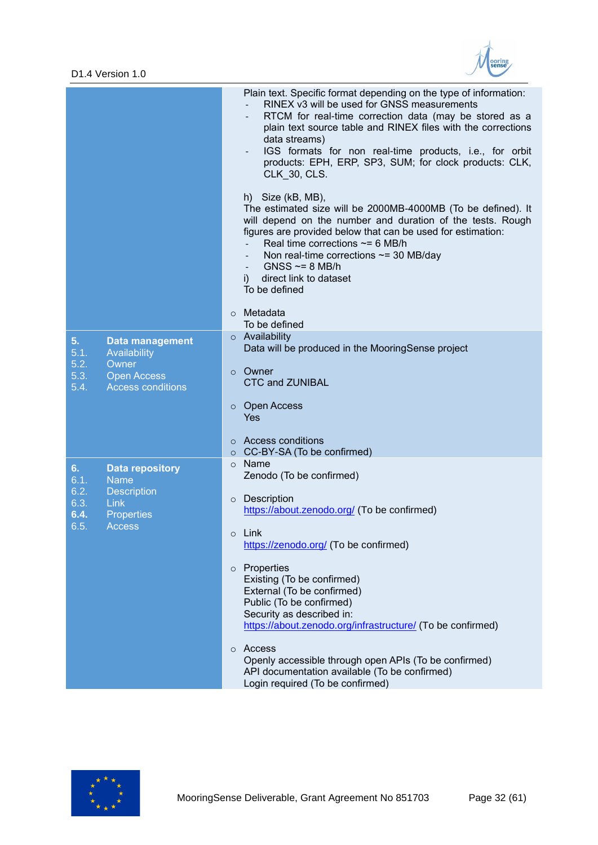

|                                                                                                                                         |                                             | Plain text. Specific format depending on the type of information:<br>RINEX v3 will be used for GNSS measurements<br>RTCM for real-time correction data (may be stored as a<br>plain text source table and RINEX files with the corrections<br>data streams)<br>IGS formats for non real-time products, i.e., for orbit<br>$\overline{\phantom{a}}$<br>products: EPH, ERP, SP3, SUM; for clock products: CLK,<br><b>CLK 30, CLS.</b> |
|-----------------------------------------------------------------------------------------------------------------------------------------|---------------------------------------------|-------------------------------------------------------------------------------------------------------------------------------------------------------------------------------------------------------------------------------------------------------------------------------------------------------------------------------------------------------------------------------------------------------------------------------------|
|                                                                                                                                         |                                             | h) Size (kB, MB),<br>The estimated size will be 2000MB-4000MB (To be defined). It<br>will depend on the number and duration of the tests. Rough<br>figures are provided below that can be used for estimation:<br>Real time corrections $\sim$ = 6 MB/h<br>$\overline{\phantom{a}}$<br>Non real-time corrections $\sim$ = 30 MB/day<br>GNSS $\sim$ = 8 MB/h<br>direct link to dataset<br>i)<br>To be defined                        |
|                                                                                                                                         |                                             | Metadata<br>$\circ$<br>To be defined                                                                                                                                                                                                                                                                                                                                                                                                |
| 5.<br><b>Data management</b><br>5.1.<br>Availability<br>5.2.<br>Owner<br>5.3.<br><b>Open Access</b><br><b>Access conditions</b><br>5.4. |                                             | $\circ$ Availability<br>Data will be produced in the MooringSense project                                                                                                                                                                                                                                                                                                                                                           |
|                                                                                                                                         | Owner<br>$\Omega$<br><b>CTC and ZUNIBAL</b> |                                                                                                                                                                                                                                                                                                                                                                                                                                     |
|                                                                                                                                         |                                             | <b>Open Access</b><br>$\circ$<br>Yes                                                                                                                                                                                                                                                                                                                                                                                                |
|                                                                                                                                         |                                             | <b>Access conditions</b><br>$\circ$<br>CC-BY-SA (To be confirmed)<br>$\circ$                                                                                                                                                                                                                                                                                                                                                        |
| 6.<br>6.1.                                                                                                                              | <b>Data repository</b><br><b>Name</b>       | Name<br>$\circ$<br>Zenodo (To be confirmed)                                                                                                                                                                                                                                                                                                                                                                                         |
| 6.2.<br>6.3.<br>Link<br>6.4.<br>6.5.                                                                                                    | <b>Description</b><br><b>Properties</b>     | Description<br>$\circ$<br>https://about.zenodo.org/ (To be confirmed)                                                                                                                                                                                                                                                                                                                                                               |
|                                                                                                                                         | <b>Access</b>                               | $\circ$ Link<br>https://zenodo.org/ (To be confirmed)                                                                                                                                                                                                                                                                                                                                                                               |
|                                                                                                                                         |                                             | Properties<br>$\circ$<br>Existing (To be confirmed)<br>External (To be confirmed)<br>Public (To be confirmed)<br>Security as described in:<br>https://about.zenodo.org/infrastructure/ (To be confirmed)                                                                                                                                                                                                                            |
|                                                                                                                                         |                                             | Access<br>$\circ$<br>Openly accessible through open APIs (To be confirmed)<br>API documentation available (To be confirmed)<br>Login required (To be confirmed)                                                                                                                                                                                                                                                                     |

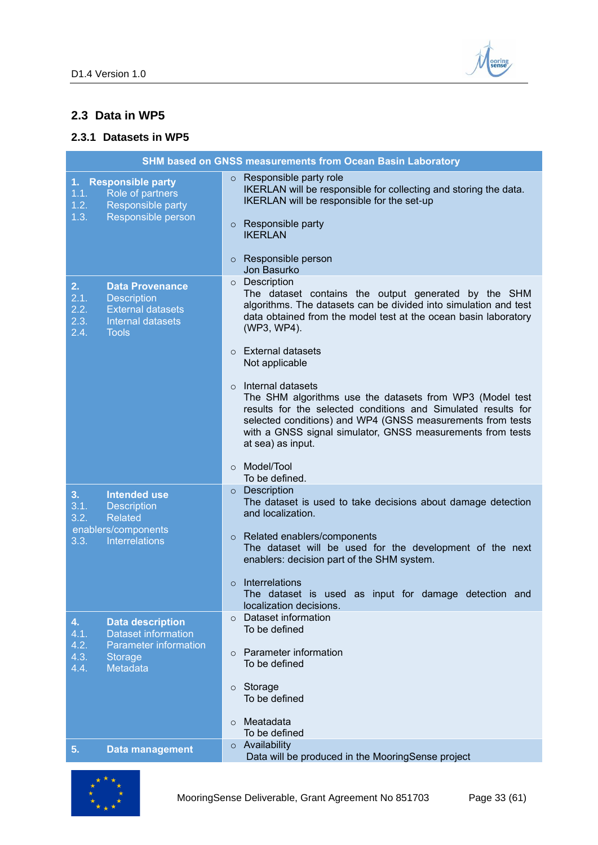

# <span id="page-32-0"></span>**2.3 Data in WP5**

## <span id="page-32-1"></span>**2.3.1 Datasets in WP5**

| <b>SHM based on GNSS measurements from Ocean Basin Laboratory</b>                                                                                   |                                                                                                                                                                                                                                                                                                             |  |
|-----------------------------------------------------------------------------------------------------------------------------------------------------|-------------------------------------------------------------------------------------------------------------------------------------------------------------------------------------------------------------------------------------------------------------------------------------------------------------|--|
| <b>Responsible party</b><br>1.<br>Role of partners<br>1.1.<br>1.2.<br>Responsible party<br>1.3.<br>Responsible person                               | $\circ$ Responsible party role<br>IKERLAN will be responsible for collecting and storing the data.<br>IKERLAN will be responsible for the set-up<br>Responsible party<br>$\circ$<br><b>IKERLAN</b><br>Responsible person<br>$\circ$                                                                         |  |
|                                                                                                                                                     | Jon Basurko                                                                                                                                                                                                                                                                                                 |  |
| 2.<br><b>Data Provenance</b><br>2.1.<br><b>Description</b><br>2.2.<br><b>External datasets</b><br>Internal datasets<br>2.3.<br>2.4.<br><b>Tools</b> | Description<br>$\circ$<br>The dataset contains the output generated by the SHM<br>algorithms. The datasets can be divided into simulation and test<br>data obtained from the model test at the ocean basin laboratory<br>(WP3, WP4).                                                                        |  |
|                                                                                                                                                     | <b>External datasets</b><br>$\circ$<br>Not applicable                                                                                                                                                                                                                                                       |  |
|                                                                                                                                                     | Internal datasets<br>$\Omega$<br>The SHM algorithms use the datasets from WP3 (Model test<br>results for the selected conditions and Simulated results for<br>selected conditions) and WP4 (GNSS measurements from tests<br>with a GNSS signal simulator, GNSS measurements from tests<br>at sea) as input. |  |
|                                                                                                                                                     | Model/Tool<br>$\Omega$<br>To be defined.                                                                                                                                                                                                                                                                    |  |
| 3.<br><b>Intended use</b><br>3.1.<br><b>Description</b><br>3.2.<br><b>Related</b><br>enablers/components                                            | Description<br>$\circ$<br>The dataset is used to take decisions about damage detection<br>and localization.                                                                                                                                                                                                 |  |
| 3.3.<br><b>Interrelations</b>                                                                                                                       | Related enablers/components<br>$\circ$<br>The dataset will be used for the development of the next<br>enablers: decision part of the SHM system.                                                                                                                                                            |  |
|                                                                                                                                                     | Interrelations<br>$\Omega$<br>The dataset is used as input for damage detection and<br>localization decisions.                                                                                                                                                                                              |  |
| <b>Data description</b><br>4.<br><b>Dataset information</b><br>4.1.                                                                                 | Dataset information<br>$\Omega$<br>To be defined                                                                                                                                                                                                                                                            |  |
| 4.2.<br><b>Parameter information</b><br>4.3.<br><b>Storage</b><br>Metadata<br>4.4.                                                                  | Parameter information<br>$\Omega$<br>To be defined                                                                                                                                                                                                                                                          |  |
|                                                                                                                                                     | Storage<br>$\circ$<br>To be defined                                                                                                                                                                                                                                                                         |  |
|                                                                                                                                                     | Meatadata<br>$\circ$<br>To be defined                                                                                                                                                                                                                                                                       |  |
| 5.<br><b>Data management</b>                                                                                                                        | Availability<br>$\circ$<br>Data will be produced in the MooringSense project                                                                                                                                                                                                                                |  |

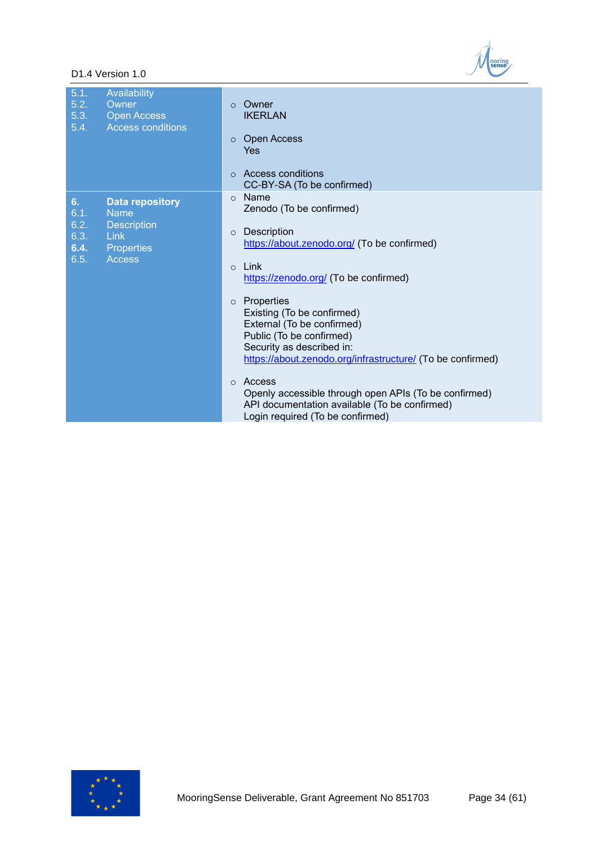|                                            | D <sub>1.4</sub> Version 1.0                                                                              | ooring<br><b>sense</b>                                                                                                                                                                                                                                                                                                                                                                                                                                                                                                                                             |
|--------------------------------------------|-----------------------------------------------------------------------------------------------------------|--------------------------------------------------------------------------------------------------------------------------------------------------------------------------------------------------------------------------------------------------------------------------------------------------------------------------------------------------------------------------------------------------------------------------------------------------------------------------------------------------------------------------------------------------------------------|
| 5.1.<br>5.2.<br>5.3.<br>5.4.               | Availability<br>Owner<br><b>Open Access</b><br><b>Access conditions</b>                                   | Owner<br>$\Omega$<br><b>IKERLAN</b><br><b>Open Access</b><br>$\circ$<br>Yes<br>Access conditions<br>$\Omega$<br>CC-BY-SA (To be confirmed)                                                                                                                                                                                                                                                                                                                                                                                                                         |
| 6.<br>6.1.<br>6.2.<br>6.3.<br>6.4.<br>6.5. | <b>Data repository</b><br><b>Name</b><br><b>Description</b><br><b>Link</b><br>Properties<br><b>Access</b> | Name<br>$\Omega$<br>Zenodo (To be confirmed)<br>Description<br>$\circ$<br>https://about.zenodo.org/ (To be confirmed)<br>Link<br>$\Omega$<br>https://zenodo.org/ (To be confirmed)<br>Properties<br>$\circ$<br>Existing (To be confirmed)<br>External (To be confirmed)<br>Public (To be confirmed)<br>Security as described in:<br>https://about.zenodo.org/infrastructure/ (To be confirmed)<br>Access<br>$\Omega$<br>Openly accessible through open APIs (To be confirmed)<br>API documentation available (To be confirmed)<br>Login required (To be confirmed) |

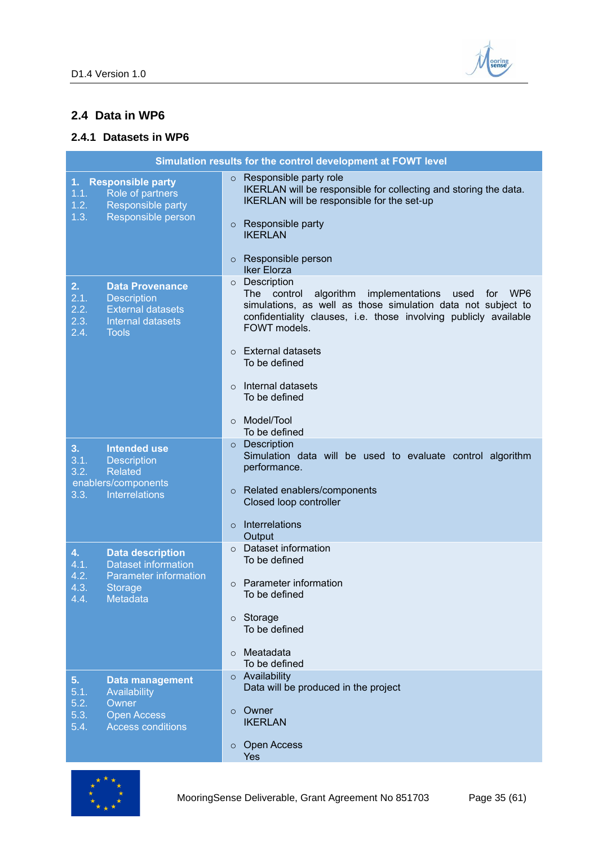

# <span id="page-34-0"></span>**2.4 Data in WP6**

#### <span id="page-34-1"></span>**2.4.1 Datasets in WP6**

| Simulation results for the control development at FOWT level                                                                                              |                                                                                                                                                                                                                                                                                        |  |
|-----------------------------------------------------------------------------------------------------------------------------------------------------------|----------------------------------------------------------------------------------------------------------------------------------------------------------------------------------------------------------------------------------------------------------------------------------------|--|
| <b>Responsible party</b><br>1.<br>Role of partners<br>1.1.<br>1.2.<br>Responsible party<br>1.3.<br>Responsible person                                     | o Responsible party role<br>IKERLAN will be responsible for collecting and storing the data.<br>IKERLAN will be responsible for the set-up<br>Responsible party<br>$\circ$<br><b>IKERLAN</b><br>Responsible person<br>$\circ$                                                          |  |
| 2.<br><b>Data Provenance</b><br>2.1.<br><b>Description</b><br>2.2.<br><b>External datasets</b><br>2.3.<br>Internal datasets<br>2.4.<br><b>Tools</b>       | <b>Iker Elorza</b><br>Description<br>$\circ$<br>The l<br>control<br>algorithm<br>implementations<br>used<br>for<br>WP <sub>6</sub><br>simulations, as well as those simulation data not subject to<br>confidentiality clauses, i.e. those involving publicly available<br>FOWT models. |  |
|                                                                                                                                                           | <b>External datasets</b><br>$\circ$<br>To be defined<br>Internal datasets<br>$\Omega$<br>To be defined<br>Model/Tool<br>$\Omega$<br>To be defined                                                                                                                                      |  |
| 3.<br><b>Intended use</b><br>3.1.<br><b>Description</b><br>3.2.<br><b>Related</b><br>enablers/components<br>3.3.<br><b>Interrelations</b>                 | <b>Description</b><br>$\circ$<br>Simulation data will be used to evaluate control algorithm<br>performance.<br>Related enablers/components<br>$\circ$<br>Closed loop controller<br>Interrelations<br>$\circ$<br>Output                                                                 |  |
| <b>Data description</b><br>4.<br><b>Dataset information</b><br>4.1.<br>4.2.<br><b>Parameter information</b><br>4.3.<br><b>Storage</b><br>Metadata<br>4.4. | Dataset information<br>$\Omega$<br>To be defined<br>Parameter information<br>$\Omega$<br>To be defined<br>Storage<br>$\circ$<br>To be defined<br>Meatadata<br>$\circ$<br>To be defined                                                                                                 |  |
| 5.<br><b>Data management</b><br>5.1.<br>Availability<br>5.2.<br>Owner<br>5.3.<br><b>Open Access</b><br><b>Access conditions</b><br>5.4.                   | Availability<br>$\circ$<br>Data will be produced in the project<br>Owner<br>$\circ$<br><b>IKERLAN</b><br><b>Open Access</b><br>$\circ$<br>Yes                                                                                                                                          |  |

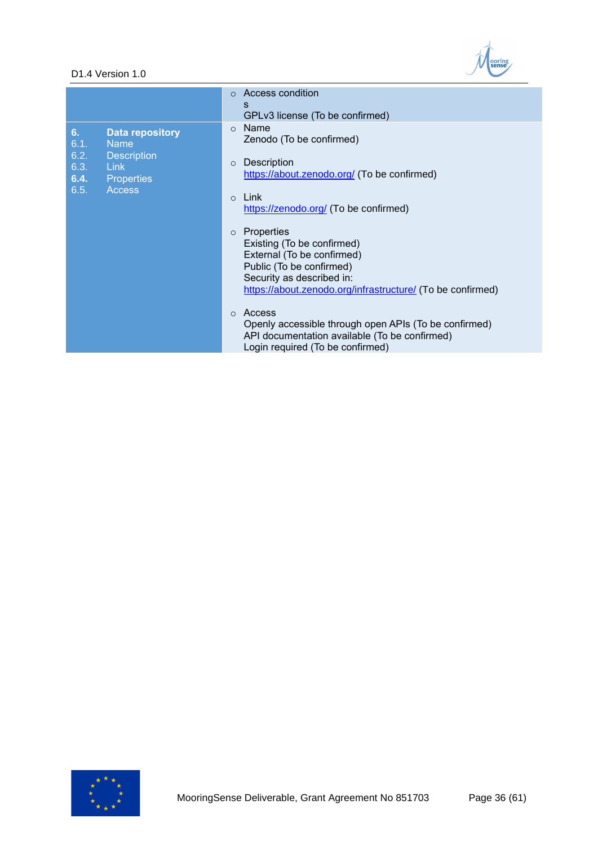# Mooring

|                                            |                                                                                                                  | $\circ$ Access condition<br>s<br>GPLv3 license (To be confirmed)                                                                                                                                                                                                                                                                                                             |
|--------------------------------------------|------------------------------------------------------------------------------------------------------------------|------------------------------------------------------------------------------------------------------------------------------------------------------------------------------------------------------------------------------------------------------------------------------------------------------------------------------------------------------------------------------|
| 6.<br>6.1.<br>6.2.<br>6.3.<br>6.4.<br>6.5. | <b>Data repository</b><br><b>Name</b><br><b>Description</b><br><b>Link</b><br><b>Properties</b><br><b>Access</b> | Name<br>$\Omega$<br>Zenodo (To be confirmed)<br>Description<br>$\circ$<br>https://about.zenodo.org/ (To be confirmed)<br>Link<br>$\circ$<br>https://zenodo.org/ (To be confirmed)                                                                                                                                                                                            |
|                                            |                                                                                                                  | Properties<br>$\circ$<br>Existing (To be confirmed)<br>External (To be confirmed)<br>Public (To be confirmed)<br>Security as described in:<br>https://about.zenodo.org/infrastructure/ (To be confirmed)<br>Access<br>$\Omega$<br>Openly accessible through open APIs (To be confirmed)<br>API documentation available (To be confirmed)<br>Login required (To be confirmed) |

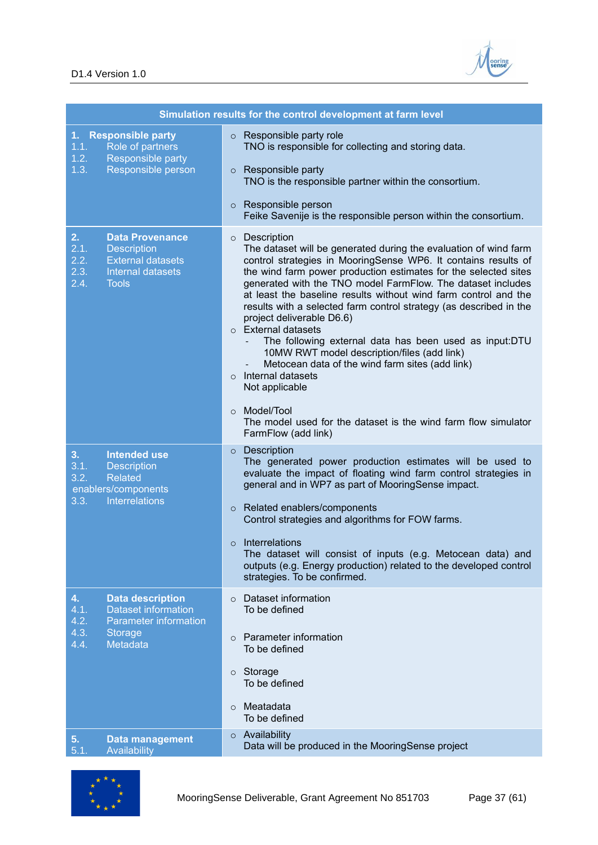

| Simulation results for the control development at farm level                                                                                        |                                                                                                                                                                                                                                                                                                                                                                                                                                                                                                                                                                                                                                                                                                           |  |
|-----------------------------------------------------------------------------------------------------------------------------------------------------|-----------------------------------------------------------------------------------------------------------------------------------------------------------------------------------------------------------------------------------------------------------------------------------------------------------------------------------------------------------------------------------------------------------------------------------------------------------------------------------------------------------------------------------------------------------------------------------------------------------------------------------------------------------------------------------------------------------|--|
| <b>Responsible party</b><br>1.<br>Role of partners<br>1.1.<br>1.2.<br>Responsible party<br>1.3.<br>Responsible person                               | $\circ$ Responsible party role<br>TNO is responsible for collecting and storing data.<br>Responsible party<br>$\circ$<br>TNO is the responsible partner within the consortium.<br>Responsible person<br>$\circ$<br>Feike Savenije is the responsible person within the consortium.                                                                                                                                                                                                                                                                                                                                                                                                                        |  |
| 2.<br><b>Data Provenance</b><br>2.1.<br><b>Description</b><br><b>External datasets</b><br>2.2.<br>2.3.<br>Internal datasets<br>2.4.<br><b>Tools</b> | Description<br>$\circ$<br>The dataset will be generated during the evaluation of wind farm<br>control strategies in MooringSense WP6. It contains results of<br>the wind farm power production estimates for the selected sites<br>generated with the TNO model FarmFlow. The dataset includes<br>at least the baseline results without wind farm control and the<br>results with a selected farm control strategy (as described in the<br>project deliverable D6.6)<br>o External datasets<br>The following external data has been used as input:DTU<br>10MW RWT model description/files (add link)<br>Metocean data of the wind farm sites (add link)<br>Internal datasets<br>$\circ$<br>Not applicable |  |
|                                                                                                                                                     | Model/Tool<br>$\Omega$<br>The model used for the dataset is the wind farm flow simulator<br>FarmFlow (add link)                                                                                                                                                                                                                                                                                                                                                                                                                                                                                                                                                                                           |  |
| 3.<br><b>Intended use</b><br>3.1.<br><b>Description</b><br>3.2.<br><b>Related</b><br>enablers/components<br><b>Interrelations</b><br>3.3.           | <b>Description</b><br>$\circ$<br>The generated power production estimates will be used to<br>evaluate the impact of floating wind farm control strategies in<br>general and in WP7 as part of MooringSense impact.<br>Related enablers/components<br>$\circ$<br>Control strategies and algorithms for FOW farms.<br>Interrelations<br>$\Omega$<br>The dataset will consist of inputs (e.g. Metocean data) and<br>outputs (e.g. Energy production) related to the developed control<br>strategies. To be confirmed.                                                                                                                                                                                        |  |
| 4.<br><b>Data description</b><br><b>Dataset information</b><br>4.1.<br>4.2.<br>Parameter information<br>4.3.<br><b>Storage</b><br>Metadata<br>4.4.  | Dataset information<br>$\Omega$<br>To be defined<br>Parameter information<br>$\Omega$<br>To be defined<br>Storage<br>$\circ$<br>To be defined<br>Meatadata<br>$\circ$<br>To be defined                                                                                                                                                                                                                                                                                                                                                                                                                                                                                                                    |  |
| Data management<br>5.<br>5.1.<br>Availability                                                                                                       | Availability<br>$\circ$<br>Data will be produced in the MooringSense project                                                                                                                                                                                                                                                                                                                                                                                                                                                                                                                                                                                                                              |  |

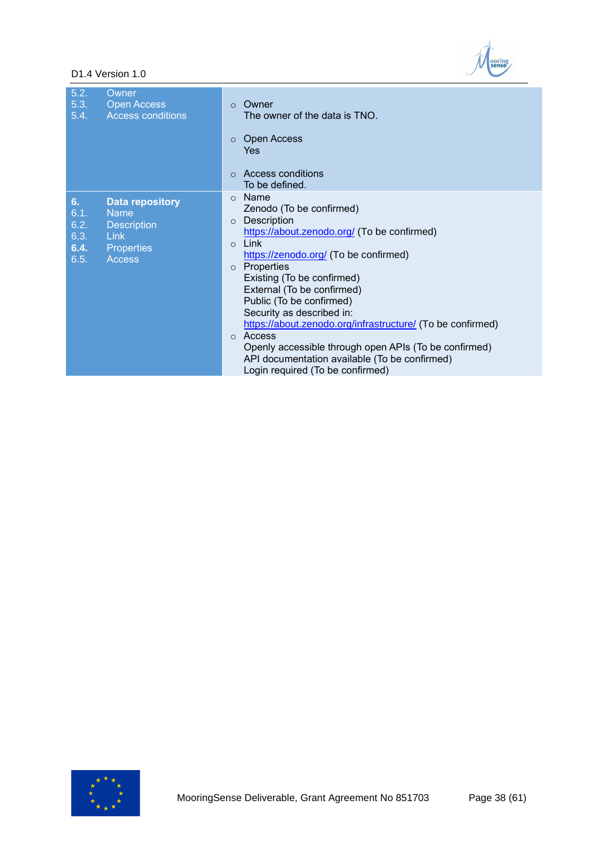|  | ooring<br>sense |
|--|-----------------|
|  |                 |

| 5.2.<br>5.3.<br>5.4.                       | Owner<br><b>Open Access</b><br><b>Access conditions</b>                                                          | Owner<br>$\circ$<br>The owner of the data is TNO.<br><b>Open Access</b><br>$\circ$<br>Yes<br>Access conditions<br>$\Omega$<br>To be defined.                                                                                                                                                                                                                                                                                                                                                                                                                      |
|--------------------------------------------|------------------------------------------------------------------------------------------------------------------|-------------------------------------------------------------------------------------------------------------------------------------------------------------------------------------------------------------------------------------------------------------------------------------------------------------------------------------------------------------------------------------------------------------------------------------------------------------------------------------------------------------------------------------------------------------------|
| 6.<br>6.1.<br>6.2.<br>6.3.<br>6.4.<br>6.5. | <b>Data repository</b><br><b>Name</b><br><b>Description</b><br><b>Link</b><br><b>Properties</b><br><b>Access</b> | Name<br>$\Omega$<br>Zenodo (To be confirmed)<br>Description<br>$\circ$<br>https://about.zenodo.org/ (To be confirmed)<br>Link<br>$\circ$<br>https://zenodo.org/ (To be confirmed)<br>Properties<br>$\circ$<br>Existing (To be confirmed)<br>External (To be confirmed)<br>Public (To be confirmed)<br>Security as described in:<br>https://about.zenodo.org/infrastructure/ (To be confirmed)<br>Access<br>$\Omega$<br>Openly accessible through open APIs (To be confirmed)<br>API documentation available (To be confirmed)<br>Login required (To be confirmed) |

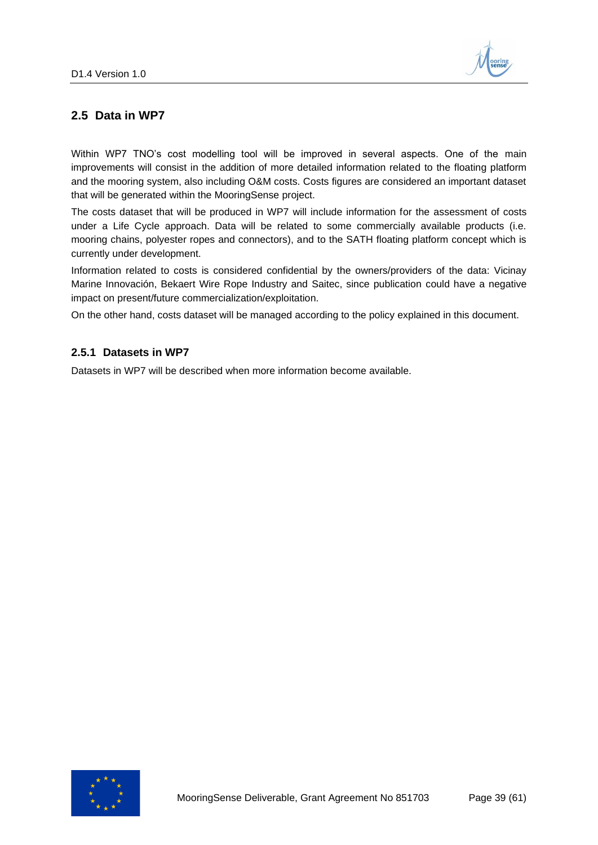

# <span id="page-38-0"></span>**2.5 Data in WP7**

Within WP7 TNO's cost modelling tool will be improved in several aspects. One of the main improvements will consist in the addition of more detailed information related to the floating platform and the mooring system, also including O&M costs. Costs figures are considered an important dataset that will be generated within the MooringSense project.

The costs dataset that will be produced in WP7 will include information for the assessment of costs under a Life Cycle approach. Data will be related to some commercially available products (i.e. mooring chains, polyester ropes and connectors), and to the SATH floating platform concept which is currently under development.

Information related to costs is considered confidential by the owners/providers of the data: Vicinay Marine Innovación, Bekaert Wire Rope Industry and Saitec, since publication could have a negative impact on present/future commercialization/exploitation.

On the other hand, costs dataset will be managed according to the policy explained in this document.

#### <span id="page-38-1"></span>**2.5.1 Datasets in WP7**

Datasets in WP7 will be described when more information become available.

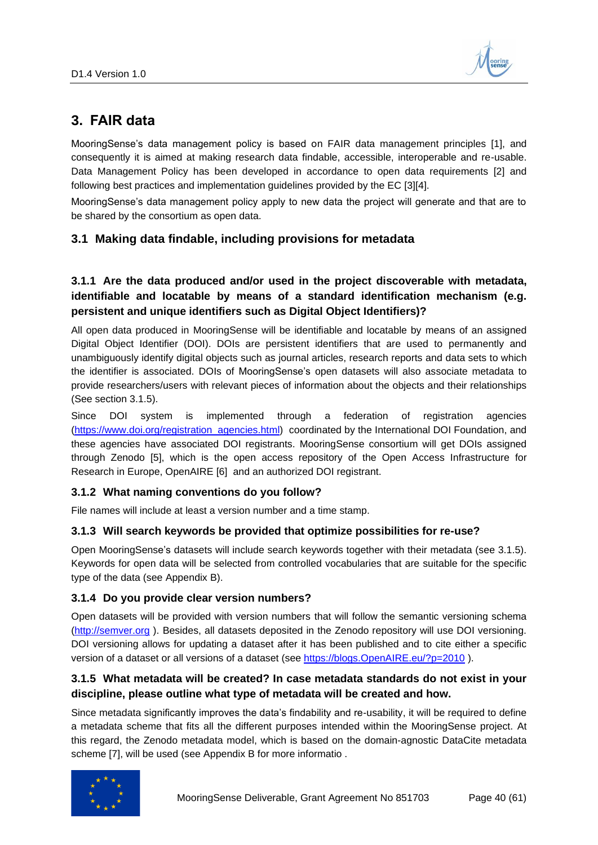

# <span id="page-39-0"></span>**3. FAIR data**

MooringSense's data management policy is based on FAIR data management principles [\[1\],](#page-50-1) and consequently it is aimed at making research data findable, accessible, interoperable and re-usable. Data Management Policy has been developed in accordance to open data requirements [\[2\]](#page-50-2) and following best practices and implementation guidelines provided by the EC [\[3\]](#page-50-3)[\[4\].](#page-50-4)

MooringSense's data management policy apply to new data the project will generate and that are to be shared by the consortium as open data.

# <span id="page-39-1"></span>**3.1 Making data findable, including provisions for metadata**

# <span id="page-39-2"></span>**3.1.1 Are the data produced and/or used in the project discoverable with metadata, identifiable and locatable by means of a standard identification mechanism (e.g. persistent and unique identifiers such as Digital Object Identifiers)?**

All open data produced in MooringSense will be identifiable and locatable by means of an assigned Digital Object Identifier (DOI). DOIs are persistent identifiers that are used to permanently and unambiguously identify digital objects such as journal articles, research reports and data sets to which the identifier is associated. DOIs of MooringSense's open datasets will also associate metadata to provide researchers/users with relevant pieces of information about the objects and their relationships (See section 3.1.5).

Since DOI system is implemented through a federation of registration agencies [\(https://www.doi.org/registration\\_agencies.html\)](https://www.doi.org/registration_agencies.html) coordinated by the International DOI Foundation, and these agencies have associated DOI registrants. MooringSense consortium will get DOIs assigned through Zenodo [\[5\],](#page-50-5) which is the open access repository of the Open Access Infrastructure for Research in Europe, OpenAIRE [\[6\]](#page-50-6) and an authorized DOI registrant.

#### <span id="page-39-3"></span>**3.1.2 What naming conventions do you follow?**

File names will include at least a version number and a time stamp.

#### <span id="page-39-4"></span>**3.1.3 Will search keywords be provided that optimize possibilities for re-use?**

Open MooringSense's datasets will include search keywords together with their metadata (see 3.1.5). Keywords for open data will be selected from controlled vocabularies that are suitable for the specific type of the data (see Appendix B).

#### <span id="page-39-5"></span>**3.1.4 Do you provide clear version numbers?**

Open datasets will be provided with version numbers that will follow the semantic versioning schema [\(http://semver.org](http://semver.org/) ). Besides, all datasets deposited in the Zenodo repository will use DOI versioning. DOI versioning allows for updating a dataset after it has been published and to cite either a specific version of a dataset or all versions of a dataset (see [https://blogs.OpenAIRE.eu/?p=2010](https://blogs.openaire.eu/?p=2010)).

## <span id="page-39-6"></span>**3.1.5 What metadata will be created? In case metadata standards do not exist in your discipline, please outline what type of metadata will be created and how.**

Since metadata significantly improves the data's findability and re-usability, it will be required to define a metadata scheme that fits all the different purposes intended within the MooringSense project. At this regard, the Zenodo metadata model, which is based on the domain-agnostic DataCite metadata scheme [\[7\],](#page-50-7) will be used (see Appendix B for more informatio .

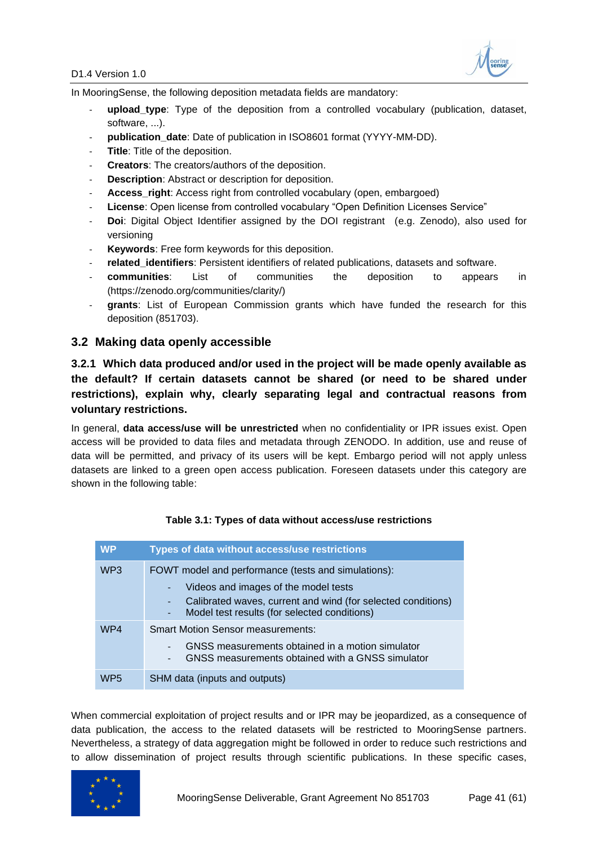

In MooringSense, the following deposition metadata fields are mandatory:

- upload type: Type of the deposition from a controlled vocabulary (publication, dataset, software, ...).
- **publication\_date**: Date of publication in ISO8601 format (YYYY-MM-DD).
- **Title:** Title of the deposition.
- **Creators:** The creators/authors of the deposition.
- **Description:** Abstract or description for deposition.
- **Access right**: Access right from controlled vocabulary (open, embargoed)
- License: Open license from controlled vocabulary "Open Definition Licenses Service"
- **Doi**: Digital Object Identifier assigned by the DOI registrant (e.g. Zenodo), also used for versioning
- **Keywords**: Free form keywords for this deposition.
- related identifiers: Persistent identifiers of related publications, datasets and software.
- **communities**: List of communities the deposition to appears in (https://zenodo.org/communities/clarity/)
- grants: List of European Commission grants which have funded the research for this deposition (851703).

#### <span id="page-40-0"></span>**3.2 Making data openly accessible**

# <span id="page-40-1"></span>**3.2.1 Which data produced and/or used in the project will be made openly available as the default? If certain datasets cannot be shared (or need to be shared under restrictions), explain why, clearly separating legal and contractual reasons from voluntary restrictions.**

In general, **data access/use will be unrestricted** when no confidentiality or IPR issues exist. Open access will be provided to data files and metadata through ZENODO. In addition, use and reuse of data will be permitted, and privacy of its users will be kept. Embargo period will not apply unless datasets are linked to a green open access publication. Foreseen datasets under this category are shown in the following table:

<span id="page-40-2"></span>

| <b>WP</b>       | Types of data without access/use restrictions                                                                |
|-----------------|--------------------------------------------------------------------------------------------------------------|
| WP <sub>3</sub> | FOWT model and performance (tests and simulations):                                                          |
|                 | Videos and images of the model tests                                                                         |
|                 | Calibrated waves, current and wind (for selected conditions)<br>Model test results (for selected conditions) |
| WP4             | <b>Smart Motion Sensor measurements:</b>                                                                     |
|                 | GNSS measurements obtained in a motion simulator<br>GNSS measurements obtained with a GNSS simulator         |
| WP5             | SHM data (inputs and outputs)                                                                                |

#### **Table 3.1: Types of data without access/use restrictions**

When commercial exploitation of project results and or IPR may be jeopardized, as a consequence of data publication, the access to the related datasets will be restricted to MooringSense partners. Nevertheless, a strategy of data aggregation might be followed in order to reduce such restrictions and to allow dissemination of project results through scientific publications. In these specific cases,

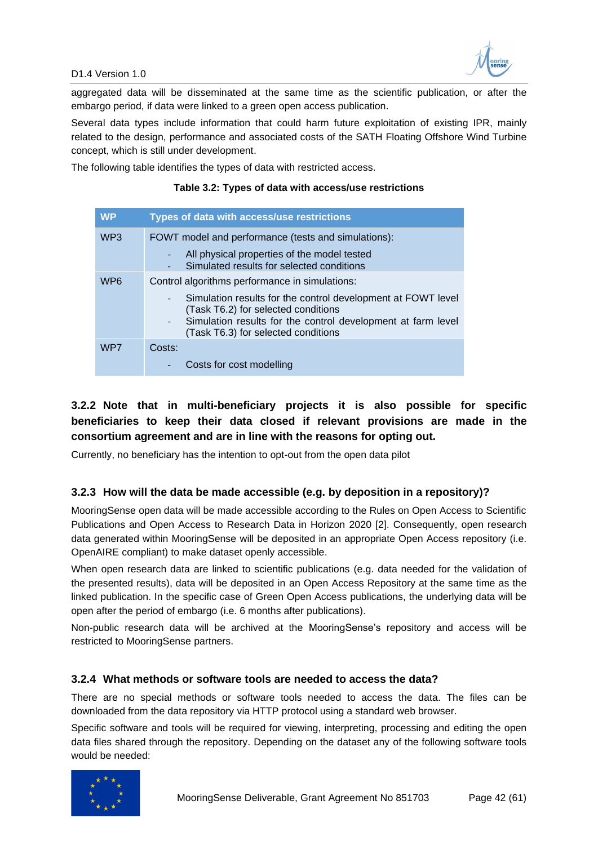aggregated data will be disseminated at the same time as the scientific publication, or after the embargo period, if data were linked to a green open access publication.

Several data types include information that could harm future exploitation of existing IPR, mainly related to the design, performance and associated costs of the SATH Floating Offshore Wind Turbine concept, which is still under development.

<span id="page-41-3"></span>The following table identifies the types of data with restricted access.

| <b>WP</b>       | Types of data with access/use restrictions                                                                                                                                                                 |
|-----------------|------------------------------------------------------------------------------------------------------------------------------------------------------------------------------------------------------------|
| WP <sub>3</sub> | FOWT model and performance (tests and simulations):                                                                                                                                                        |
|                 | All physical properties of the model tested<br>Simulated results for selected conditions                                                                                                                   |
| WP <sub>6</sub> | Control algorithms performance in simulations:                                                                                                                                                             |
|                 | Simulation results for the control development at FOWT level<br>(Task T6.2) for selected conditions<br>Simulation results for the control development at farm level<br>(Task T6.3) for selected conditions |
| WP7             | Costs:                                                                                                                                                                                                     |
|                 | Costs for cost modelling                                                                                                                                                                                   |

#### **Table 3.2: Types of data with access/use restrictions**

# <span id="page-41-0"></span>**3.2.2 Note that in multi-beneficiary projects it is also possible for specific beneficiaries to keep their data closed if relevant provisions are made in the consortium agreement and are in line with the reasons for opting out.**

Currently, no beneficiary has the intention to opt-out from the open data pilot

#### <span id="page-41-1"></span>**3.2.3 How will the data be made accessible (e.g. by deposition in a repository)?**

MooringSense open data will be made accessible according to the Rules on Open Access to Scientific Publications and Open Access to Research Data in Horizon 2020 [\[2\].](#page-50-2) Consequently, open research data generated within MooringSense will be deposited in an appropriate Open Access repository (i.e. OpenAIRE compliant) to make dataset openly accessible.

When open research data are linked to scientific publications (e.g. data needed for the validation of the presented results), data will be deposited in an Open Access Repository at the same time as the linked publication. In the specific case of Green Open Access publications, the underlying data will be open after the period of embargo (i.e. 6 months after publications).

Non-public research data will be archived at the MooringSense's repository and access will be restricted to MooringSense partners.

#### <span id="page-41-2"></span>**3.2.4 What methods or software tools are needed to access the data?**

There are no special methods or software tools needed to access the data. The files can be downloaded from the data repository via HTTP protocol using a standard web browser.

Specific software and tools will be required for viewing, interpreting, processing and editing the open data files shared through the repository. Depending on the dataset any of the following software tools would be needed:

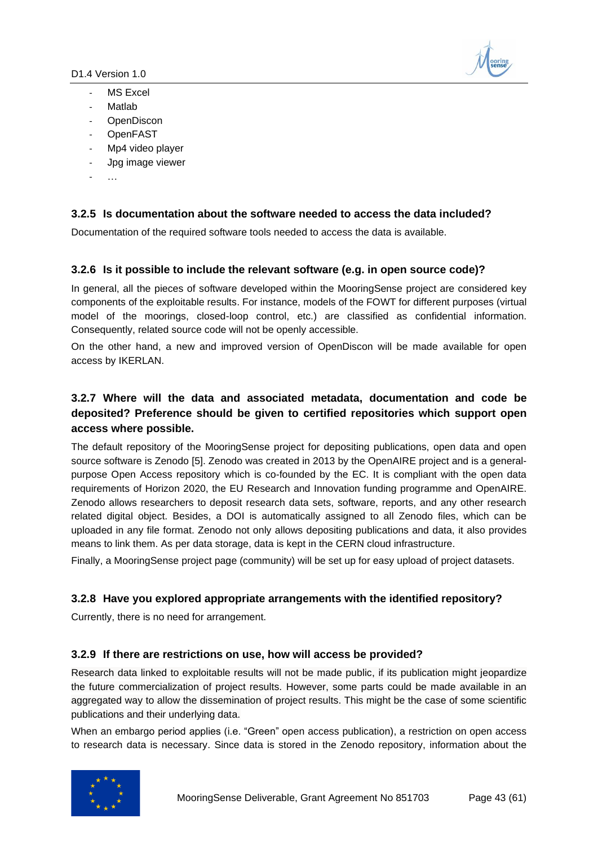

- MS Excel
- **Matlab**
- OpenDiscon
- **OpenFAST**
- Mp4 video player
- Jpg image viewer
- …

## <span id="page-42-0"></span>**3.2.5 Is documentation about the software needed to access the data included?**

Documentation of the required software tools needed to access the data is available.

## <span id="page-42-1"></span>**3.2.6 Is it possible to include the relevant software (e.g. in open source code)?**

In general, all the pieces of software developed within the MooringSense project are considered key components of the exploitable results. For instance, models of the FOWT for different purposes (virtual model of the moorings, closed-loop control, etc.) are classified as confidential information. Consequently, related source code will not be openly accessible.

On the other hand, a new and improved version of OpenDiscon will be made available for open access by IKERLAN.

# <span id="page-42-2"></span>**3.2.7 Where will the data and associated metadata, documentation and code be deposited? Preference should be given to certified repositories which support open access where possible.**

The default repository of the MooringSense project for depositing publications, open data and open source software is Zenodo [\[5\].](#page-50-5) Zenodo was created in 2013 by the OpenAIRE project and is a generalpurpose Open Access repository which is co-founded by the EC. It is compliant with the open data requirements of Horizon 2020, the EU Research and Innovation funding programme and OpenAIRE. Zenodo allows researchers to deposit research data sets, software, reports, and any other research related digital object. Besides, a DOI is automatically assigned to all Zenodo files, which can be uploaded in any file format. Zenodo not only allows depositing publications and data, it also provides means to link them. As per data storage, data is kept in the CERN cloud infrastructure.

Finally, a MooringSense project page (community) will be set up for easy upload of project datasets.

#### <span id="page-42-3"></span>**3.2.8 Have you explored appropriate arrangements with the identified repository?**

Currently, there is no need for arrangement.

#### <span id="page-42-4"></span>**3.2.9 If there are restrictions on use, how will access be provided?**

Research data linked to exploitable results will not be made public, if its publication might jeopardize the future commercialization of project results. However, some parts could be made available in an aggregated way to allow the dissemination of project results. This might be the case of some scientific publications and their underlying data.

When an embargo period applies (i.e. "Green" open access publication), a restriction on open access to research data is necessary. Since data is stored in the Zenodo repository, information about the

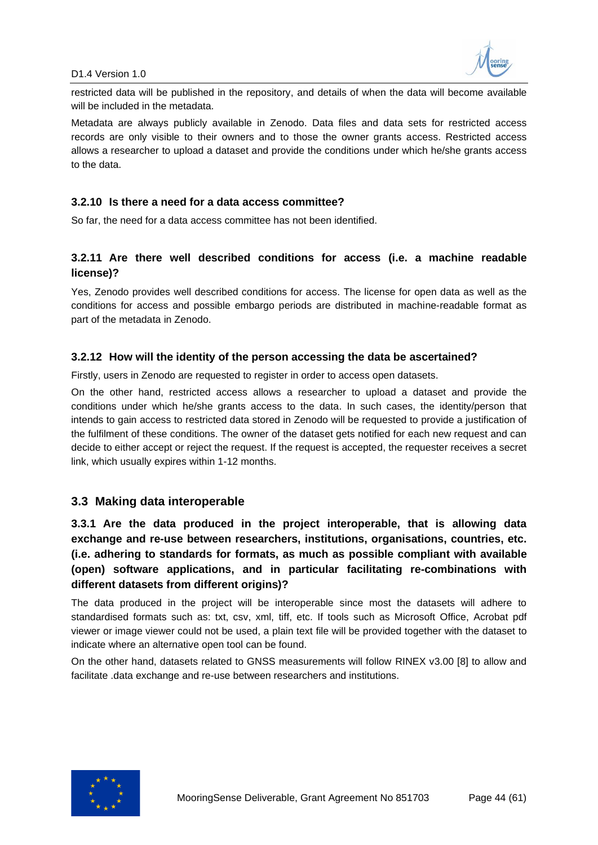

restricted data will be published in the repository, and details of when the data will become available will be included in the metadata.

Metadata are always publicly available in Zenodo. Data files and data sets for restricted access records are only visible to their owners and to those the owner grants access. Restricted access allows a researcher to upload a dataset and provide the conditions under which he/she grants access to the data.

#### <span id="page-43-0"></span>**3.2.10 Is there a need for a data access committee?**

So far, the need for a data access committee has not been identified.

## <span id="page-43-1"></span>**3.2.11 Are there well described conditions for access (i.e. a machine readable license)?**

Yes, Zenodo provides well described conditions for access. The license for open data as well as the conditions for access and possible embargo periods are distributed in machine-readable format as part of the metadata in Zenodo.

#### <span id="page-43-2"></span>**3.2.12 How will the identity of the person accessing the data be ascertained?**

Firstly, users in Zenodo are requested to register in order to access open datasets.

On the other hand, restricted access allows a researcher to upload a dataset and provide the conditions under which he/she grants access to the data. In such cases, the identity/person that intends to gain access to restricted data stored in Zenodo will be requested to provide a justification of the fulfilment of these conditions. The owner of the dataset gets notified for each new request and can decide to either accept or reject the request. If the request is accepted, the requester receives a secret link, which usually expires within 1-12 months.

#### <span id="page-43-3"></span>**3.3 Making data interoperable**

<span id="page-43-4"></span>**3.3.1 Are the data produced in the project interoperable, that is allowing data exchange and re-use between researchers, institutions, organisations, countries, etc. (i.e. adhering to standards for formats, as much as possible compliant with available (open) software applications, and in particular facilitating re-combinations with different datasets from different origins)?**

The data produced in the project will be interoperable since most the datasets will adhere to standardised formats such as: txt, csv, xml, tiff, etc. If tools such as Microsoft Office, Acrobat pdf viewer or image viewer could not be used, a plain text file will be provided together with the dataset to indicate where an alternative open tool can be found.

On the other hand, datasets related to GNSS measurements will follow RINEX v3.00 [\[8\]](#page-50-8) to allow and facilitate .data exchange and re-use between researchers and institutions.

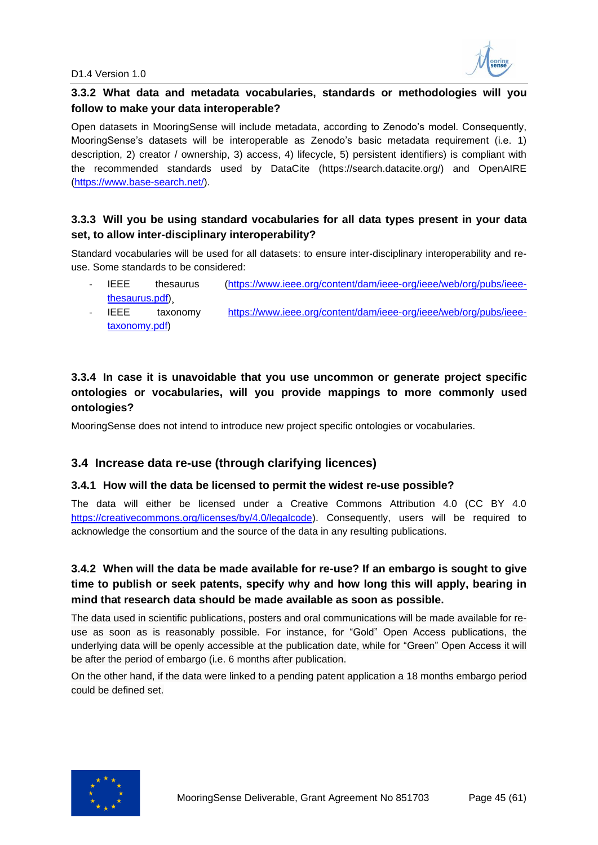

## <span id="page-44-0"></span>**3.3.2 What data and metadata vocabularies, standards or methodologies will you follow to make your data interoperable?**

Open datasets in MooringSense will include metadata, according to Zenodo's model. Consequently, MooringSense's datasets will be interoperable as Zenodo's basic metadata requirement (i.e. 1) description, 2) creator / ownership, 3) access, 4) lifecycle, 5) persistent identifiers) is compliant with the recommended standards used by DataCite (https://search.datacite.org/) and OpenAIRE [\(https://www.base-search.net/\)](https://www.base-search.net/).

# <span id="page-44-1"></span>**3.3.3 Will you be using standard vocabularies for all data types present in your data set, to allow inter-disciplinary interoperability?**

Standard vocabularies will be used for all datasets: to ensure inter-disciplinary interoperability and reuse. Some standards to be considered:

- IEEE thesaurus [\(https://www.ieee.org/content/dam/ieee-org/ieee/web/org/pubs/ieee](https://www.ieee.org/content/dam/ieee-org/ieee/web/org/pubs/ieee-thesaurus.pdf)[thesaurus.pdf\)](https://www.ieee.org/content/dam/ieee-org/ieee/web/org/pubs/ieee-thesaurus.pdf)
- IEEE taxonomy [https://www.ieee.org/content/dam/ieee-org/ieee/web/org/pubs/ieee](https://www.ieee.org/content/dam/ieee-org/ieee/web/org/pubs/ieee-taxonomy.pdf)[taxonomy.pdf\)](https://www.ieee.org/content/dam/ieee-org/ieee/web/org/pubs/ieee-taxonomy.pdf)

# <span id="page-44-2"></span>**3.3.4 In case it is unavoidable that you use uncommon or generate project specific ontologies or vocabularies, will you provide mappings to more commonly used ontologies?**

MooringSense does not intend to introduce new project specific ontologies or vocabularies.

## <span id="page-44-3"></span>**3.4 Increase data re-use (through clarifying licences)**

#### <span id="page-44-4"></span>**3.4.1 How will the data be licensed to permit the widest re-use possible?**

The data will either be licensed under a Creative Commons Attribution 4.0 (CC BY 4.0 [https://creativecommons.org/licenses/by/4.0/legalcode\)](https://creativecommons.org/licenses/by/4.0/legalcode). Consequently, users will be required to acknowledge the consortium and the source of the data in any resulting publications.

# <span id="page-44-5"></span>**3.4.2 When will the data be made available for re-use? If an embargo is sought to give time to publish or seek patents, specify why and how long this will apply, bearing in mind that research data should be made available as soon as possible.**

The data used in scientific publications, posters and oral communications will be made available for reuse as soon as is reasonably possible. For instance, for "Gold" Open Access publications, the underlying data will be openly accessible at the publication date, while for "Green" Open Access it will be after the period of embargo (i.e. 6 months after publication.

On the other hand, if the data were linked to a pending patent application a 18 months embargo period could be defined set.

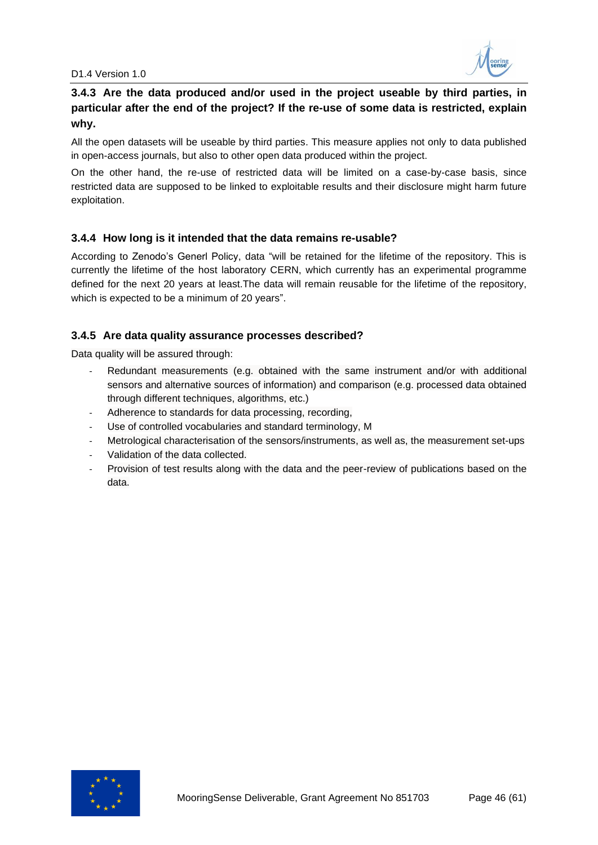

# <span id="page-45-0"></span>**3.4.3 Are the data produced and/or used in the project useable by third parties, in particular after the end of the project? If the re-use of some data is restricted, explain why.**

All the open datasets will be useable by third parties. This measure applies not only to data published in open-access journals, but also to other open data produced within the project.

On the other hand, the re-use of restricted data will be limited on a case-by-case basis, since restricted data are supposed to be linked to exploitable results and their disclosure might harm future exploitation.

#### <span id="page-45-1"></span>**3.4.4 How long is it intended that the data remains re-usable?**

According to Zenodo's Generl Policy, data "will be retained for the lifetime of the repository. This is currently the lifetime of the host laboratory CERN, which currently has an experimental programme defined for the next 20 years at least.The data will remain reusable for the lifetime of the repository, which is expected to be a minimum of 20 years".

#### <span id="page-45-2"></span>**3.4.5 Are data quality assurance processes described?**

Data quality will be assured through:

- Redundant measurements (e.g. obtained with the same instrument and/or with additional sensors and alternative sources of information) and comparison (e.g. processed data obtained through different techniques, algorithms, etc.)
- Adherence to standards for data processing, recording,
- Use of controlled vocabularies and standard terminology, M
- Metrological characterisation of the sensors/instruments, as well as, the measurement set-ups
- Validation of the data collected.
- Provision of test results along with the data and the peer-review of publications based on the data.

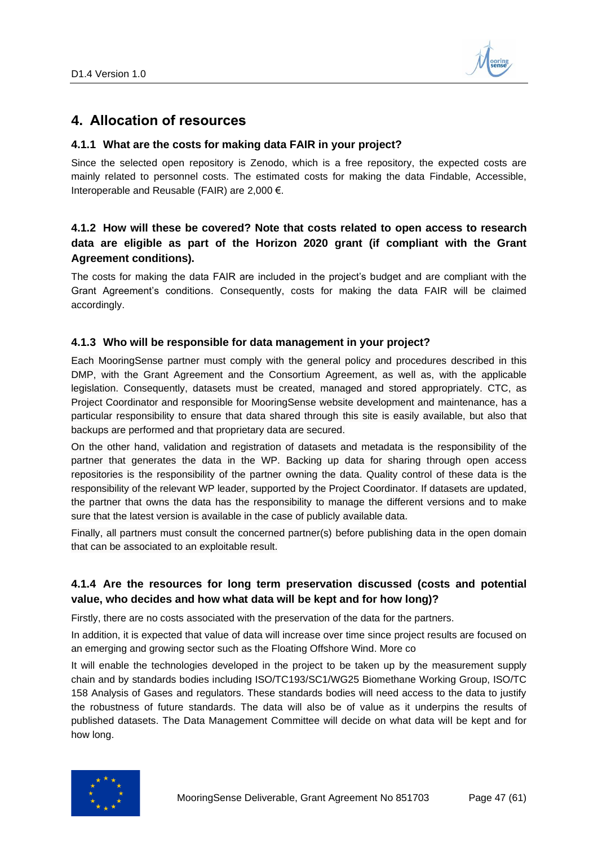

# <span id="page-46-0"></span>**4. Allocation of resources**

## <span id="page-46-1"></span>**4.1.1 What are the costs for making data FAIR in your project?**

Since the selected open repository is Zenodo, which is a free repository, the expected costs are mainly related to personnel costs. The estimated costs for making the data Findable, Accessible, Interoperable and Reusable (FAIR) are 2,000 €.

# <span id="page-46-2"></span>**4.1.2 How will these be covered? Note that costs related to open access to research data are eligible as part of the Horizon 2020 grant (if compliant with the Grant Agreement conditions).**

The costs for making the data FAIR are included in the project's budget and are compliant with the Grant Agreement's conditions. Consequently, costs for making the data FAIR will be claimed accordingly.

#### <span id="page-46-3"></span>**4.1.3 Who will be responsible for data management in your project?**

Each MooringSense partner must comply with the general policy and procedures described in this DMP, with the Grant Agreement and the Consortium Agreement, as well as, with the applicable legislation. Consequently, datasets must be created, managed and stored appropriately. CTC, as Project Coordinator and responsible for MooringSense website development and maintenance, has a particular responsibility to ensure that data shared through this site is easily available, but also that backups are performed and that proprietary data are secured.

On the other hand, validation and registration of datasets and metadata is the responsibility of the partner that generates the data in the WP. Backing up data for sharing through open access repositories is the responsibility of the partner owning the data. Quality control of these data is the responsibility of the relevant WP leader, supported by the Project Coordinator. If datasets are updated, the partner that owns the data has the responsibility to manage the different versions and to make sure that the latest version is available in the case of publicly available data.

Finally, all partners must consult the concerned partner(s) before publishing data in the open domain that can be associated to an exploitable result.

# <span id="page-46-4"></span>**4.1.4 Are the resources for long term preservation discussed (costs and potential value, who decides and how what data will be kept and for how long)?**

Firstly, there are no costs associated with the preservation of the data for the partners.

In addition, it is expected that value of data will increase over time since project results are focused on an emerging and growing sector such as the Floating Offshore Wind. More co

It will enable the technologies developed in the project to be taken up by the measurement supply chain and by standards bodies including ISO/TC193/SC1/WG25 Biomethane Working Group, ISO/TC 158 Analysis of Gases and regulators. These standards bodies will need access to the data to justify the robustness of future standards. The data will also be of value as it underpins the results of published datasets. The Data Management Committee will decide on what data will be kept and for how long.

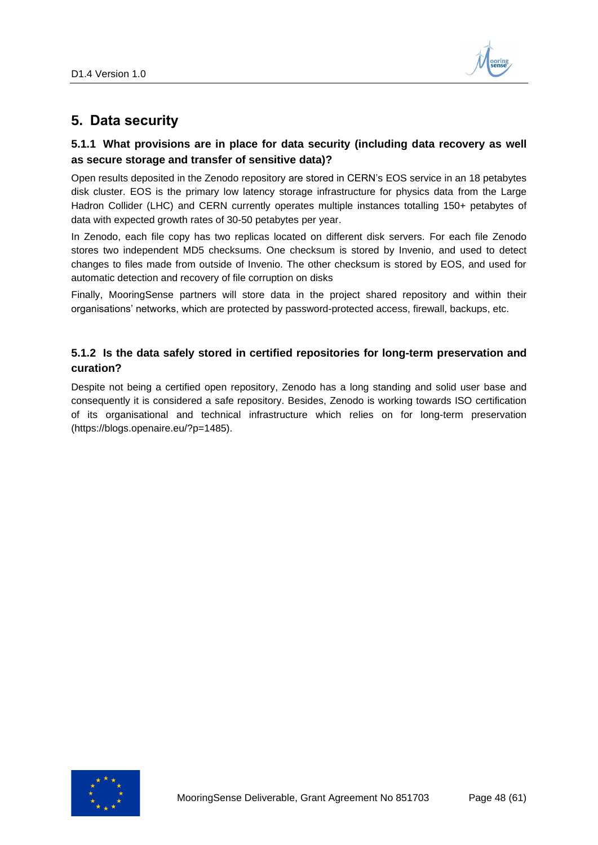

# <span id="page-47-0"></span>**5. Data security**

## <span id="page-47-1"></span>**5.1.1 What provisions are in place for data security (including data recovery as well as secure storage and transfer of sensitive data)?**

Open results deposited in the Zenodo repository are stored in CERN's EOS service in an 18 petabytes disk cluster. EOS is the primary low latency storage infrastructure for physics data from the Large Hadron Collider (LHC) and CERN currently operates multiple instances totalling 150+ petabytes of data with expected growth rates of 30-50 petabytes per year.

In Zenodo, each file copy has two replicas located on different disk servers. For each file Zenodo stores two independent MD5 checksums. One checksum is stored by Invenio, and used to detect changes to files made from outside of Invenio. The other checksum is stored by EOS, and used for automatic detection and recovery of file corruption on disks

Finally, MooringSense partners will store data in the project shared repository and within their organisations' networks, which are protected by password-protected access, firewall, backups, etc.

## <span id="page-47-2"></span>**5.1.2 Is the data safely stored in certified repositories for long-term preservation and curation?**

Despite not being a certified open repository, Zenodo has a long standing and solid user base and consequently it is considered a safe repository. Besides, Zenodo is working towards ISO certification of its organisational and technical infrastructure which relies on for long-term preservation (https://blogs.openaire.eu/?p=1485).

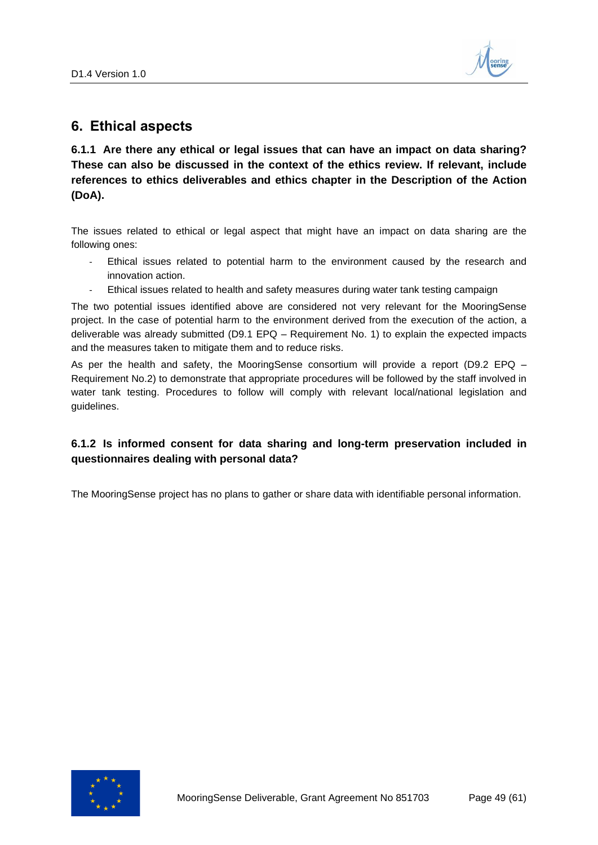

# <span id="page-48-0"></span>**6. Ethical aspects**

<span id="page-48-1"></span>**6.1.1 Are there any ethical or legal issues that can have an impact on data sharing? These can also be discussed in the context of the ethics review. If relevant, include references to ethics deliverables and ethics chapter in the Description of the Action (DoA).** 

The issues related to ethical or legal aspect that might have an impact on data sharing are the following ones:

- Ethical issues related to potential harm to the environment caused by the research and innovation action.
- Ethical issues related to health and safety measures during water tank testing campaign

The two potential issues identified above are considered not very relevant for the MooringSense project. In the case of potential harm to the environment derived from the execution of the action, a deliverable was already submitted (D9.1 EPQ – Requirement No. 1) to explain the expected impacts and the measures taken to mitigate them and to reduce risks.

As per the health and safety, the MooringSense consortium will provide a report (D9.2 EPQ – Requirement No.2) to demonstrate that appropriate procedures will be followed by the staff involved in water tank testing. Procedures to follow will comply with relevant local/national legislation and guidelines.

## <span id="page-48-2"></span>**6.1.2 Is informed consent for data sharing and long-term preservation included in questionnaires dealing with personal data?**

The MooringSense project has no plans to gather or share data with identifiable personal information.

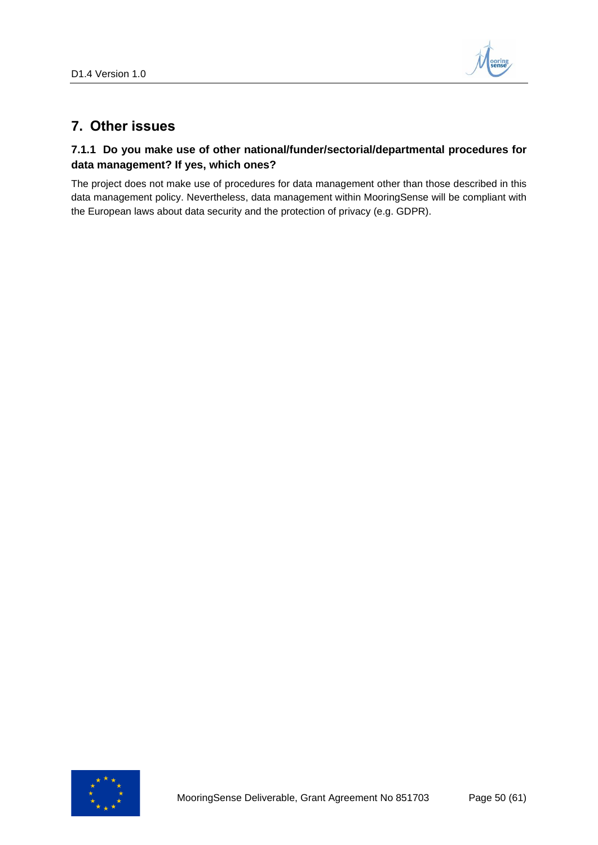

# <span id="page-49-0"></span>**7. Other issues**

# <span id="page-49-1"></span>**7.1.1 Do you make use of other national/funder/sectorial/departmental procedures for data management? If yes, which ones?**

The project does not make use of procedures for data management other than those described in this data management policy. Nevertheless, data management within MooringSense will be compliant with the European laws about data security and the protection of privacy (e.g. GDPR).

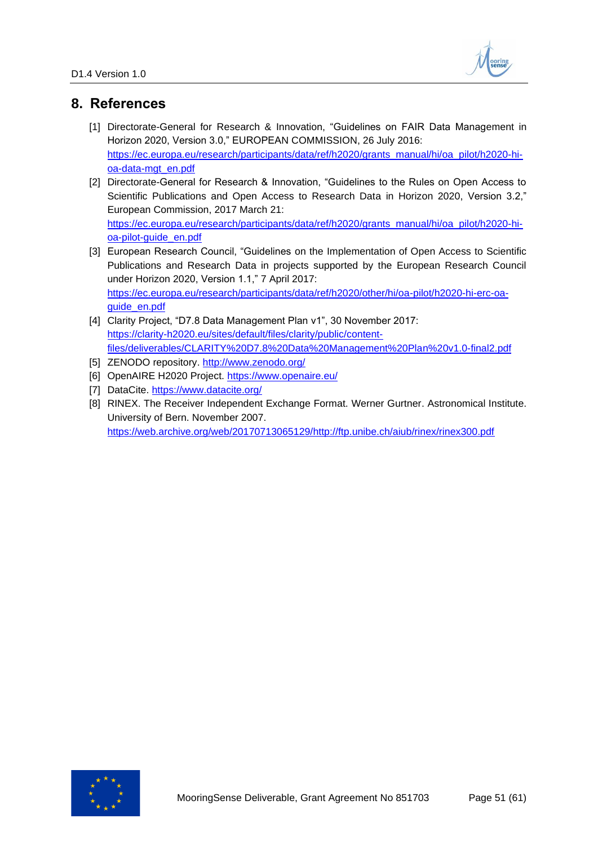

# <span id="page-50-0"></span>**8. References**

- <span id="page-50-1"></span>[1] Directorate-General for Research & Innovation, "Guidelines on FAIR Data Management in Horizon 2020, Version 3.0," EUROPEAN COMMISSION, 26 July 2016: [https://ec.europa.eu/research/participants/data/ref/h2020/grants\\_manual/hi/oa\\_pilot/h2020-hi](https://ec.europa.eu/research/participants/data/ref/h2020/grants_manual/hi/oa_pilot/h2020-hi-oa-data-mgt_en.pdf)[oa-data-mgt\\_en.pdf](https://ec.europa.eu/research/participants/data/ref/h2020/grants_manual/hi/oa_pilot/h2020-hi-oa-data-mgt_en.pdf)
- <span id="page-50-2"></span>[2] Directorate-General for Research & Innovation, "Guidelines to the Rules on Open Access to Scientific Publications and Open Access to Research Data in Horizon 2020, Version 3.2," European Commission, 2017 March 21: [https://ec.europa.eu/research/participants/data/ref/h2020/grants\\_manual/hi/oa\\_pilot/h2020-hi](https://ec.europa.eu/research/participants/data/ref/h2020/grants_manual/hi/oa_pilot/h2020-hi-oa-pilot-guide_en.pdf)[oa-pilot-guide\\_en.pdf](https://ec.europa.eu/research/participants/data/ref/h2020/grants_manual/hi/oa_pilot/h2020-hi-oa-pilot-guide_en.pdf)
- <span id="page-50-3"></span>[3] European Research Council, "Guidelines on the Implementation of Open Access to Scientific Publications and Research Data in projects supported by the European Research Council under Horizon 2020, Version 1.1," 7 April 2017: [https://ec.europa.eu/research/participants/data/ref/h2020/other/hi/oa-pilot/h2020-hi-erc-oa](https://ec.europa.eu/research/participants/data/ref/h2020/other/hi/oa-pilot/h2020-hi-erc-oa-guide_en.pdf)[guide\\_en.pdf](https://ec.europa.eu/research/participants/data/ref/h2020/other/hi/oa-pilot/h2020-hi-erc-oa-guide_en.pdf)
- <span id="page-50-4"></span>[4] Clarity Project, "D7.8 Data Management Plan v1", 30 November 2017: [https://clarity-h2020.eu/sites/default/files/clarity/public/content](https://clarity-h2020.eu/sites/default/files/clarity/public/content-files/deliverables/CLARITY%20D7.8%20Data%20Management%20Plan%20v1.0-final2.pdf)[files/deliverables/CLARITY%20D7.8%20Data%20Management%20Plan%20v1.0-final2.pdf](https://clarity-h2020.eu/sites/default/files/clarity/public/content-files/deliverables/CLARITY%20D7.8%20Data%20Management%20Plan%20v1.0-final2.pdf)
- <span id="page-50-5"></span>[5] ZENODO repository. <http://www.zenodo.org/>
- <span id="page-50-6"></span>[6] OpenAIRE H2020 Project. <https://www.openaire.eu/>
- <span id="page-50-7"></span>[7] DataCite. <https://www.datacite.org/>
- <span id="page-50-8"></span>[8] RINEX. The Receiver Independent Exchange Format. Werner Gurtner. Astronomical Institute. University of Bern. November 2007. [https://web.archive.org/web/20170713065129/http://ftp.unibe.ch/aiub/rinex/rinex300.pdf](https://web.archive.org/web/20170713065129/http:/ftp.unibe.ch/aiub/rinex/rinex300.pdf)

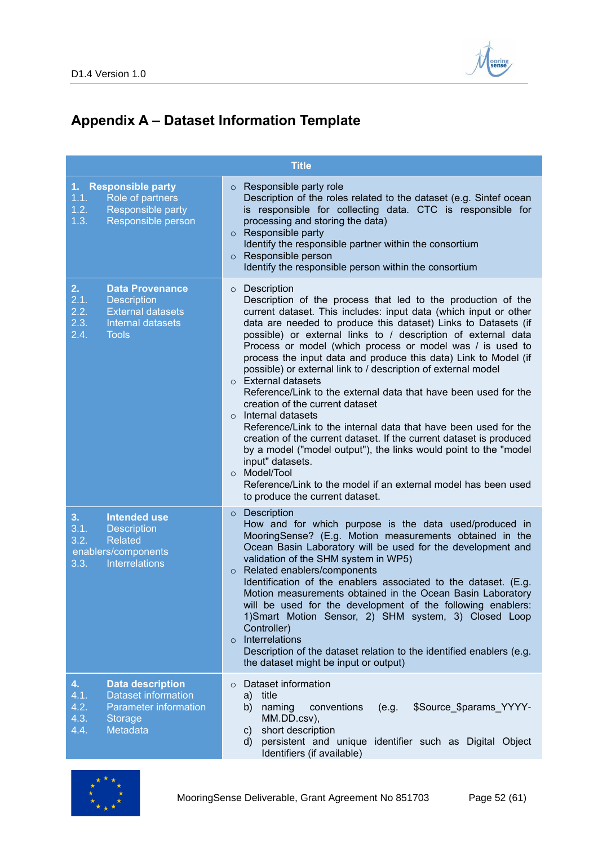

# <span id="page-51-0"></span>**Appendix A – Dataset Information Template**

| <b>Title</b>                                                                                                                                              |                                                                                                                                                                                                                                                                                                                                                                                                                                                                                                                                                                                                                                                                                                                                                                                                                                                                                                                                                                                                                                             |  |  |  |
|-----------------------------------------------------------------------------------------------------------------------------------------------------------|---------------------------------------------------------------------------------------------------------------------------------------------------------------------------------------------------------------------------------------------------------------------------------------------------------------------------------------------------------------------------------------------------------------------------------------------------------------------------------------------------------------------------------------------------------------------------------------------------------------------------------------------------------------------------------------------------------------------------------------------------------------------------------------------------------------------------------------------------------------------------------------------------------------------------------------------------------------------------------------------------------------------------------------------|--|--|--|
| <b>Responsible party</b><br>1.<br>Role of partners<br>1.1.<br>Responsible party<br>1.2.<br>Responsible person<br>1.3.                                     | $\circ$ Responsible party role<br>Description of the roles related to the dataset (e.g. Sintef ocean<br>is responsible for collecting data. CTC is responsible for<br>processing and storing the data)<br>$\circ$ Responsible party<br>Identify the responsible partner within the consortium<br>o Responsible person<br>Identify the responsible person within the consortium                                                                                                                                                                                                                                                                                                                                                                                                                                                                                                                                                                                                                                                              |  |  |  |
| 2.<br><b>Data Provenance</b><br>2.1.<br><b>Description</b><br><b>External datasets</b><br>2.2.<br>Internal datasets<br>2.3.<br><b>Tools</b><br>2.4.       | Description<br>$\circ$<br>Description of the process that led to the production of the<br>current dataset. This includes: input data (which input or other<br>data are needed to produce this dataset) Links to Datasets (if<br>possible) or external links to / description of external data<br>Process or model (which process or model was / is used to<br>process the input data and produce this data) Link to Model (if<br>possible) or external link to / description of external model<br><b>External datasets</b><br>$\circ$<br>Reference/Link to the external data that have been used for the<br>creation of the current dataset<br>Internal datasets<br>$\circ$<br>Reference/Link to the internal data that have been used for the<br>creation of the current dataset. If the current dataset is produced<br>by a model ("model output"), the links would point to the "model<br>input" datasets.<br>Model/Tool<br>$\circ$<br>Reference/Link to the model if an external model has been used<br>to produce the current dataset. |  |  |  |
| 3.<br><b>Intended use</b><br>3.1.<br><b>Description</b><br>3.2.<br><b>Related</b><br>enablers/components<br>3.3.<br><b>Interrelations</b>                 | <b>Description</b><br>$\circ$<br>How and for which purpose is the data used/produced in<br>MooringSense? (E.g. Motion measurements obtained in the<br>Ocean Basin Laboratory will be used for the development and<br>validation of the SHM system in WP5)<br>Related enablers/components<br>$\circ$<br>Identification of the enablers associated to the dataset. (E.g.<br>Motion measurements obtained in the Ocean Basin Laboratory<br>will be used for the development of the following enablers:<br>1)Smart Motion Sensor, 2) SHM system, 3) Closed Loop<br>Controller)<br>Interrelations<br>$\circ$<br>Description of the dataset relation to the identified enablers (e.g.<br>the dataset might be input or output)                                                                                                                                                                                                                                                                                                                    |  |  |  |
| <b>Data description</b><br>4.<br><b>Dataset information</b><br>4.1.<br>4.2.<br><b>Parameter information</b><br>4.3.<br><b>Storage</b><br>Metadata<br>4.4. | <b>Dataset information</b><br>$\circ$<br>title<br>a)<br>\$Source \$params YYYY-<br>naming<br>conventions<br>(e.g.<br>b)<br>MM.DD.csv),<br>short description<br>C)<br>persistent and unique identifier such as Digital Object<br>$\mathsf{d}$<br>Identifiers (if available)                                                                                                                                                                                                                                                                                                                                                                                                                                                                                                                                                                                                                                                                                                                                                                  |  |  |  |

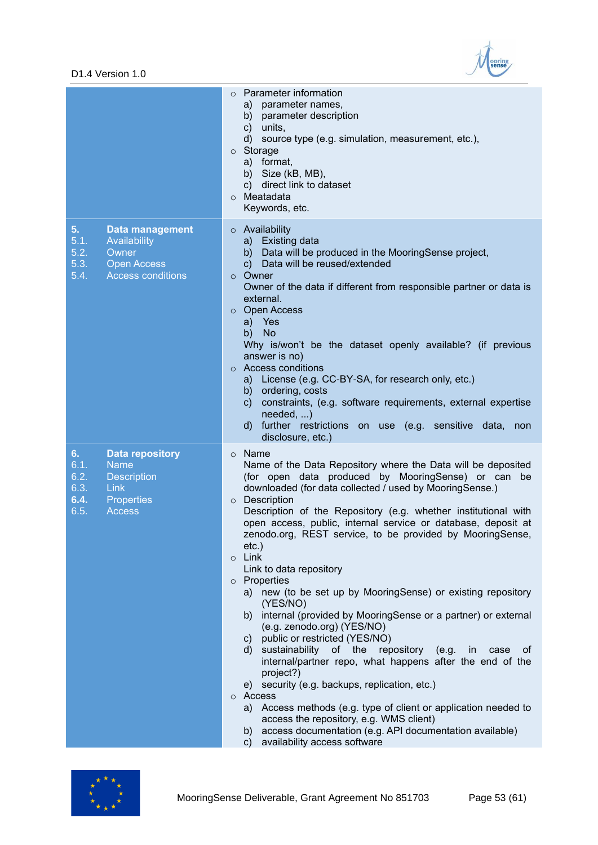

|                                                                                                                                                         | $\circ$ Parameter information<br>a) parameter names,<br>b) parameter description<br>c) units,<br>d) source type (e.g. simulation, measurement, etc.),<br>$\circ$ Storage<br>a) format,<br>b) Size (kB, MB),<br>c) direct link to dataset<br>Meatadata<br>$\Omega$<br>Keywords, etc.                                                                                                                                                                                                                                                                                                                                                                                                                                                                                                                                                                                                                                                                                                                                                                                                                                                                   |
|---------------------------------------------------------------------------------------------------------------------------------------------------------|-------------------------------------------------------------------------------------------------------------------------------------------------------------------------------------------------------------------------------------------------------------------------------------------------------------------------------------------------------------------------------------------------------------------------------------------------------------------------------------------------------------------------------------------------------------------------------------------------------------------------------------------------------------------------------------------------------------------------------------------------------------------------------------------------------------------------------------------------------------------------------------------------------------------------------------------------------------------------------------------------------------------------------------------------------------------------------------------------------------------------------------------------------|
| 5.<br><b>Data management</b><br>5.1.<br>Availability<br>5.2.<br>Owner<br>5.3.<br><b>Open Access</b><br><b>Access conditions</b><br>5.4.                 | $\circ$ Availability<br>a) Existing data<br>b) Data will be produced in the MooringSense project,<br>c) Data will be reused/extended<br>Owner<br>$\circ$<br>Owner of the data if different from responsible partner or data is<br>external.<br><b>Open Access</b><br>$\circ$<br>a) Yes<br>b) No<br>Why is/won't be the dataset openly available? (if previous<br>answer is no)<br>$\circ$ Access conditions<br>a) License (e.g. CC-BY-SA, for research only, etc.)<br>b) ordering, costs<br>constraints, (e.g. software requirements, external expertise<br>$\mathsf{C}$<br>$need, \ldots)$<br>d) further restrictions on use (e.g. sensitive data, non<br>disclosure, etc.)                                                                                                                                                                                                                                                                                                                                                                                                                                                                          |
| 6.<br><b>Data repository</b><br>6.1.<br><b>Name</b><br>6.2.<br><b>Description</b><br>6.3.<br><b>Link</b><br>Properties<br>6.4.<br>6.5.<br><b>Access</b> | Name<br>$\circ$<br>Name of the Data Repository where the Data will be deposited<br>(for open data produced by MooringSense) or can be<br>downloaded (for data collected / used by MooringSense.)<br>Description<br>$\circ$<br>Description of the Repository (e.g. whether institutional with<br>open access, public, internal service or database, deposit at<br>zenodo.org, REST service, to be provided by MooringSense,<br>$etc.$ )<br>Link<br>$\circ$<br>Link to data repository<br>o Properties<br>a) new (to be set up by MooringSense) or existing repository<br>(YES/NO)<br>b) internal (provided by MooringSense or a partner) or external<br>(e.g. zenodo.org) (YES/NO)<br>c) public or restricted (YES/NO)<br>d) sustainability of the repository (e.g.<br><i>in</i><br>case<br>ot<br>internal/partner repo, what happens after the end of the<br>project?)<br>e) security (e.g. backups, replication, etc.)<br>o Access<br>a) Access methods (e.g. type of client or application needed to<br>access the repository, e.g. WMS client)<br>b) access documentation (e.g. API documentation available)<br>availability access software<br>C) |

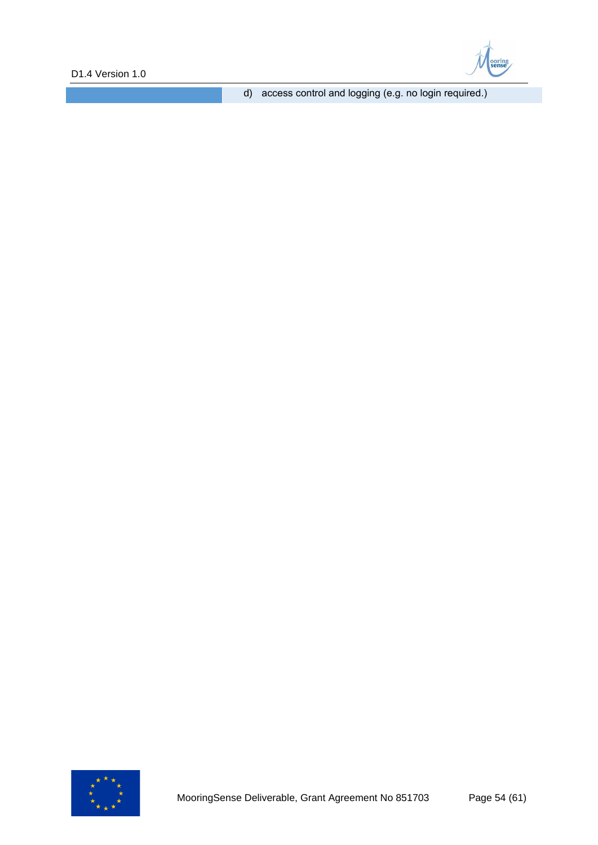d) access control and logging (e.g. no login required.)

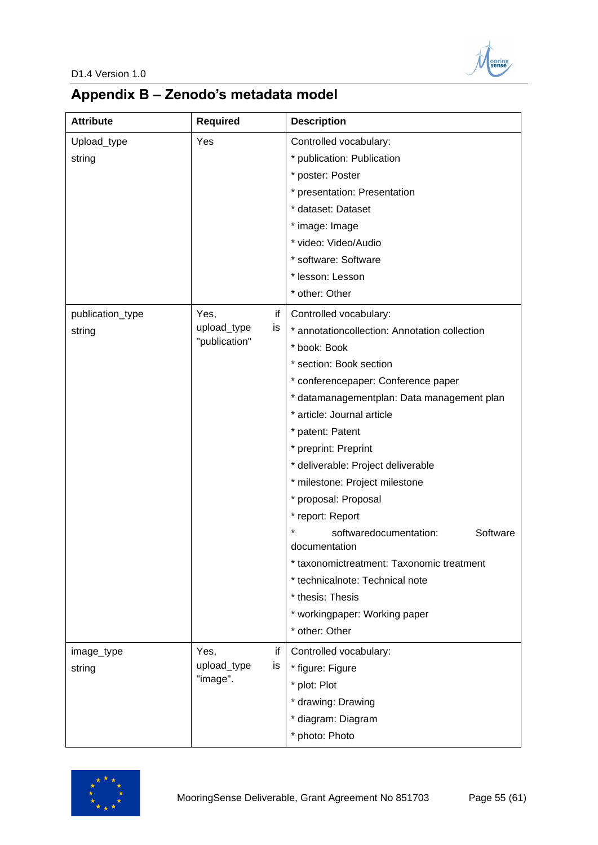ooring<br>sense

# <span id="page-54-0"></span>**Appendix B – Zenodo's metadata model**

| <b>Attribute</b> | <b>Required</b>               | <b>Description</b>                            |
|------------------|-------------------------------|-----------------------------------------------|
| Upload_type      | Yes                           | Controlled vocabulary:                        |
| string           |                               | * publication: Publication                    |
|                  |                               | * poster: Poster                              |
|                  |                               | * presentation: Presentation                  |
|                  |                               | * dataset: Dataset                            |
|                  |                               | * image: Image                                |
|                  |                               | * video: Video/Audio                          |
|                  |                               | * software: Software                          |
|                  |                               | * lesson: Lesson                              |
|                  |                               | * other: Other                                |
| publication_type | Yes,<br>if                    | Controlled vocabulary:                        |
| string           | upload_type<br>is             | * annotationcollection: Annotation collection |
|                  | "publication"                 | * book: Book                                  |
|                  |                               | * section: Book section                       |
|                  |                               | * conferencepaper: Conference paper           |
|                  |                               | * datamanagementplan: Data management plan    |
|                  |                               | * article: Journal article                    |
|                  |                               | * patent: Patent                              |
|                  |                               | * preprint: Preprint                          |
|                  |                               | * deliverable: Project deliverable            |
|                  |                               | * milestone: Project milestone                |
|                  |                               | * proposal: Proposal                          |
|                  |                               | * report: Report                              |
|                  |                               | Software<br>softwaredocumentation:            |
|                  |                               | documentation                                 |
|                  |                               | * taxonomictreatment: Taxonomic treatment     |
|                  |                               | * technicalnote: Technical note               |
|                  |                               | * thesis: Thesis                              |
|                  |                               | * workingpaper: Working paper                 |
|                  |                               | * other: Other                                |
| image_type       | if<br>Yes,                    | Controlled vocabulary:                        |
| string           | upload_type<br>is<br>"image". | * figure: Figure                              |
|                  |                               | * plot: Plot                                  |
|                  |                               | * drawing: Drawing                            |
|                  |                               | * diagram: Diagram                            |
|                  |                               | * photo: Photo                                |

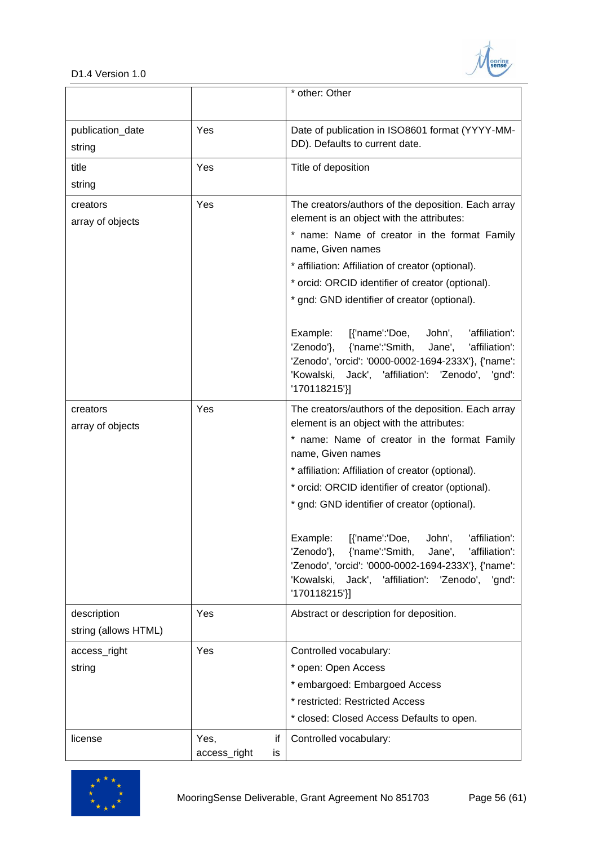

|                              |                                  | * other: Other                                                                                                                                                                                                                                   |
|------------------------------|----------------------------------|--------------------------------------------------------------------------------------------------------------------------------------------------------------------------------------------------------------------------------------------------|
|                              |                                  |                                                                                                                                                                                                                                                  |
| publication_date<br>string   | Yes                              | Date of publication in ISO8601 format (YYYY-MM-<br>DD). Defaults to current date.                                                                                                                                                                |
| title                        | Yes                              | Title of deposition                                                                                                                                                                                                                              |
| string                       |                                  |                                                                                                                                                                                                                                                  |
| creators<br>array of objects | Yes                              | The creators/authors of the deposition. Each array<br>element is an object with the attributes:                                                                                                                                                  |
|                              |                                  | * name: Name of creator in the format Family<br>name, Given names                                                                                                                                                                                |
|                              |                                  | * affiliation: Affiliation of creator (optional).                                                                                                                                                                                                |
|                              |                                  | * orcid: ORCID identifier of creator (optional).                                                                                                                                                                                                 |
|                              |                                  | * gnd: GND identifier of creator (optional).                                                                                                                                                                                                     |
|                              |                                  | Example:<br>[{'name':'Doe, John',<br>'affiliation':<br>'Zenodo'},<br>{'name':'Smith, Jane',<br>'affiliation':<br>'Zenodo', 'orcid': '0000-0002-1694-233X'}, {'name':<br>'Kowalski, Jack', 'affiliation': 'Zenodo', 'gnd':<br>'170118215'}]       |
| creators                     | Yes                              | The creators/authors of the deposition. Each array<br>element is an object with the attributes:                                                                                                                                                  |
| array of objects             |                                  | * name: Name of creator in the format Family                                                                                                                                                                                                     |
|                              |                                  | name, Given names<br>* affiliation: Affiliation of creator (optional).                                                                                                                                                                           |
|                              |                                  | * orcid: ORCID identifier of creator (optional).                                                                                                                                                                                                 |
|                              |                                  | * gnd: GND identifier of creator (optional).                                                                                                                                                                                                     |
|                              |                                  | Example:<br>[{'name':'Doe,<br>John',<br>'affiliation':<br>'Zenodo'},<br>{'name':'Smith,<br>'affiliation':<br>Jane',<br>'Zenodo', 'orcid': '0000-0002-1694-233X'}, {'name':<br>'Kowalski, Jack', 'affiliation': 'Zenodo', 'gnd':<br>'170118215'}] |
| description                  | Yes                              | Abstract or description for deposition.                                                                                                                                                                                                          |
| string (allows HTML)         |                                  |                                                                                                                                                                                                                                                  |
| access_right                 | Yes                              | Controlled vocabulary:                                                                                                                                                                                                                           |
| string                       |                                  | * open: Open Access                                                                                                                                                                                                                              |
|                              |                                  | * embargoed: Embargoed Access                                                                                                                                                                                                                    |
|                              |                                  | * restricted: Restricted Access                                                                                                                                                                                                                  |
|                              |                                  | * closed: Closed Access Defaults to open.                                                                                                                                                                                                        |
| license                      | if<br>Yes,<br>access_right<br>is | Controlled vocabulary:                                                                                                                                                                                                                           |

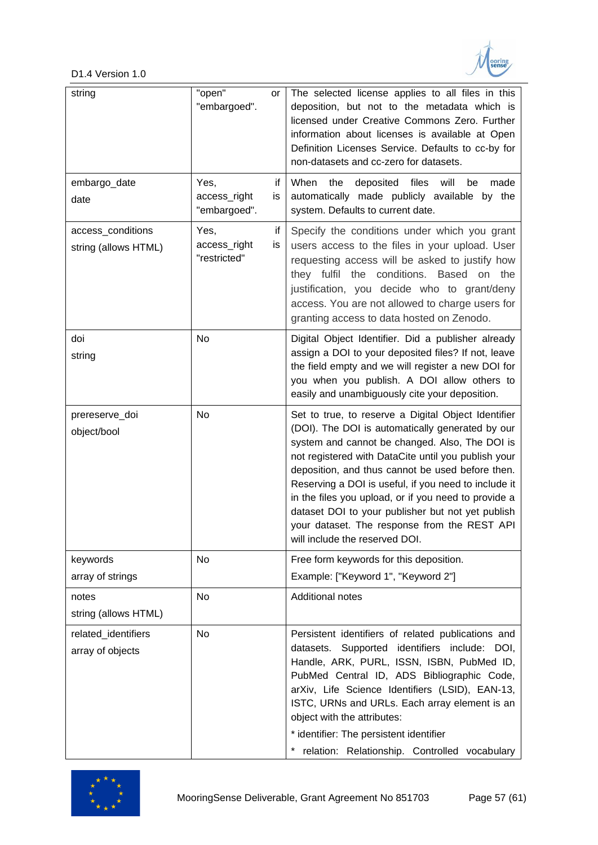

| string                                    | "open"<br>or<br>"embargoed".                     | The selected license applies to all files in this<br>deposition, but not to the metadata which is<br>licensed under Creative Commons Zero. Further<br>information about licenses is available at Open<br>Definition Licenses Service. Defaults to cc-by for<br>non-datasets and cc-zero for datasets.                                                                                                                                                                                                                       |
|-------------------------------------------|--------------------------------------------------|-----------------------------------------------------------------------------------------------------------------------------------------------------------------------------------------------------------------------------------------------------------------------------------------------------------------------------------------------------------------------------------------------------------------------------------------------------------------------------------------------------------------------------|
| embargo_date<br>date                      | Yes,<br>if<br>access_right<br>is<br>"embargoed". | When<br>the<br>deposited files<br>will<br>be<br>made<br>automatically made publicly available by the<br>system. Defaults to current date.                                                                                                                                                                                                                                                                                                                                                                                   |
| access_conditions<br>string (allows HTML) | Yes,<br>if<br>access_right<br>is<br>"restricted" | Specify the conditions under which you grant<br>users access to the files in your upload. User<br>requesting access will be asked to justify how<br>they fulfil<br>the conditions.<br>Based on<br>the<br>justification, you decide who to grant/deny<br>access. You are not allowed to charge users for<br>granting access to data hosted on Zenodo.                                                                                                                                                                        |
| doi<br>string                             | No                                               | Digital Object Identifier. Did a publisher already<br>assign a DOI to your deposited files? If not, leave<br>the field empty and we will register a new DOI for<br>you when you publish. A DOI allow others to<br>easily and unambiguously cite your deposition.                                                                                                                                                                                                                                                            |
| prereserve_doi<br>object/bool             | No                                               | Set to true, to reserve a Digital Object Identifier<br>(DOI). The DOI is automatically generated by our<br>system and cannot be changed. Also, The DOI is<br>not registered with DataCite until you publish your<br>deposition, and thus cannot be used before then.<br>Reserving a DOI is useful, if you need to include it<br>in the files you upload, or if you need to provide a<br>dataset DOI to your publisher but not yet publish<br>your dataset. The response from the REST API<br>will include the reserved DOI. |
| keywords<br>array of strings              | No                                               | Free form keywords for this deposition.<br>Example: ["Keyword 1", "Keyword 2"]                                                                                                                                                                                                                                                                                                                                                                                                                                              |
| notes<br>string (allows HTML)             | No                                               | Additional notes                                                                                                                                                                                                                                                                                                                                                                                                                                                                                                            |
| related_identifiers<br>array of objects   | No                                               | Persistent identifiers of related publications and<br>datasets. Supported identifiers include: DOI,<br>Handle, ARK, PURL, ISSN, ISBN, PubMed ID,<br>PubMed Central ID, ADS Bibliographic Code,<br>arXiv, Life Science Identifiers (LSID), EAN-13,<br>ISTC, URNs and URLs. Each array element is an<br>object with the attributes:<br>* identifier: The persistent identifier<br>relation: Relationship. Controlled vocabulary                                                                                               |

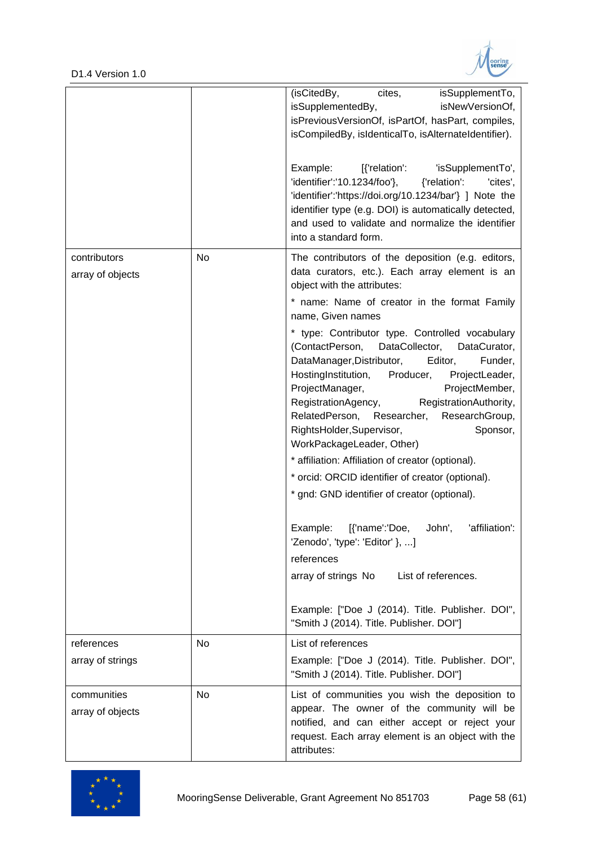

|                                  |    | (isCitedBy,<br>isSupplementTo,<br>cites,<br>isSupplementedBy,<br>isNewVersionOf,<br>isPreviousVersionOf, isPartOf, hasPart, compiles,<br>isCompiledBy, isIdenticalTo, isAlternateIdentifier).<br>'isSupplementTo',<br>Example:<br>[{'relation':<br>'identifier':'10.1234/foo'},<br>{'relation':<br>'cites',<br>'identifier':'https://doi.org/10.1234/bar'} ] Note the<br>identifier type (e.g. DOI) is automatically detected,<br>and used to validate and normalize the identifier<br>into a standard form.                                                                                                                                                                                                                                                                                                                                                                                                                                                                                                                                       |
|----------------------------------|----|----------------------------------------------------------------------------------------------------------------------------------------------------------------------------------------------------------------------------------------------------------------------------------------------------------------------------------------------------------------------------------------------------------------------------------------------------------------------------------------------------------------------------------------------------------------------------------------------------------------------------------------------------------------------------------------------------------------------------------------------------------------------------------------------------------------------------------------------------------------------------------------------------------------------------------------------------------------------------------------------------------------------------------------------------|
| contributors<br>array of objects | No | The contributors of the deposition (e.g. editors,<br>data curators, etc.). Each array element is an<br>object with the attributes:<br>* name: Name of creator in the format Family<br>name, Given names<br>* type: Contributor type. Controlled vocabulary<br>(ContactPerson,<br>DataCollector,<br>DataCurator,<br>DataManager, Distributor,<br>Editor,<br>Funder,<br>HostingInstitution,<br>Producer,<br>ProjectLeader,<br>ProjectManager,<br>ProjectMember,<br>RegistrationAgency,<br>RegistrationAuthority,<br>RelatedPerson, Researcher, ResearchGroup,<br>RightsHolder,Supervisor,<br>Sponsor,<br>WorkPackageLeader, Other)<br>* affiliation: Affiliation of creator (optional).<br>* orcid: ORCID identifier of creator (optional).<br>* gnd: GND identifier of creator (optional).<br>Example:<br>[{'name':'Doe,<br>'affiliation':<br>John',<br>'Zenodo', 'type': 'Editor' }, ]<br>references<br>List of references.<br>array of strings No<br>Example: ["Doe J (2014). Title. Publisher. DOI",<br>"Smith J (2014). Title. Publisher. DOI"] |
| references                       | No | List of references                                                                                                                                                                                                                                                                                                                                                                                                                                                                                                                                                                                                                                                                                                                                                                                                                                                                                                                                                                                                                                 |
| array of strings                 |    | Example: ["Doe J (2014). Title. Publisher. DOI",<br>"Smith J (2014). Title. Publisher. DOI"]                                                                                                                                                                                                                                                                                                                                                                                                                                                                                                                                                                                                                                                                                                                                                                                                                                                                                                                                                       |
| communities<br>array of objects  | No | List of communities you wish the deposition to<br>appear. The owner of the community will be<br>notified, and can either accept or reject your<br>request. Each array element is an object with the<br>attributes:                                                                                                                                                                                                                                                                                                                                                                                                                                                                                                                                                                                                                                                                                                                                                                                                                                 |

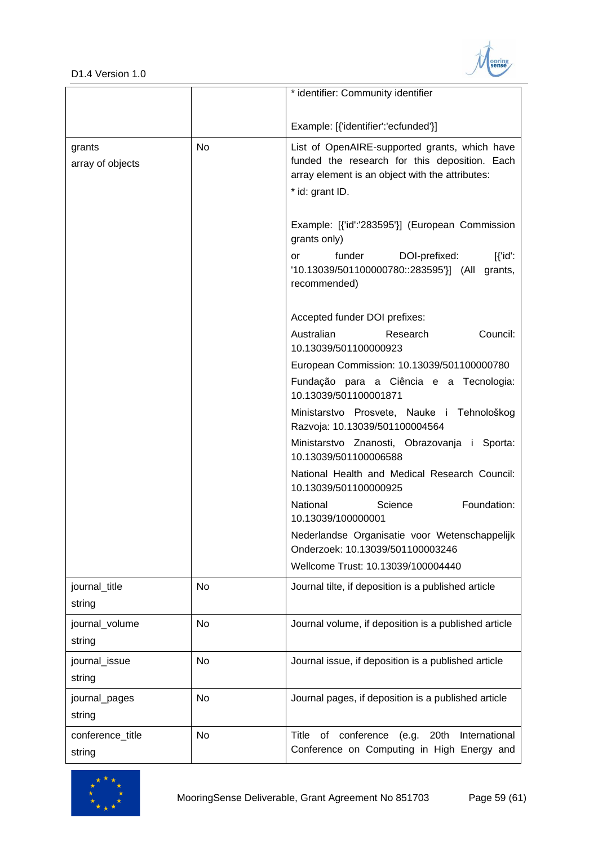



|                            |           | * identifier: Community identifier                                                                                                                                   |
|----------------------------|-----------|----------------------------------------------------------------------------------------------------------------------------------------------------------------------|
|                            |           |                                                                                                                                                                      |
|                            |           | Example: [{'identifier':'ecfunded'}]                                                                                                                                 |
| grants<br>array of objects | <b>No</b> | List of OpenAIRE-supported grants, which have<br>funded the research for this deposition. Each<br>array element is an object with the attributes:<br>* id: grant ID. |
|                            |           | Example: [{'id':'283595'}] (European Commission<br>grants only)                                                                                                      |
|                            |           | DOI-prefixed:<br>funder<br>$[{'id'}:$<br>or<br>'10.13039/501100000780::283595'}] (All grants,<br>recommended)                                                        |
|                            |           | Accepted funder DOI prefixes:                                                                                                                                        |
|                            |           | Australian<br>Council:<br>Research<br>10.13039/501100000923                                                                                                          |
|                            |           | European Commission: 10.13039/501100000780                                                                                                                           |
|                            |           | Fundação para a Ciência e a Tecnologia:<br>10.13039/501100001871                                                                                                     |
|                            |           | Ministarstvo Prosvete, Nauke i Tehnološkog<br>Razvoja: 10.13039/501100004564                                                                                         |
|                            |           | Ministarstvo Znanosti, Obrazovanja i Sporta:<br>10.13039/501100006588                                                                                                |
|                            |           | National Health and Medical Research Council:<br>10.13039/501100000925                                                                                               |
|                            |           | Foundation:<br>National<br>Science<br>10.13039/100000001                                                                                                             |
|                            |           | Nederlandse Organisatie voor Wetenschappelijk<br>Onderzoek: 10.13039/501100003246                                                                                    |
|                            |           | Wellcome Trust: 10.13039/100004440                                                                                                                                   |
| journal_title<br>string    | No        | Journal tilte, if deposition is a published article                                                                                                                  |
| journal_volume<br>string   | No        | Journal volume, if deposition is a published article                                                                                                                 |
| journal_issue<br>string    | <b>No</b> | Journal issue, if deposition is a published article                                                                                                                  |
| journal_pages<br>string    | No        | Journal pages, if deposition is a published article                                                                                                                  |
| conference_title<br>string | No        | of conference<br>(e.g.<br>20th<br>International<br>Title<br>Conference on Computing in High Energy and                                                               |

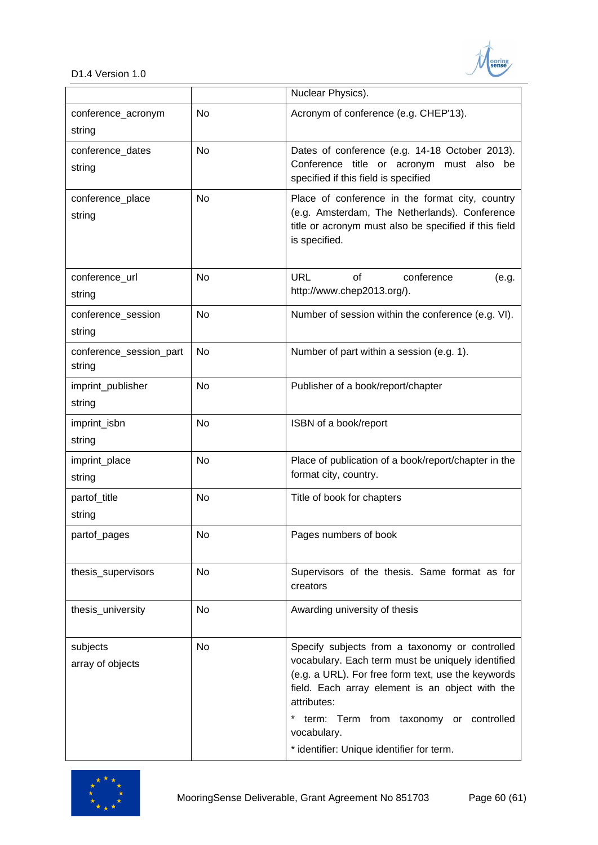

|                                   |           | Nuclear Physics).                                                                                                                                                                                                                                                                                                                    |
|-----------------------------------|-----------|--------------------------------------------------------------------------------------------------------------------------------------------------------------------------------------------------------------------------------------------------------------------------------------------------------------------------------------|
| conference_acronym<br>string      | No        | Acronym of conference (e.g. CHEP'13).                                                                                                                                                                                                                                                                                                |
| conference_dates<br>string        | <b>No</b> | Dates of conference (e.g. 14-18 October 2013).<br>Conference title or acronym must also be<br>specified if this field is specified                                                                                                                                                                                                   |
| conference_place<br>string        | <b>No</b> | Place of conference in the format city, country<br>(e.g. Amsterdam, The Netherlands). Conference<br>title or acronym must also be specified if this field<br>is specified.                                                                                                                                                           |
| conference_url<br>string          | <b>No</b> | <b>URL</b><br>of<br>conference<br>(e.g.<br>http://www.chep2013.org/).                                                                                                                                                                                                                                                                |
| conference_session<br>string      | No        | Number of session within the conference (e.g. VI).                                                                                                                                                                                                                                                                                   |
| conference_session_part<br>string | No        | Number of part within a session (e.g. 1).                                                                                                                                                                                                                                                                                            |
| imprint_publisher<br>string       | No        | Publisher of a book/report/chapter                                                                                                                                                                                                                                                                                                   |
| imprint_isbn<br>string            | No        | ISBN of a book/report                                                                                                                                                                                                                                                                                                                |
| imprint_place<br>string           | No        | Place of publication of a book/report/chapter in the<br>format city, country.                                                                                                                                                                                                                                                        |
| partof_title<br>string            | No        | Title of book for chapters                                                                                                                                                                                                                                                                                                           |
| partof_pages                      | No        | Pages numbers of book                                                                                                                                                                                                                                                                                                                |
| thesis_supervisors                | No        | Supervisors of the thesis. Same format as for<br>creators                                                                                                                                                                                                                                                                            |
| thesis_university                 | No        | Awarding university of thesis                                                                                                                                                                                                                                                                                                        |
| subjects<br>array of objects      | No        | Specify subjects from a taxonomy or controlled<br>vocabulary. Each term must be uniquely identified<br>(e.g. a URL). For free form text, use the keywords<br>field. Each array element is an object with the<br>attributes:<br>term: Term from taxonomy or<br>controlled<br>vocabulary.<br>* identifier: Unique identifier for term. |